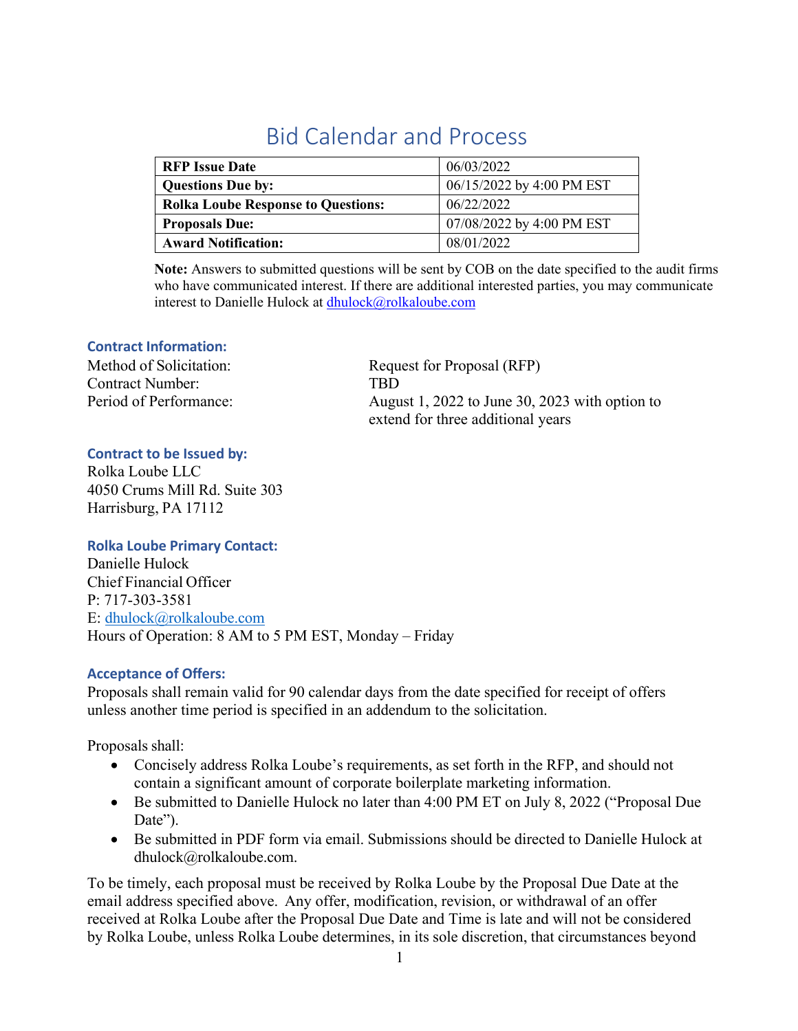# Bid Calendar and Process

| <b>RFP</b> Issue Date                     | 06/03/2022                |
|-------------------------------------------|---------------------------|
| <b>Questions Due by:</b>                  | 06/15/2022 by 4:00 PM EST |
| <b>Rolka Loube Response to Questions:</b> | 06/22/2022                |
| <b>Proposals Due:</b>                     | 07/08/2022 by 4:00 PM EST |
| <b>Award Notification:</b>                | 08/01/2022                |

**Note:** Answers to submitted questions will be sent by COB on the date specified to the audit firms who have communicated interest. If there are additional interested parties, you may communicate interest to Danielle Hulock at [dhulock@rolkaloube.com](mailto:dhulock@rolkaloube.com)

### **Contract Information:**

Contract Number: TBD

Method of Solicitation: Request for Proposal (RFP) Period of Performance: August 1, 2022 to June 30, 2023 with option to extend for three additional years

### **Contract to be Issued by:**

Rolka Loube LLC 4050 Crums Mill Rd. Suite 303 Harrisburg, PA 17112

#### **Rolka Loube Primary Contact:**

Danielle Hulock Chief Financial Officer P: 717-303-3581 E: [dhulock@rolkaloube.com](mailto:dhulock@rolkaloube.com) Hours of Operation: 8 AM to 5 PM EST, Monday – Friday

#### **Acceptance of Offers:**

Proposals shall remain valid for 90 calendar days from the date specified for receipt of offers unless another time period is specified in an addendum to the solicitation.

Proposals shall:

- Concisely address Rolka Loube's requirements, as set forth in the RFP, and should not contain a significant amount of corporate boilerplate marketing information.
- Be submitted to Danielle Hulock no later than 4:00 PM ET on July 8, 2022 ("Proposal Due Date").
- Be submitted in PDF form via email. Submissions should be directed to Danielle Hulock at [dhulock@rolkaloube.com.](mailto:dhulock@rolkaloube.com)

To be timely, each proposal must be received by Rolka Loube by the Proposal Due Date at the email address specified above. Any offer, modification, revision, or withdrawal of an offer received at Rolka Loube after the Proposal Due Date and Time is late and will not be considered by Rolka Loube, unless Rolka Loube determines, in its sole discretion, that circumstances beyond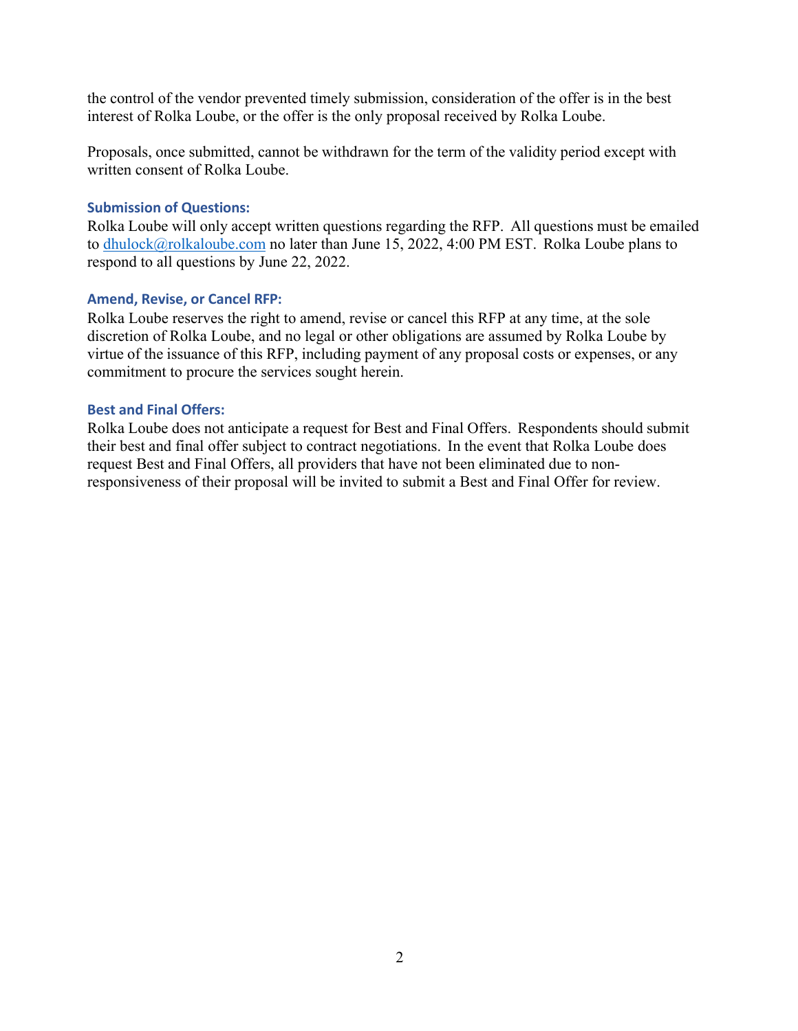the control of the vendor prevented timely submission, consideration of the offer is in the best interest of Rolka Loube, or the offer is the only proposal received by Rolka Loube.

Proposals, once submitted, cannot be withdrawn for the term of the validity period except with written consent of Rolka Loube.

#### **Submission of Questions:**

Rolka Loube will only accept written questions regarding the RFP. All questions must be emailed to [dhulock@rolkaloube.com n](mailto:dhulock@rolkaloube.com)o later than June 15, 2022, 4:00 PM EST. Rolka Loube plans to respond to all questions by June 22, 2022.

#### **Amend, Revise, or Cancel RFP:**

Rolka Loube reserves the right to amend, revise or cancel this RFP at any time, at the sole discretion of Rolka Loube, and no legal or other obligations are assumed by Rolka Loube by virtue of the issuance of this RFP, including payment of any proposal costs or expenses, or any commitment to procure the services sought herein.

#### **Best and Final Offers:**

Rolka Loube does not anticipate a request for Best and Final Offers. Respondents should submit their best and final offer subject to contract negotiations. In the event that Rolka Loube does request Best and Final Offers, all providers that have not been eliminated due to nonresponsiveness of their proposal will be invited to submit a Best and Final Offer for review.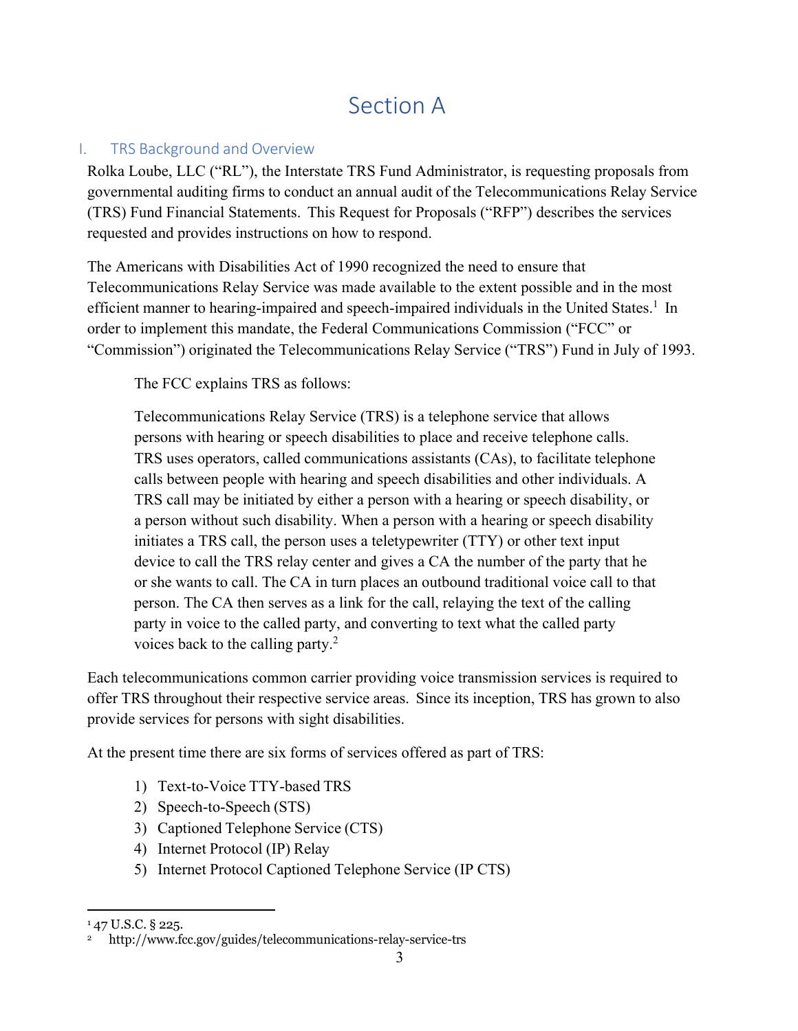# Section A

## I. TRS Background and Overview

Rolka Loube, LLC ("RL"), the Interstate TRS Fund Administrator, is requesting proposals from governmental auditing firms to conduct an annual audit of the Telecommunications Relay Service (TRS) Fund Financial Statements. This Request for Proposals ("RFP") describes the services requested and provides instructions on how to respond.

The Americans with Disabilities Act of 1990 recognized the need to ensure that Telecommunications Relay Service was made available to the extent possible and in the most efficient manner to hearing-impaired and speech-impaired individuals in the United States.<sup>1</sup> In order to implement this mandate, the Federal Communications Commission ("FCC" or "Commission") originated the Telecommunications Relay Service ("TRS") Fund in July of 1993.

The FCC explains TRS as follows:

Telecommunications Relay Service (TRS) is a telephone service that allows persons with hearing or speech disabilities to place and receive telephone calls. TRS uses operators, called communications assistants (CAs), to facilitate telephone calls between people with hearing and speech disabilities and other individuals. A TRS call may be initiated by either a person with a hearing or speech disability, or a person without such disability. When a person with a hearing or speech disability initiates a TRS call, the person uses a teletypewriter (TTY) or other text input device to call the TRS relay center and gives a CA the number of the party that he or she wants to call. The CA in turn places an outbound traditional voice call to that person. The CA then serves as a link for the call, relaying the text of the calling party in voice to the called party, and converting to text what the called party voices back to the calling party.<sup>2</sup>

Each telecommunications common carrier providing voice transmission services is required to offer TRS throughout their respective service areas. Since its inception, TRS has grown to also provide services for persons with sight disabilities.

At the present time there are six forms of services offered as part of TRS:

- 1) Text-to-Voice TTY-based TRS
- 2) Speech-to-Speech (STS)
- 3) Captioned Telephone Service (CTS)
- 4) Internet Protocol (IP) Relay
- 5) Internet Protocol Captioned Telephone Service (IP CTS)

 $147$  U.S.C. § 225.

<sup>2</sup> <http://www.fcc.gov/guides/telecommunications-relay-service-trs>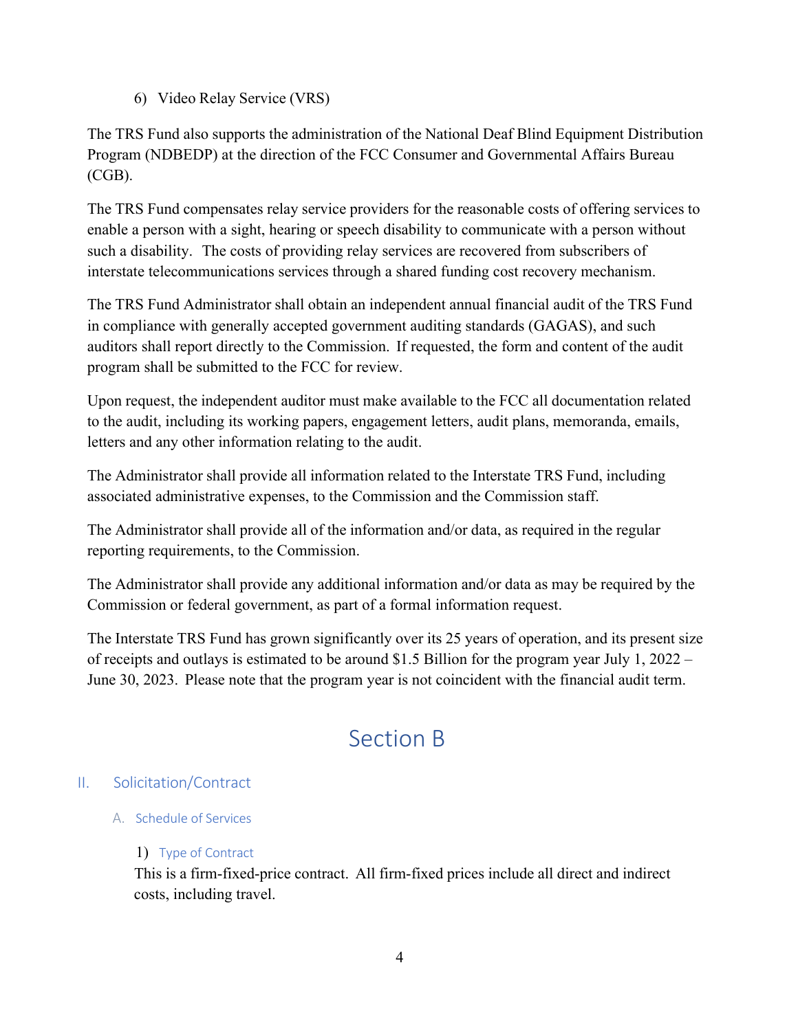6) Video Relay Service (VRS)

The TRS Fund also supports the administration of the National Deaf Blind Equipment Distribution Program (NDBEDP) at the direction of the FCC Consumer and Governmental Affairs Bureau (CGB).

The TRS Fund compensates relay service providers for the reasonable costs of offering services to enable a person with a sight, hearing or speech disability to communicate with a person without such a disability. The costs of providing relay services are recovered from subscribers of interstate telecommunications services through a shared funding cost recovery mechanism.

The TRS Fund Administrator shall obtain an independent annual financial audit of the TRS Fund in compliance with generally accepted government auditing standards (GAGAS), and such auditors shall report directly to the Commission. If requested, the form and content of the audit program shall be submitted to the FCC for review.

Upon request, the independent auditor must make available to the FCC all documentation related to the audit, including its working papers, engagement letters, audit plans, memoranda, emails, letters and any other information relating to the audit.

The Administrator shall provide all information related to the Interstate TRS Fund, including associated administrative expenses, to the Commission and the Commission staff.

The Administrator shall provide all of the information and/or data, as required in the regular reporting requirements, to the Commission.

The Administrator shall provide any additional information and/or data as may be required by the Commission or federal government, as part of a formal information request.

The Interstate TRS Fund has grown significantly over its 25 years of operation, and its present size of receipts and outlays is estimated to be around \$1.5 Billion for the program year July 1, 2022 – June 30, 2023. Please note that the program year is not coincident with the financial audit term.

# Section B

## II. Solicitation/Contract

A. Schedule of Services

## 1) Type of Contract

This is a firm-fixed-price contract. All firm-fixed prices include all direct and indirect costs, including travel.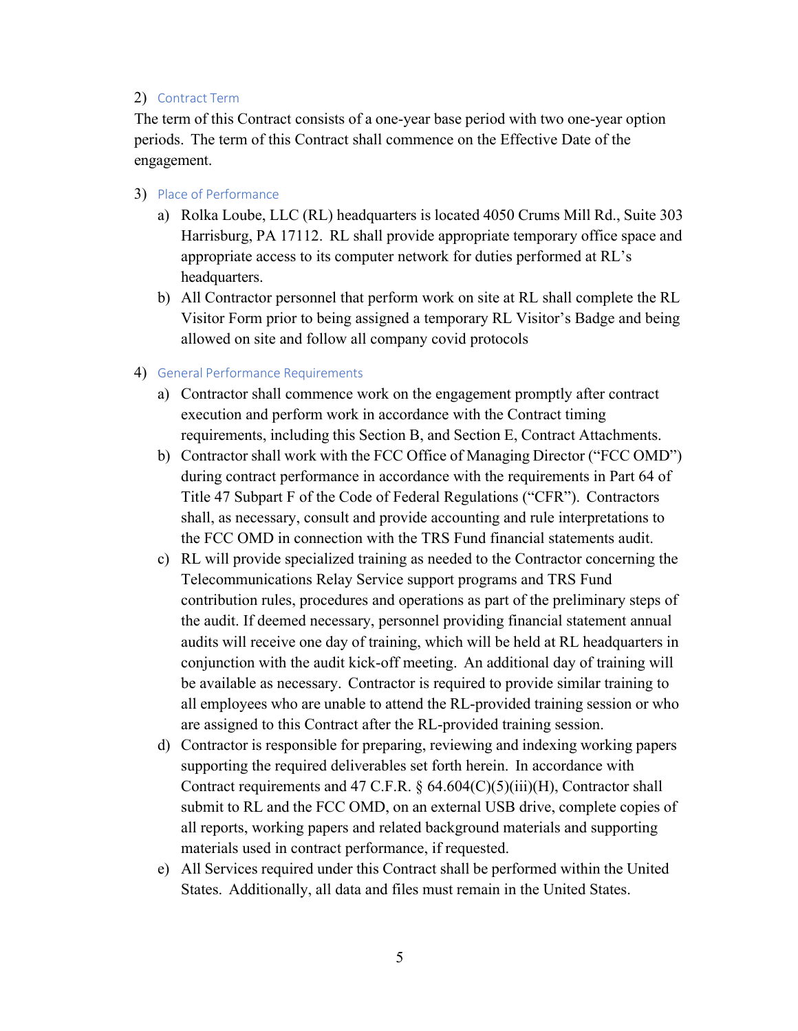#### 2) Contract Term

The term of this Contract consists of a one-year base period with two one-year option periods. The term of this Contract shall commence on the Effective Date of the engagement.

- 3) Place of Performance
	- a) Rolka Loube, LLC (RL) headquarters is located 4050 Crums Mill Rd., Suite 303 Harrisburg, PA 17112. RL shall provide appropriate temporary office space and appropriate access to its computer network for duties performed at RL's headquarters.
	- b) All Contractor personnel that perform work on site at RL shall complete the RL Visitor Form prior to being assigned a temporary RL Visitor's Badge and being allowed on site and follow all company covid protocols
- 4) General Performance Requirements
	- a) Contractor shall commence work on the engagement promptly after contract execution and perform work in accordance with the Contract timing requirements, including this Section B, and Section E, Contract Attachments.
	- b) Contractor shall work with the FCC Office of Managing Director ("FCC OMD") during contract performance in accordance with the requirements in Part 64 of Title 47 Subpart F of the Code of Federal Regulations ("CFR"). Contractors shall, as necessary, consult and provide accounting and rule interpretations to the FCC OMD in connection with the TRS Fund financial statements audit.
	- c) RL will provide specialized training as needed to the Contractor concerning the Telecommunications Relay Service support programs and TRS Fund contribution rules, procedures and operations as part of the preliminary steps of the audit. If deemed necessary, personnel providing financial statement annual audits will receive one day of training, which will be held at RL headquarters in conjunction with the audit kick-off meeting. An additional day of training will be available as necessary. Contractor is required to provide similar training to all employees who are unable to attend the RL-provided training session or who are assigned to this Contract after the RL-provided training session.
	- d) Contractor is responsible for preparing, reviewing and indexing working papers supporting the required deliverables set forth herein. In accordance with Contract requirements and 47 C.F.R.  $\S$  64.604(C)(5)(iii)(H), Contractor shall submit to RL and the FCC OMD, on an external USB drive, complete copies of all reports, working papers and related background materials and supporting materials used in contract performance, if requested.
	- e) All Services required under this Contract shall be performed within the United States. Additionally, all data and files must remain in the United States.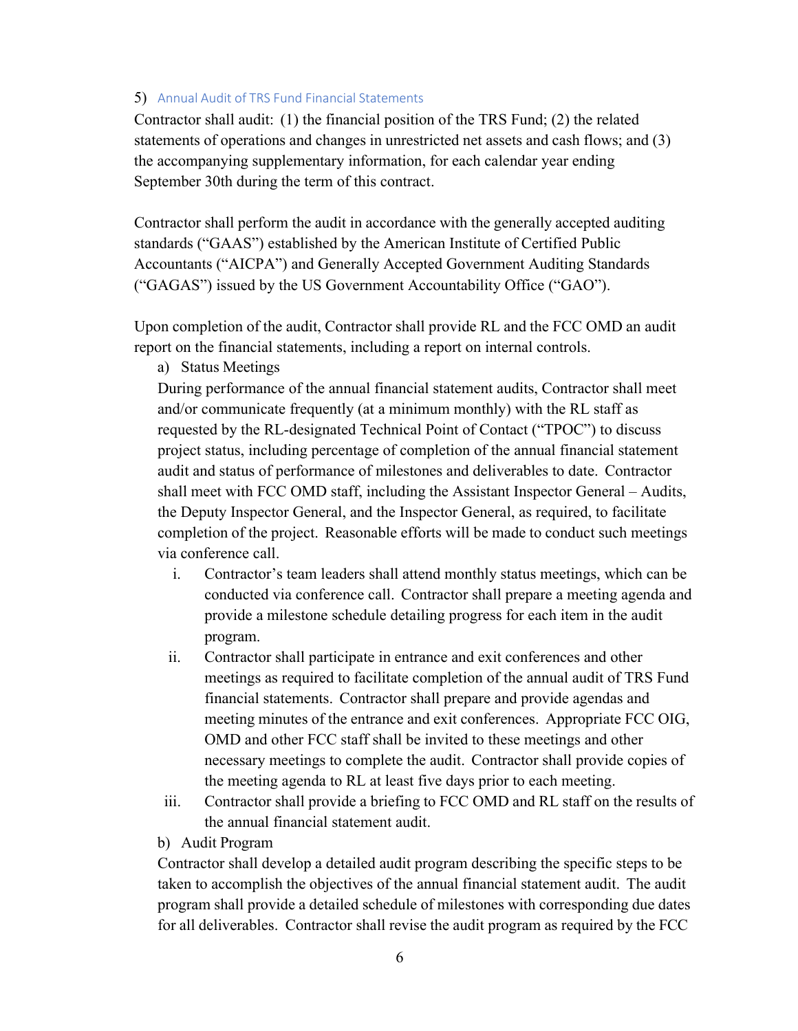#### 5) Annual Audit of TRS Fund Financial Statements

Contractor shall audit: (1) the financial position of the TRS Fund; (2) the related statements of operations and changes in unrestricted net assets and cash flows; and (3) the accompanying supplementary information, for each calendar year ending September 30th during the term of this contract.

Contractor shall perform the audit in accordance with the generally accepted auditing standards ("GAAS") established by the American Institute of Certified Public Accountants ("AICPA") and Generally Accepted Government Auditing Standards ("GAGAS") issued by the US Government Accountability Office ("GAO").

Upon completion of the audit, Contractor shall provide RL and the FCC OMD an audit report on the financial statements, including a report on internal controls.

a) Status Meetings

During performance of the annual financial statement audits, Contractor shall meet and/or communicate frequently (at a minimum monthly) with the RL staff as requested by the RL-designated Technical Point of Contact ("TPOC") to discuss project status, including percentage of completion of the annual financial statement audit and status of performance of milestones and deliverables to date. Contractor shall meet with FCC OMD staff, including the Assistant Inspector General – Audits, the Deputy Inspector General, and the Inspector General, as required, to facilitate completion of the project. Reasonable efforts will be made to conduct such meetings via conference call.

- i. Contractor's team leaders shall attend monthly status meetings, which can be conducted via conference call. Contractor shall prepare a meeting agenda and provide a milestone schedule detailing progress for each item in the audit program.
- ii. Contractor shall participate in entrance and exit conferences and other meetings as required to facilitate completion of the annual audit of TRS Fund financial statements. Contractor shall prepare and provide agendas and meeting minutes of the entrance and exit conferences. Appropriate FCC OIG, OMD and other FCC staff shall be invited to these meetings and other necessary meetings to complete the audit. Contractor shall provide copies of the meeting agenda to RL at least five days prior to each meeting.
- iii. Contractor shall provide a briefing to FCC OMD and RL staff on the results of the annual financial statement audit.
- b) Audit Program

Contractor shall develop a detailed audit program describing the specific steps to be taken to accomplish the objectives of the annual financial statement audit. The audit program shall provide a detailed schedule of milestones with corresponding due dates for all deliverables. Contractor shall revise the audit program as required by the FCC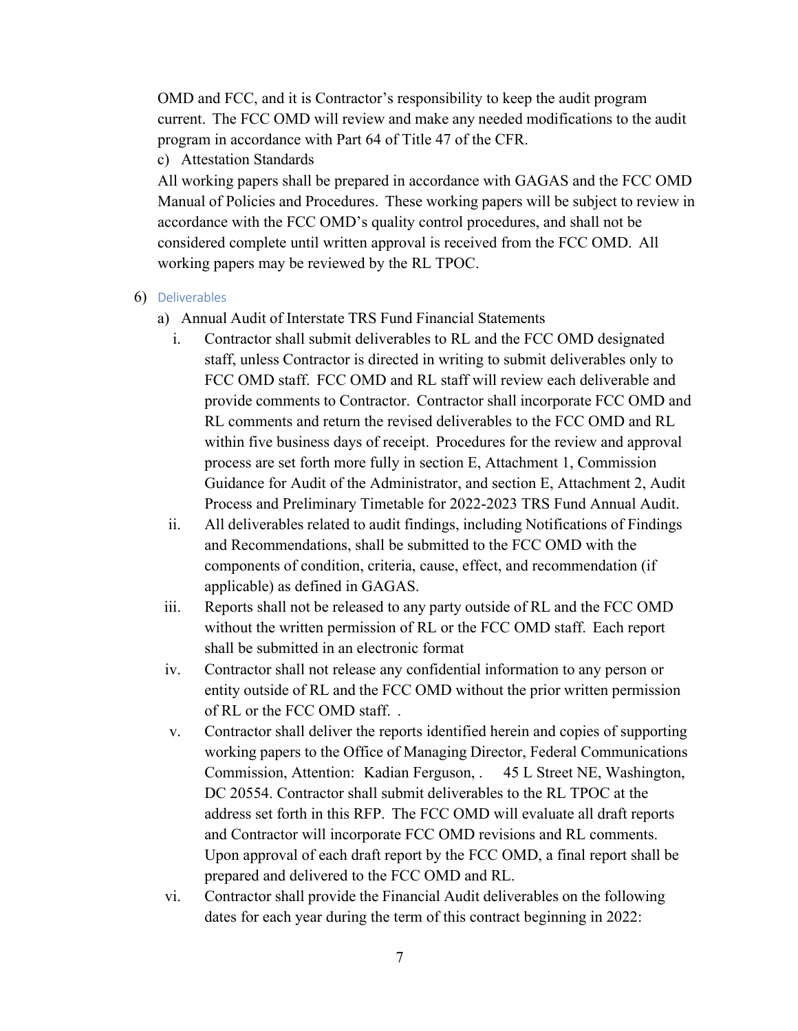OMD and FCC, and it is Contractor's responsibility to keep the audit program current. The FCC OMD will review and make any needed modifications to the audit program in accordance with Part 64 of Title 47 of the CFR.

c) Attestation Standards

All working papers shall be prepared in accordance with GAGAS and the FCC OMD Manual of Policies and Procedures. These working papers will be subject to review in accordance with the FCC OMD's quality control procedures, and shall not be considered complete until written approval is received from the FCC OMD. All working papers may be reviewed by the RL TPOC.

- 6) Deliverables
	- a) Annual Audit of Interstate TRS Fund Financial Statements
		- i. Contractor shall submit deliverables to RL and the FCC OMD designated staff, unless Contractor is directed in writing to submit deliverables only to FCC OMD staff. FCC OMD and RL staff will review each deliverable and provide comments to Contractor. Contractor shall incorporate FCC OMD and RL comments and return the revised deliverables to the FCC OMD and RL within five business days of receipt. Procedures for the review and approval process are set forth more fully in section E, Attachment 1, Commission Guidance for Audit of the Administrator, and section E, Attachment 2, Audit Process and Preliminary Timetable for 2022-2023 TRS Fund Annual Audit.
		- ii. All deliverables related to audit findings, including Notifications of Findings and Recommendations, shall be submitted to the FCC OMD with the components of condition, criteria, cause, effect, and recommendation (if applicable) as defined in GAGAS.
	- iii. Reports shall not be released to any party outside of RL and the FCC OMD without the written permission of RL or the FCC OMD staff. Each report shall be submitted in an electronic format
	- iv. Contractor shall not release any confidential information to any person or entity outside of RL and the FCC OMD without the prior written permission of RL or the FCC OMD staff. .
	- v. Contractor shall deliver the reports identified herein and copies of supporting working papers to the Office of Managing Director, Federal Communications Commission, Attention: Kadian Ferguson, . 45 L Street NE, Washington, DC 20554. Contractor shall submit deliverables to the RL TPOC at the address set forth in this RFP. The FCC OMD will evaluate all draft reports and Contractor will incorporate FCC OMD revisions and RL comments. Upon approval of each draft report by the FCC OMD, a final report shall be prepared and delivered to the FCC OMD and RL.
	- vi. Contractor shall provide the Financial Audit deliverables on the following dates for each year during the term of this contract beginning in 2022: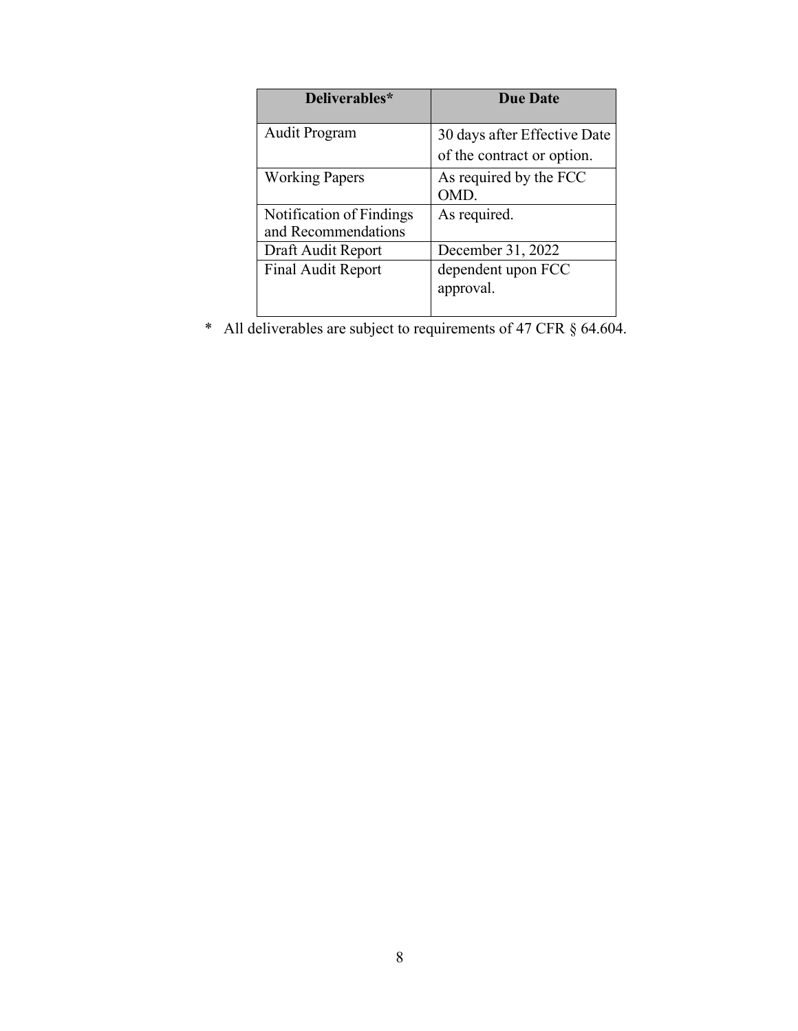| Deliverables*                                   | <b>Due Date</b>                                            |
|-------------------------------------------------|------------------------------------------------------------|
| <b>Audit Program</b>                            | 30 days after Effective Date<br>of the contract or option. |
| <b>Working Papers</b>                           | As required by the FCC<br>OMD.                             |
| Notification of Findings<br>and Recommendations | As required.                                               |
| Draft Audit Report                              | December 31, 2022                                          |
| Final Audit Report                              | dependent upon FCC<br>approval.                            |

\* All deliverables are subject to requirements of 47 CFR § 64.604.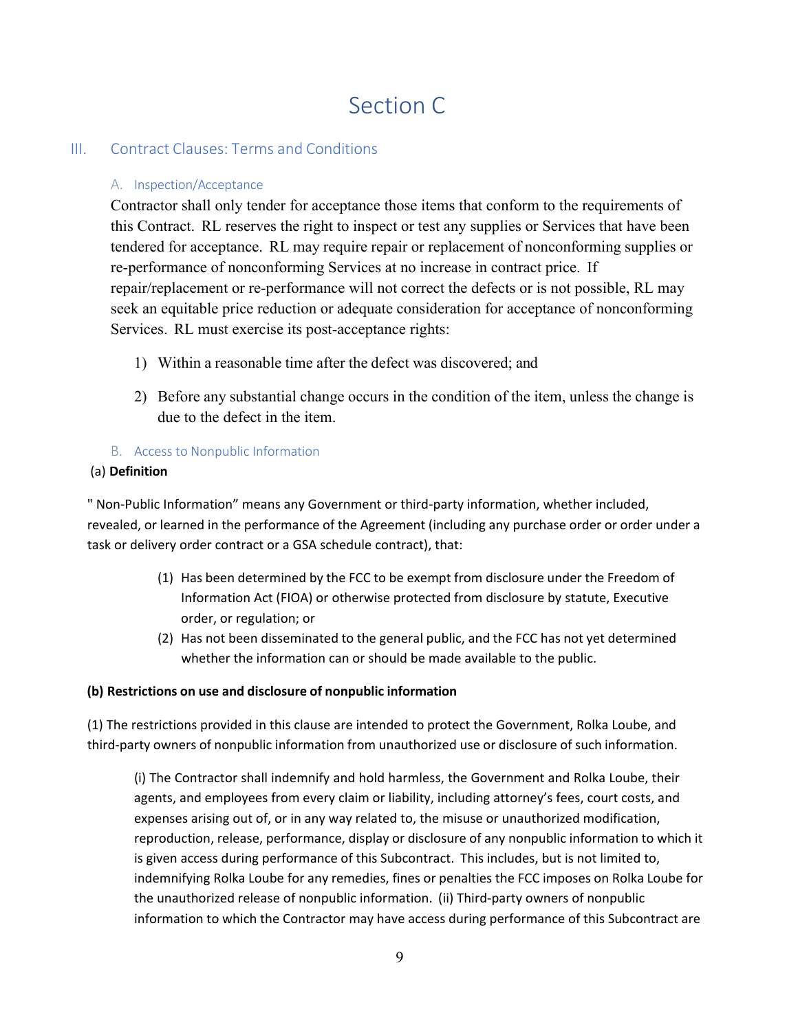# Section C

## III. Contract Clauses: Terms and Conditions

#### A. Inspection/Acceptance

Contractor shall only tender for acceptance those items that conform to the requirements of this Contract. RL reserves the right to inspect or test any supplies or Services that have been tendered for acceptance. RL may require repair or replacement of nonconforming supplies or re-performance of nonconforming Services at no increase in contract price. If repair/replacement or re-performance will not correct the defects or is not possible, RL may seek an equitable price reduction or adequate consideration for acceptance of nonconforming Services. RL must exercise its post-acceptance rights:

- 1) Within a reasonable time after the defect was discovered; and
- 2) Before any substantial change occurs in the condition of the item, unless the change is due to the defect in the item.

#### B. Access to Nonpublic Information

#### (a) **Definition**

" Non-Public Information" means any Government or third-party information, whether included, revealed, or learned in the performance of the Agreement (including any purchase order or order under a task or delivery order contract or a GSA schedule contract), that:

- (1) Has been determined by the FCC to be exempt from disclosure under the Freedom of Information Act (FIOA) or otherwise protected from disclosure by statute, Executive order, or regulation; or
- (2) Has not been disseminated to the general public, and the FCC has not yet determined whether the information can or should be made available to the public.

#### **(b) Restrictions on use and disclosure of nonpublic information**

(1) The restrictions provided in this clause are intended to protect the Government, Rolka Loube, and third-party owners of nonpublic information from unauthorized use or disclosure of such information.

(i) The Contractor shall indemnify and hold harmless, the Government and Rolka Loube, their agents, and employees from every claim or liability, including attorney's fees, court costs, and expenses arising out of, or in any way related to, the misuse or unauthorized modification, reproduction, release, performance, display or disclosure of any nonpublic information to which it is given access during performance of this Subcontract. This includes, but is not limited to, indemnifying Rolka Loube for any remedies, fines or penalties the FCC imposes on Rolka Loube for the unauthorized release of nonpublic information. (ii) Third-party owners of nonpublic information to which the Contractor may have access during performance of this Subcontract are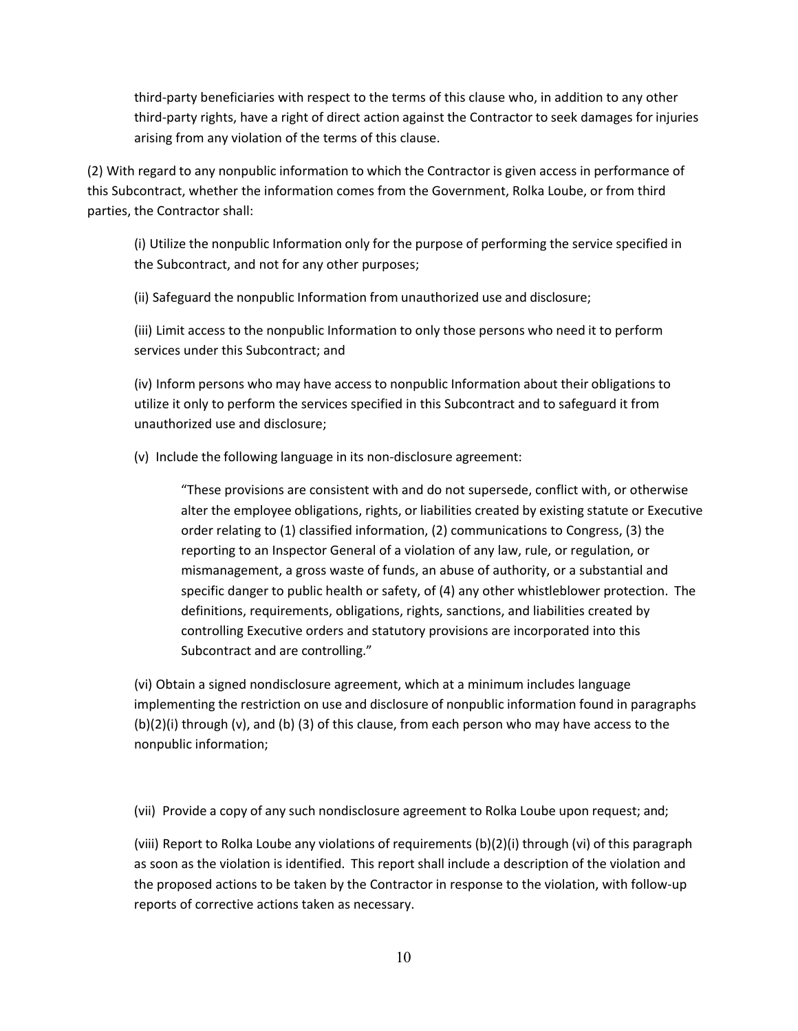third-party beneficiaries with respect to the terms of this clause who, in addition to any other third-party rights, have a right of direct action against the Contractor to seek damages for injuries arising from any violation of the terms of this clause.

(2) With regard to any nonpublic information to which the Contractor is given access in performance of this Subcontract, whether the information comes from the Government, Rolka Loube, or from third parties, the Contractor shall:

(i) Utilize the nonpublic Information only for the purpose of performing the service specified in the Subcontract, and not for any other purposes;

(ii) Safeguard the nonpublic Information from unauthorized use and disclosure;

(iii) Limit access to the nonpublic Information to only those persons who need it to perform services under this Subcontract; and

(iv) Inform persons who may have access to nonpublic Information about their obligations to utilize it only to perform the services specified in this Subcontract and to safeguard it from unauthorized use and disclosure;

(v) Include the following language in its non-disclosure agreement:

"These provisions are consistent with and do not supersede, conflict with, or otherwise alter the employee obligations, rights, or liabilities created by existing statute or Executive order relating to (1) classified information, (2) communications to Congress, (3) the reporting to an Inspector General of a violation of any law, rule, or regulation, or mismanagement, a gross waste of funds, an abuse of authority, or a substantial and specific danger to public health or safety, of (4) any other whistleblower protection. The definitions, requirements, obligations, rights, sanctions, and liabilities created by controlling Executive orders and statutory provisions are incorporated into this Subcontract and are controlling."

(vi) Obtain a signed nondisclosure agreement, which at a minimum includes language implementing the restriction on use and disclosure of nonpublic information found in paragraphs  $(b)(2)(i)$  through  $(v)$ , and  $(b)(3)$  of this clause, from each person who may have access to the nonpublic information;

(vii) Provide a copy of any such nondisclosure agreement to Rolka Loube upon request; and;

(viii) Report to Rolka Loube any violations of requirements (b)(2)(i) through (vi) of this paragraph as soon as the violation is identified. This report shall include a description of the violation and the proposed actions to be taken by the Contractor in response to the violation, with follow-up reports of corrective actions taken as necessary.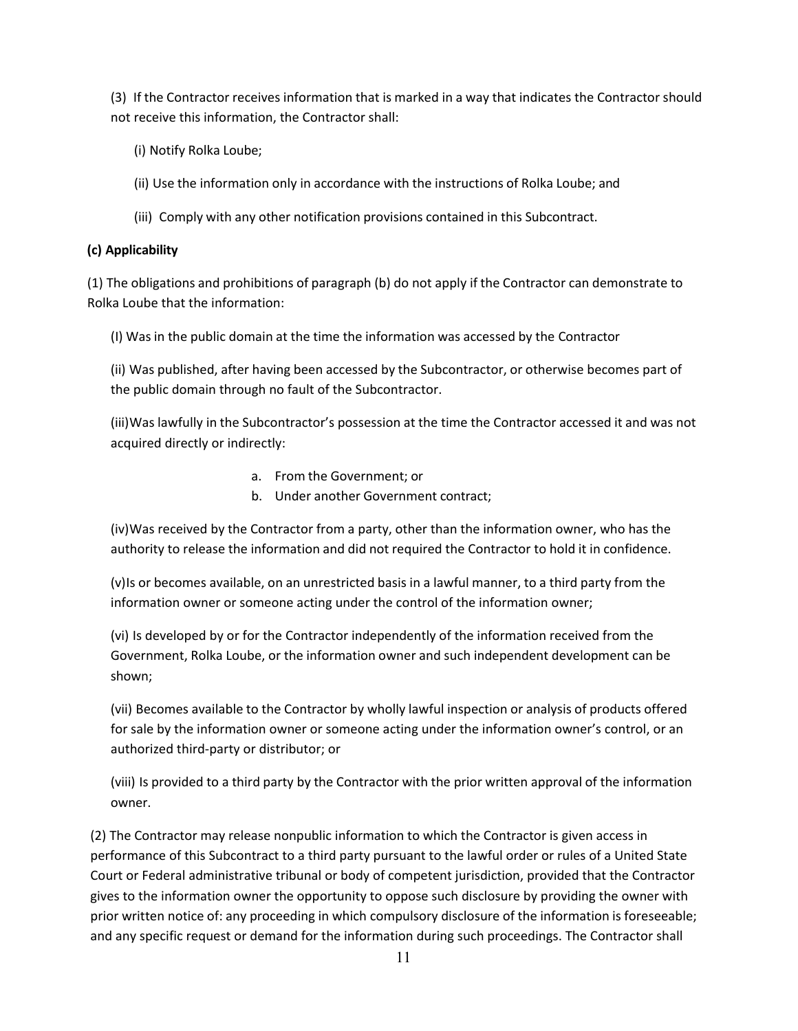(3) If the Contractor receives information that is marked in a way that indicates the Contractor should not receive this information, the Contractor shall:

- (i) Notify Rolka Loube;
- (ii) Use the information only in accordance with the instructions of Rolka Loube; and
- (iii) Comply with any other notification provisions contained in this Subcontract.

#### **(c) Applicability**

(1) The obligations and prohibitions of paragraph (b) do not apply if the Contractor can demonstrate to Rolka Loube that the information:

(I) Was in the public domain at the time the information was accessed by the Contractor

(ii) Was published, after having been accessed by the Subcontractor, or otherwise becomes part of the public domain through no fault of the Subcontractor.

(iii)Was lawfully in the Subcontractor's possession at the time the Contractor accessed it and was not acquired directly or indirectly:

- a. From the Government; or
- b. Under another Government contract;

(iv)Was received by the Contractor from a party, other than the information owner, who has the authority to release the information and did not required the Contractor to hold it in confidence.

(v)Is or becomes available, on an unrestricted basis in a lawful manner, to a third party from the information owner or someone acting under the control of the information owner;

(vi) Is developed by or for the Contractor independently of the information received from the Government, Rolka Loube, or the information owner and such independent development can be shown;

(vii) Becomes available to the Contractor by wholly lawful inspection or analysis of products offered for sale by the information owner or someone acting under the information owner's control, or an authorized third-party or distributor; or

(viii) Is provided to a third party by the Contractor with the prior written approval of the information owner.

(2) The Contractor may release nonpublic information to which the Contractor is given access in performance of this Subcontract to a third party pursuant to the lawful order or rules of a United State Court or Federal administrative tribunal or body of competent jurisdiction, provided that the Contractor gives to the information owner the opportunity to oppose such disclosure by providing the owner with prior written notice of: any proceeding in which compulsory disclosure of the information is foreseeable; and any specific request or demand for the information during such proceedings. The Contractor shall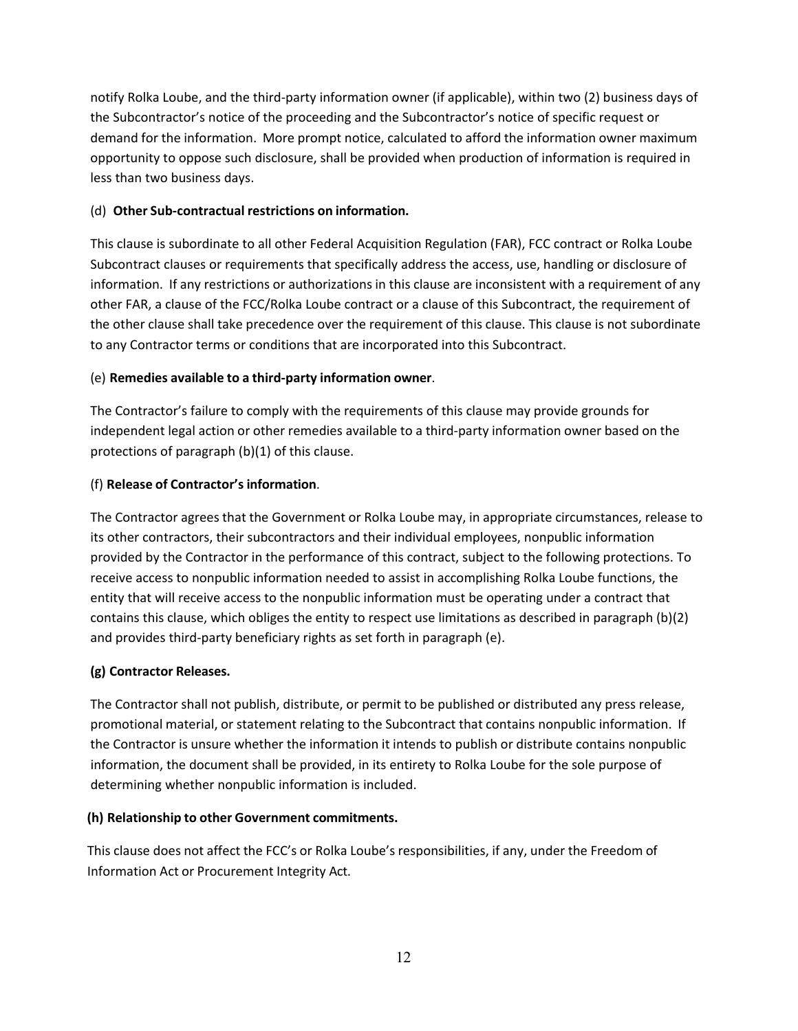notify Rolka Loube, and the third-party information owner (if applicable), within two (2) business days of the Subcontractor's notice of the proceeding and the Subcontractor's notice of specific request or demand for the information. More prompt notice, calculated to afford the information owner maximum opportunity to oppose such disclosure, shall be provided when production of information is required in less than two business days.

#### (d) **Other Sub-contractual restrictions on information.**

This clause is subordinate to all other Federal Acquisition Regulation (FAR), FCC contract or Rolka Loube Subcontract clauses or requirements that specifically address the access, use, handling or disclosure of information. If any restrictions or authorizations in this clause are inconsistent with a requirement of any other FAR, a clause of the FCC/Rolka Loube contract or a clause of this Subcontract, the requirement of the other clause shall take precedence over the requirement of this clause. This clause is not subordinate to any Contractor terms or conditions that are incorporated into this Subcontract.

#### (e) **Remedies available to a third-party information owner**.

The Contractor's failure to comply with the requirements of this clause may provide grounds for independent legal action or other remedies available to a third-party information owner based on the protections of paragraph (b)(1) of this clause.

#### (f) **Release of Contractor's information**.

The Contractor agrees that the Government or Rolka Loube may, in appropriate circumstances, release to its other contractors, their subcontractors and their individual employees, nonpublic information provided by the Contractor in the performance of this contract, subject to the following protections. To receive access to nonpublic information needed to assist in accomplishing Rolka Loube functions, the entity that will receive access to the nonpublic information must be operating under a contract that contains this clause, which obliges the entity to respect use limitations as described in paragraph (b)(2) and provides third-party beneficiary rights as set forth in paragraph (e).

#### **(g) Contractor Releases.**

The Contractor shall not publish, distribute, or permit to be published or distributed any press release, promotional material, or statement relating to the Subcontract that contains nonpublic information. If the Contractor is unsure whether the information it intends to publish or distribute contains nonpublic information, the document shall be provided, in its entirety to Rolka Loube for the sole purpose of determining whether nonpublic information is included.

#### **(h) Relationship to other Government commitments.**

This clause does not affect the FCC's or Rolka Loube's responsibilities, if any, under the Freedom of Information Act or Procurement Integrity Act.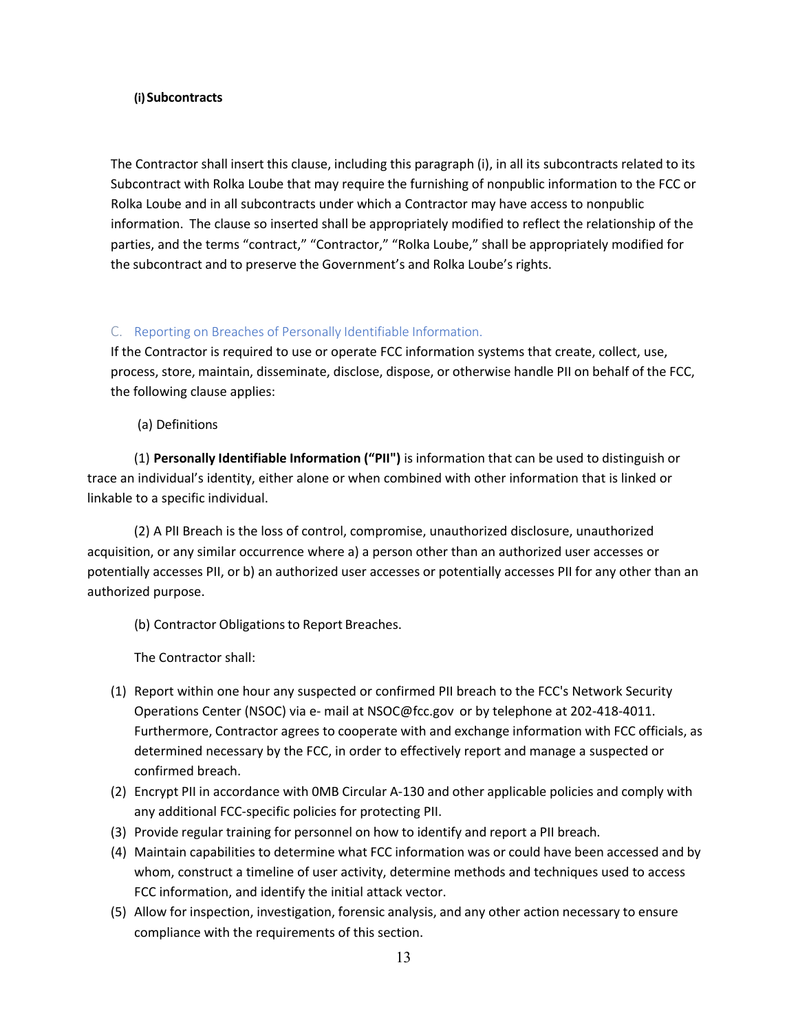#### **(i)Subcontracts**

The Contractor shall insert this clause, including this paragraph (i), in all its subcontracts related to its Subcontract with Rolka Loube that may require the furnishing of nonpublic information to the FCC or Rolka Loube and in all subcontracts under which a Contractor may have access to nonpublic information. The clause so inserted shall be appropriately modified to reflect the relationship of the parties, and the terms "contract," "Contractor," "Rolka Loube," shall be appropriately modified for the subcontract and to preserve the Government's and Rolka Loube's rights.

#### C. Reporting on Breaches of Personally Identifiable Information.

If the Contractor is required to use or operate FCC information systems that create, collect, use, process, store, maintain, disseminate, disclose, dispose, or otherwise handle PII on behalf of the FCC, the following clause applies:

(a) Definitions

(1) **Personally Identifiable Information ("PII")** is information that can be used to distinguish or trace an individual's identity, either alone or when combined with other information that is linked or linkable to a specific individual.

(2) A PlI Breach is the loss of control, compromise, unauthorized disclosure, unauthorized acquisition, or any similar occurrence where a) a person other than an authorized user accesses or potentially accesses PII, or b) an authorized user accesses or potentially accesses PII for any other than an authorized purpose.

(b) Contractor Obligations to Report Breaches.

The Contractor shall:

- (1) Report within one hour any suspected or confirmed PII breach to the FCC's Network Security Operations Center (NSOC) via e- mail at [NSOC@fcc.gov](mailto:NSOC@fcc.gov) or by telephone at 202-418-4011. Furthermore, Contractor agrees to cooperate with and exchange information with FCC officials, as determined necessary by the FCC, in order to effectively report and manage a suspected or confirmed breach.
- (2) Encrypt PII in accordance with 0MB Circular A-130 and other applicable policies and comply with any additional FCC-specific policies for protecting PII.
- (3) Provide regular training for personnel on how to identify and report a PII breach.
- (4) Maintain capabilities to determine what FCC information was or could have been accessed and by whom, construct a timeline of user activity, determine methods and techniques used to access FCC information, and identify the initial attack vector.
- (5) Allow for inspection, investigation, forensic analysis, and any other action necessary to ensure compliance with the requirements of this section.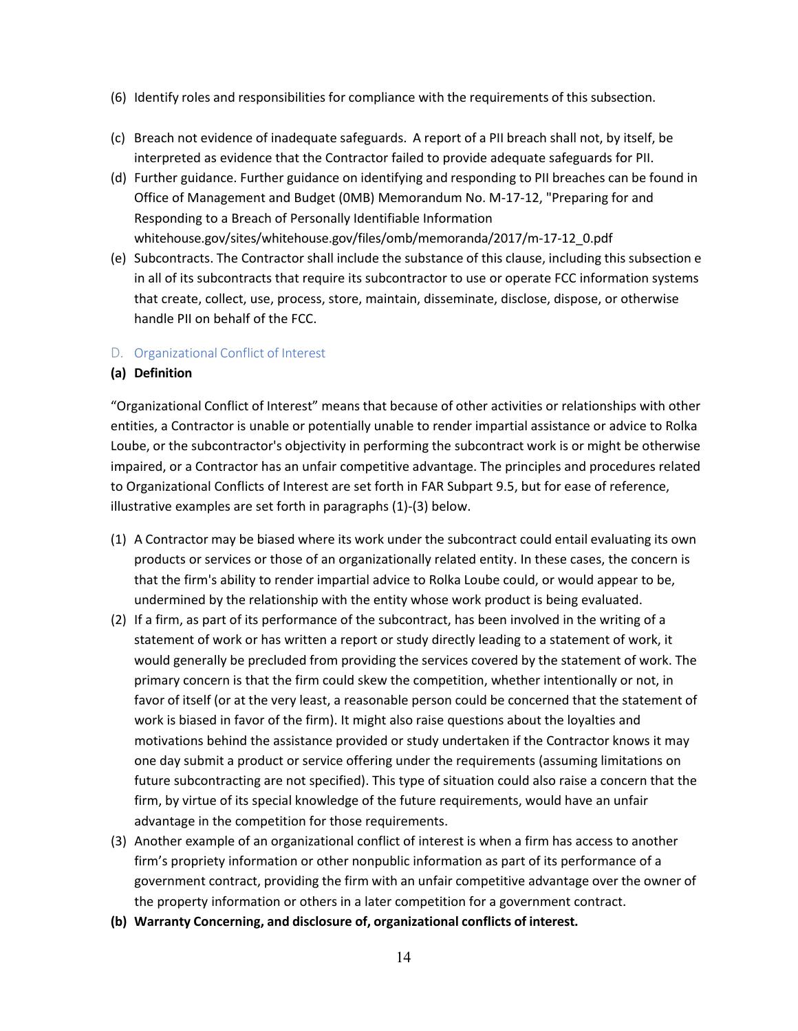- (6) Identify roles and responsibilities for compliance with the requirements of this subsection.
- (c) Breach not evidence of inadequate safeguards. A report of a PII breach shall not, by itself, be interpreted as evidence that the Contractor failed to provide adequate safeguards for PII.
- (d) Further guidance. Further guidance on identifying and responding to PII breaches can be found in Office of Management and Budget (0MB) Memorandum No. M-17-12, "Preparing for and Responding to a Breach of Personally Identifiable Information whitehouse.gov/sites/whitehouse.gov/files/omb/memoranda/2017/m-17-12\_0.pdf
- (e) Subcontracts. The Contractor shall include the substance of this clause, including this subsection e in all of its subcontracts that require its subcontractor to use or operate FCC information systems that create, collect, use, process, store, maintain, disseminate, disclose, dispose, or otherwise handle PII on behalf of the FCC.

#### D. Organizational Conflict of Interest

#### **(a) Definition**

"Organizational Conflict of Interest" means that because of other activities or relationships with other entities, a Contractor is unable or potentially unable to render impartial assistance or advice to Rolka Loube, or the subcontractor's objectivity in performing the subcontract work is or might be otherwise impaired, or a Contractor has an unfair competitive advantage. The principles and procedures related to Organizational Conflicts of Interest are set forth in FAR Subpart 9.5, but for ease of reference, illustrative examples are set forth in paragraphs (1)-(3) below.

- (1) A Contractor may be biased where its work under the subcontract could entail evaluating its own products or services or those of an organizationally related entity. In these cases, the concern is that the firm's ability to render impartial advice to Rolka Loube could, or would appear to be, undermined by the relationship with the entity whose work product is being evaluated.
- (2) If a firm, as part of its performance of the subcontract, has been involved in the writing of a statement of work or has written a report or study directly leading to a statement of work, it would generally be precluded from providing the services covered by the statement of work. The primary concern is that the firm could skew the competition, whether intentionally or not, in favor of itself (or at the very least, a reasonable person could be concerned that the statement of work is biased in favor of the firm). It might also raise questions about the loyalties and motivations behind the assistance provided or study undertaken if the Contractor knows it may one day submit a product or service offering under the requirements (assuming limitations on future subcontracting are not specified). This type of situation could also raise a concern that the firm, by virtue of its special knowledge of the future requirements, would have an unfair advantage in the competition for those requirements.
- (3) Another example of an organizational conflict of interest is when a firm has access to another firm's propriety information or other nonpublic information as part of its performance of a government contract, providing the firm with an unfair competitive advantage over the owner of the property information or others in a later competition for a government contract.
- **(b) Warranty Concerning, and disclosure of, organizational conflicts of interest.**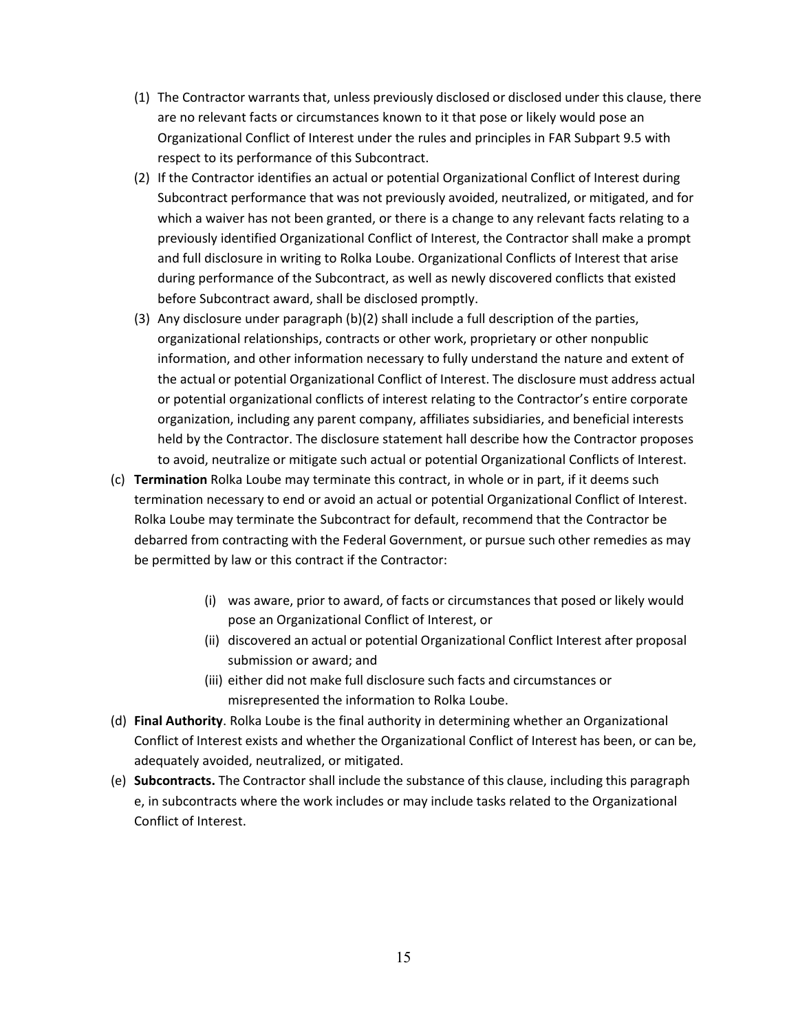- (1) The Contractor warrants that, unless previously disclosed or disclosed under this clause, there are no relevant facts or circumstances known to it that pose or likely would pose an Organizational Conflict of Interest under the rules and principles in FAR Subpart 9.5 with respect to its performance of this Subcontract.
- (2) If the Contractor identifies an actual or potential Organizational Conflict of Interest during Subcontract performance that was not previously avoided, neutralized, or mitigated, and for which a waiver has not been granted, or there is a change to any relevant facts relating to a previously identified Organizational Conflict of Interest, the Contractor shall make a prompt and full disclosure in writing to Rolka Loube. Organizational Conflicts of Interest that arise during performance of the Subcontract, as well as newly discovered conflicts that existed before Subcontract award, shall be disclosed promptly.
- (3) Any disclosure under paragraph (b)(2) shall include a full description of the parties, organizational relationships, contracts or other work, proprietary or other nonpublic information, and other information necessary to fully understand the nature and extent of the actual or potential Organizational Conflict of Interest. The disclosure must address actual or potential organizational conflicts of interest relating to the Contractor's entire corporate organization, including any parent company, affiliates subsidiaries, and beneficial interests held by the Contractor. The disclosure statement hall describe how the Contractor proposes to avoid, neutralize or mitigate such actual or potential Organizational Conflicts of Interest.
- (c) **Termination** Rolka Loube may terminate this contract, in whole or in part, if it deems such termination necessary to end or avoid an actual or potential Organizational Conflict of Interest. Rolka Loube may terminate the Subcontract for default, recommend that the Contractor be debarred from contracting with the Federal Government, or pursue such other remedies as may be permitted by law or this contract if the Contractor:
	- (i) was aware, prior to award, of facts or circumstances that posed or likely would pose an Organizational Conflict of Interest, or
	- (ii) discovered an actual or potential Organizational Conflict Interest after proposal submission or award; and
	- (iii) either did not make full disclosure such facts and circumstances or misrepresented the information to Rolka Loube.
- (d) **Final Authority**. Rolka Loube is the final authority in determining whether an Organizational Conflict of Interest exists and whether the Organizational Conflict of Interest has been, or can be, adequately avoided, neutralized, or mitigated.
- (e) **Subcontracts.** The Contractor shall include the substance of this clause, including this paragraph e, in subcontracts where the work includes or may include tasks related to the Organizational Conflict of Interest.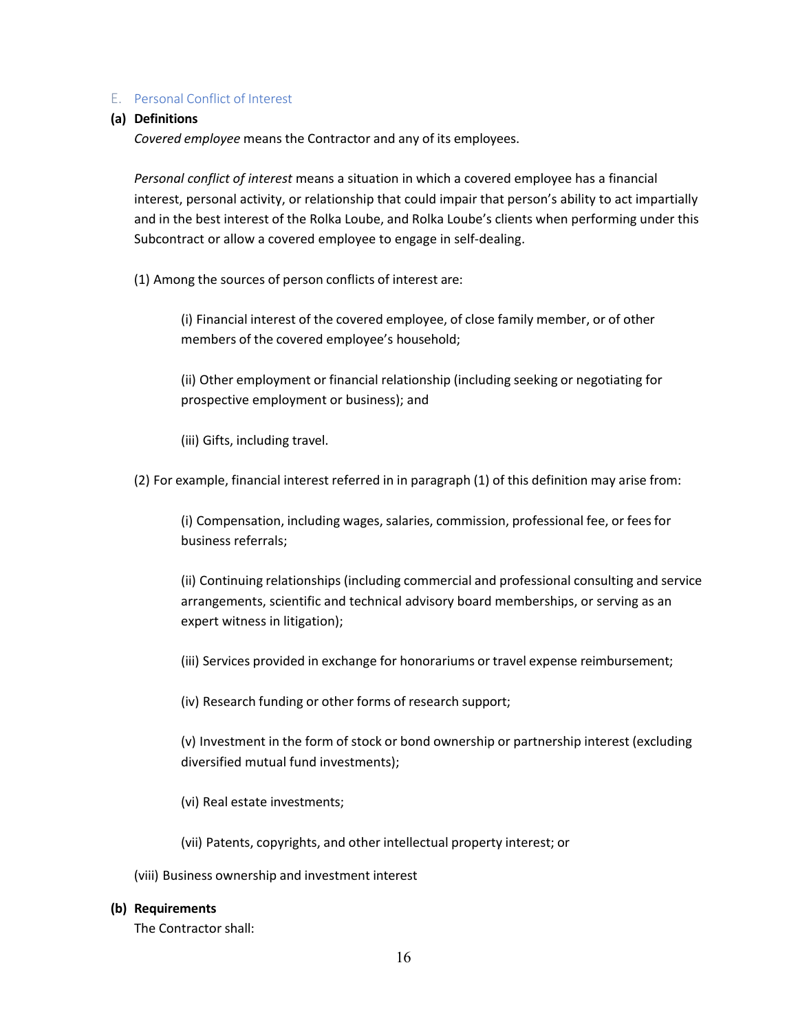#### E. Personal Conflict of Interest

#### **(a) Definitions**

*Covered employee* means the Contractor and any of its employees.

*Personal conflict of interest* means a situation in which a covered employee has a financial interest, personal activity, or relationship that could impair that person's ability to act impartially and in the best interest of the Rolka Loube, and Rolka Loube's clients when performing under this Subcontract or allow a covered employee to engage in self-dealing.

(1) Among the sources of person conflicts of interest are:

(i) Financial interest of the covered employee, of close family member, or of other members of the covered employee's household;

(ii) Other employment or financial relationship (including seeking or negotiating for prospective employment or business); and

(iii) Gifts, including travel.

(2) For example, financial interest referred in in paragraph (1) of this definition may arise from:

(i) Compensation, including wages, salaries, commission, professional fee, or feesfor business referrals;

(ii) Continuing relationships (including commercial and professional consulting and service arrangements, scientific and technical advisory board memberships, or serving as an expert witness in litigation);

(iii) Services provided in exchange for honorariums or travel expense reimbursement;

(iv) Research funding or other forms of research support;

(v) Investment in the form of stock or bond ownership or partnership interest (excluding diversified mutual fund investments);

(vi) Real estate investments;

(vii) Patents, copyrights, and other intellectual property interest; or

(viii) Business ownership and investment interest

#### **(b) Requirements**

The Contractor shall: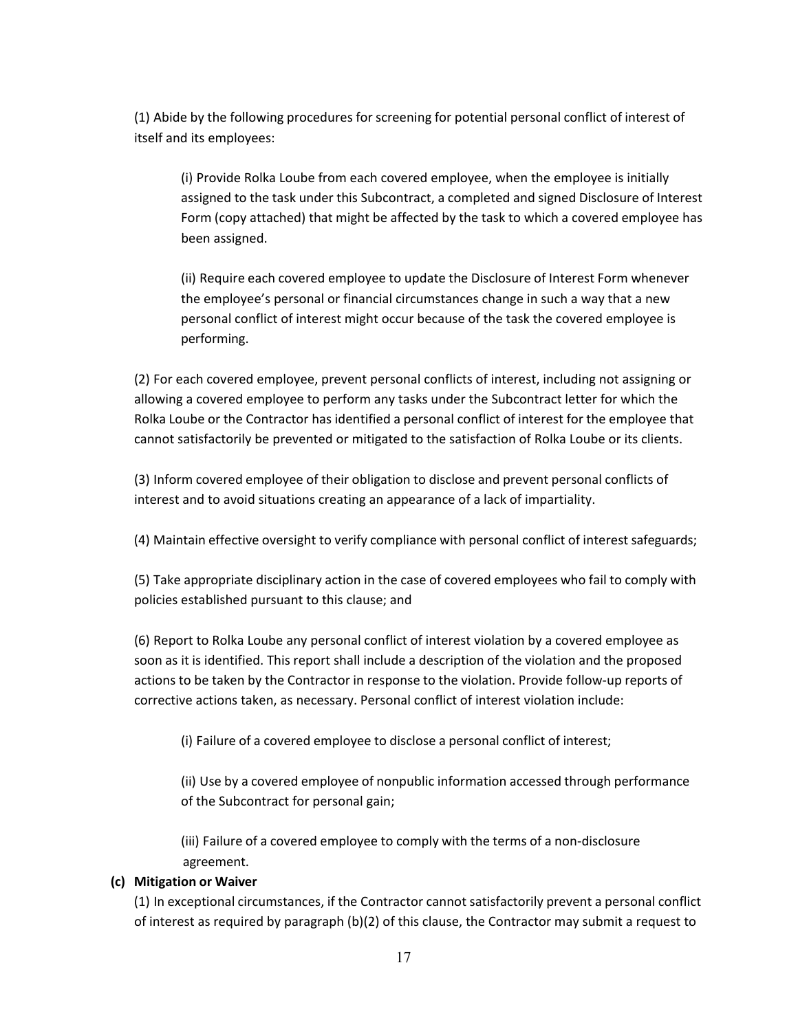(1) Abide by the following procedures for screening for potential personal conflict of interest of itself and its employees:

(i) Provide Rolka Loube from each covered employee, when the employee is initially assigned to the task under this Subcontract, a completed and signed Disclosure of Interest Form (copy attached) that might be affected by the task to which a covered employee has been assigned.

(ii) Require each covered employee to update the Disclosure of Interest Form whenever the employee's personal or financial circumstances change in such a way that a new personal conflict of interest might occur because of the task the covered employee is performing.

(2) For each covered employee, prevent personal conflicts of interest, including not assigning or allowing a covered employee to perform any tasks under the Subcontract letter for which the Rolka Loube or the Contractor has identified a personal conflict of interest for the employee that cannot satisfactorily be prevented or mitigated to the satisfaction of Rolka Loube or its clients.

(3) Inform covered employee of their obligation to disclose and prevent personal conflicts of interest and to avoid situations creating an appearance of a lack of impartiality.

(4) Maintain effective oversight to verify compliance with personal conflict of interest safeguards;

(5) Take appropriate disciplinary action in the case of covered employees who fail to comply with policies established pursuant to this clause; and

(6) Report to Rolka Loube any personal conflict of interest violation by a covered employee as soon as it is identified. This report shall include a description of the violation and the proposed actions to be taken by the Contractor in response to the violation. Provide follow-up reports of corrective actions taken, as necessary. Personal conflict of interest violation include:

(i) Failure of a covered employee to disclose a personal conflict of interest;

(ii) Use by a covered employee of nonpublic information accessed through performance of the Subcontract for personal gain;

(iii) Failure of a covered employee to comply with the terms of a non-disclosure agreement.

#### **(c) Mitigation or Waiver**

(1) In exceptional circumstances, if the Contractor cannot satisfactorily prevent a personal conflict of interest as required by paragraph (b)(2) of this clause, the Contractor may submit a request to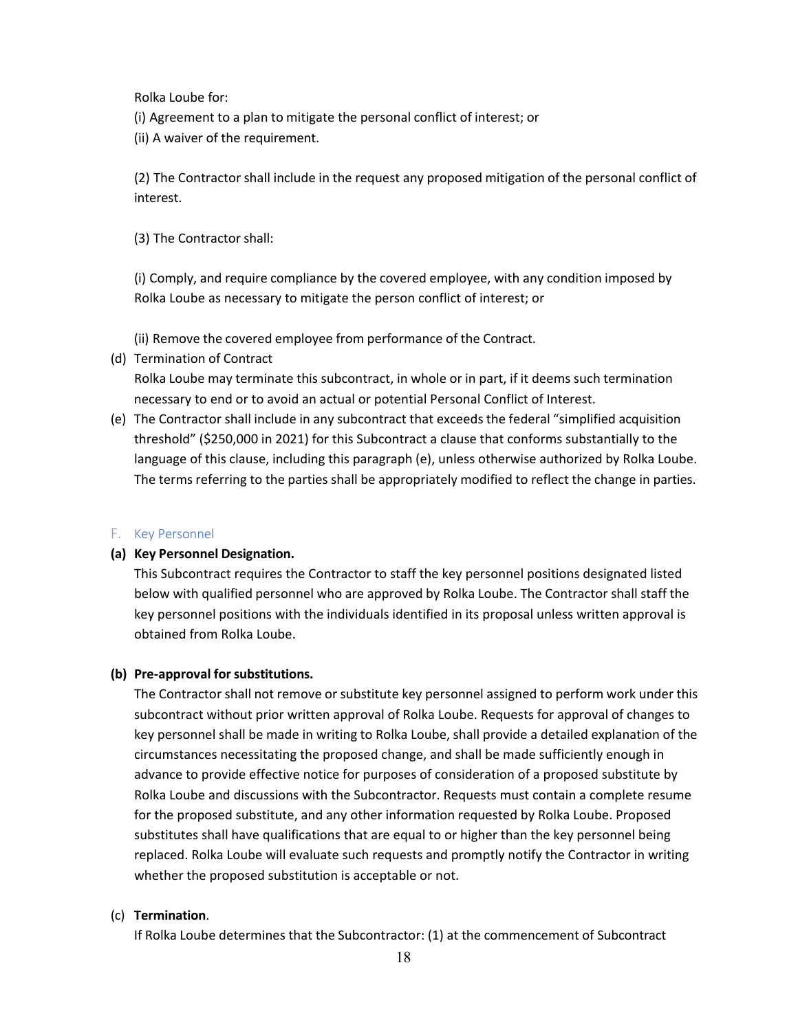Rolka Loube for:

- (i) Agreement to a plan to mitigate the personal conflict of interest; or
- (ii) A waiver of the requirement.

(2) The Contractor shall include in the request any proposed mitigation of the personal conflict of interest.

(3) The Contractor shall:

(i) Comply, and require compliance by the covered employee, with any condition imposed by Rolka Loube as necessary to mitigate the person conflict of interest; or

(ii) Remove the covered employee from performance of the Contract.

(d) Termination of Contract

Rolka Loube may terminate this subcontract, in whole or in part, if it deems such termination necessary to end or to avoid an actual or potential Personal Conflict of Interest.

(e) The Contractor shall include in any subcontract that exceeds the federal "simplified acquisition threshold" (\$250,000 in 2021) for this Subcontract a clause that conforms substantially to the language of this clause, including this paragraph (e), unless otherwise authorized by Rolka Loube. The terms referring to the parties shall be appropriately modified to reflect the change in parties.

#### F. Key Personnel

#### **(a) Key Personnel Designation.**

This Subcontract requires the Contractor to staff the key personnel positions designated listed below with qualified personnel who are approved by Rolka Loube. The Contractor shall staff the key personnel positions with the individuals identified in its proposal unless written approval is obtained from Rolka Loube.

#### **(b) Pre-approval forsubstitutions.**

The Contractor shall not remove or substitute key personnel assigned to perform work under this subcontract without prior written approval of Rolka Loube. Requests for approval of changes to key personnel shall be made in writing to Rolka Loube, shall provide a detailed explanation of the circumstances necessitating the proposed change, and shall be made sufficiently enough in advance to provide effective notice for purposes of consideration of a proposed substitute by Rolka Loube and discussions with the Subcontractor. Requests must contain a complete resume for the proposed substitute, and any other information requested by Rolka Loube. Proposed substitutes shall have qualifications that are equal to or higher than the key personnel being replaced. Rolka Loube will evaluate such requests and promptly notify the Contractor in writing whether the proposed substitution is acceptable or not.

#### (c) **Termination**.

If Rolka Loube determines that the Subcontractor: (1) at the commencement of Subcontract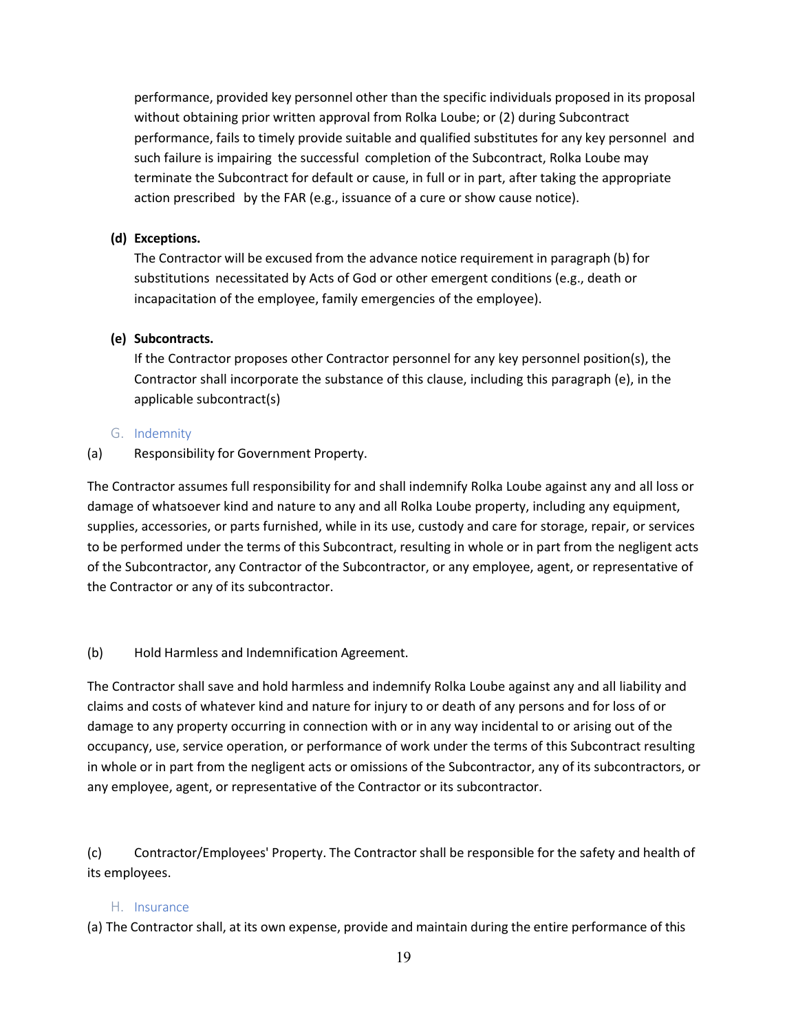performance, provided key personnel other than the specific individuals proposed in its proposal without obtaining prior written approval from Rolka Loube; or (2) during Subcontract performance, fails to timely provide suitable and qualified substitutes for any key personnel and such failure is impairing the successful completion of the Subcontract, Rolka Loube may terminate the Subcontract for default or cause, in full or in part, after taking the appropriate action prescribed by the FAR (e.g., issuance of a cure or show cause notice).

#### **(d) Exceptions.**

The Contractor will be excused from the advance notice requirement in paragraph (b) for substitutions necessitated by Acts of God or other emergent conditions (e.g., death or incapacitation of the employee, family emergencies of the employee).

#### **(e) Subcontracts.**

If the Contractor proposes other Contractor personnel for any key personnel position(s), the Contractor shall incorporate the substance of this clause, including this paragraph (e), in the applicable subcontract(s)

#### G. Indemnity

(a) Responsibility for Government Property.

The Contractor assumes full responsibility for and shall indemnify Rolka Loube against any and all loss or damage of whatsoever kind and nature to any and all Rolka Loube property, including any equipment, supplies, accessories, or parts furnished, while in its use, custody and care for storage, repair, or services to be performed under the terms of this Subcontract, resulting in whole or in part from the negligent acts of the Subcontractor, any Contractor of the Subcontractor, or any employee, agent, or representative of the Contractor or any of its subcontractor.

#### (b) Hold Harmless and Indemnification Agreement.

The Contractor shall save and hold harmless and indemnify Rolka Loube against any and all liability and claims and costs of whatever kind and nature for injury to or death of any persons and for loss of or damage to any property occurring in connection with or in any way incidental to or arising out of the occupancy, use, service operation, or performance of work under the terms of this Subcontract resulting in whole or in part from the negligent acts or omissions of the Subcontractor, any of its subcontractors, or any employee, agent, or representative of the Contractor or its subcontractor.

(c) Contractor/Employees' Property. The Contractor shall be responsible for the safety and health of its employees.

#### H. Insurance

(a) The Contractor shall, at its own expense, provide and maintain during the entire performance of this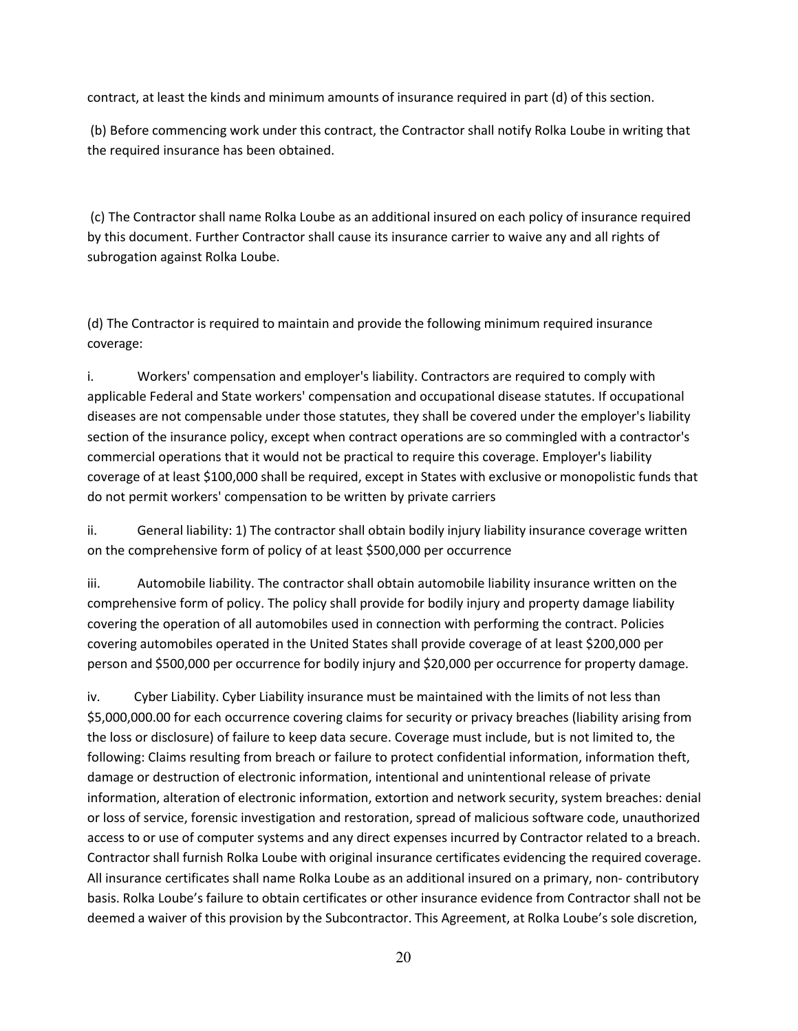contract, at least the kinds and minimum amounts of insurance required in part (d) of this section.

(b) Before commencing work under this contract, the Contractor shall notify Rolka Loube in writing that the required insurance has been obtained.

(c) The Contractor shall name Rolka Loube as an additional insured on each policy of insurance required by this document. Further Contractor shall cause its insurance carrier to waive any and all rights of subrogation against Rolka Loube.

(d) The Contractor is required to maintain and provide the following minimum required insurance coverage:

i. Workers' compensation and employer's liability. Contractors are required to comply with applicable Federal and State workers' compensation and occupational disease statutes. If occupational diseases are not compensable under those statutes, they shall be covered under the employer's liability section of the insurance policy, except when contract operations are so commingled with a contractor's commercial operations that it would not be practical to require this coverage. Employer's liability coverage of at least \$100,000 shall be required, except in States with exclusive or monopolistic funds that do not permit workers' compensation to be written by private carriers

ii. General liability: 1) The contractor shall obtain bodily injury liability insurance coverage written on the comprehensive form of policy of at least \$500,000 per occurrence

iii. Automobile liability. The contractor shall obtain automobile liability insurance written on the comprehensive form of policy. The policy shall provide for bodily injury and property damage liability covering the operation of all automobiles used in connection with performing the contract. Policies covering automobiles operated in the United States shall provide coverage of at least \$200,000 per person and \$500,000 per occurrence for bodily injury and \$20,000 per occurrence for property damage.

iv. Cyber Liability. Cyber Liability insurance must be maintained with the limits of not less than \$5,000,000.00 for each occurrence covering claims for security or privacy breaches (liability arising from the loss or disclosure) of failure to keep data secure. Coverage must include, but is not limited to, the following: Claims resulting from breach or failure to protect confidential information, information theft, damage or destruction of electronic information, intentional and unintentional release of private information, alteration of electronic information, extortion and network security, system breaches: denial or loss of service, forensic investigation and restoration, spread of malicious software code, unauthorized access to or use of computer systems and any direct expenses incurred by Contractor related to a breach. Contractor shall furnish Rolka Loube with original insurance certificates evidencing the required coverage. All insurance certificates shall name Rolka Loube as an additional insured on a primary, non- contributory basis. Rolka Loube's failure to obtain certificates or other insurance evidence from Contractor shall not be deemed a waiver of this provision by the Subcontractor. This Agreement, at Rolka Loube's sole discretion,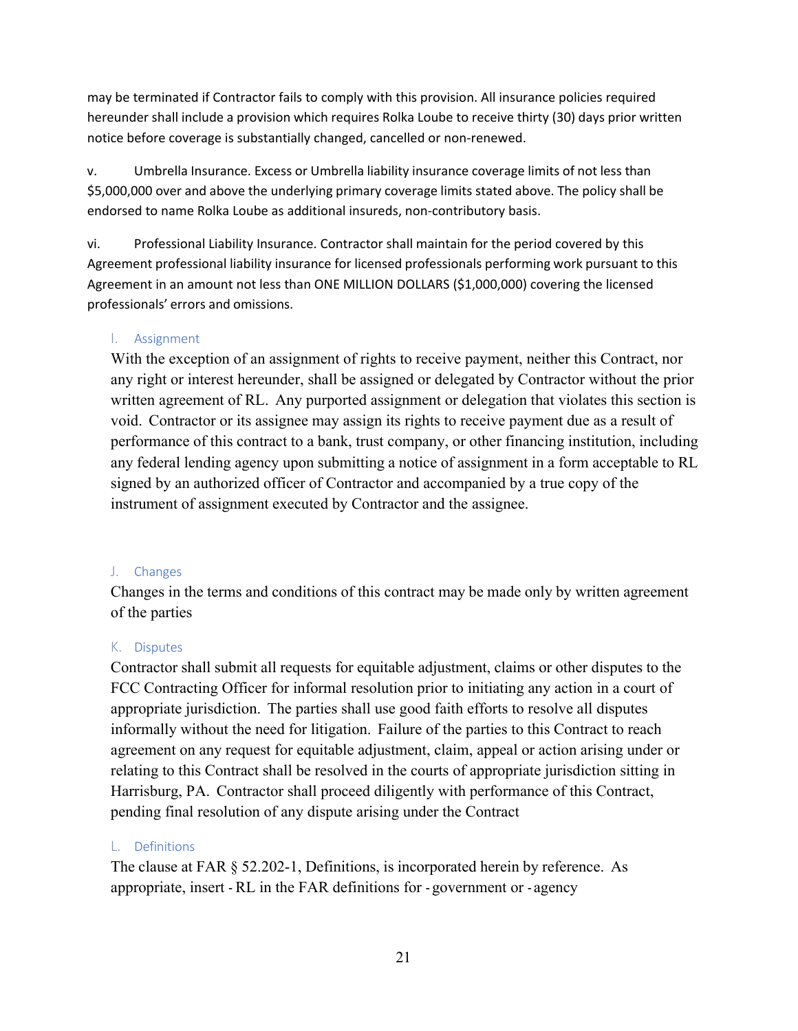may be terminated if Contractor fails to comply with this provision. All insurance policies required hereunder shall include a provision which requires Rolka Loube to receive thirty (30) days prior written notice before coverage is substantially changed, cancelled or non-renewed.

v. Umbrella Insurance. Excess or Umbrella liability insurance coverage limits of not less than \$5,000,000 over and above the underlying primary coverage limits stated above. The policy shall be endorsed to name Rolka Loube as additional insureds, non-contributory basis.

vi. Professional Liability Insurance. Contractor shall maintain for the period covered by this Agreement professional liability insurance for licensed professionals performing work pursuant to this Agreement in an amount not less than ONE MILLION DOLLARS (\$1,000,000) covering the licensed professionals' errors and omissions.

#### I. Assignment

With the exception of an assignment of rights to receive payment, neither this Contract, nor any right or interest hereunder, shall be assigned or delegated by Contractor without the prior written agreement of RL. Any purported assignment or delegation that violates this section is void. Contractor or its assignee may assign its rights to receive payment due as a result of performance of this contract to a bank, trust company, or other financing institution, including any federal lending agency upon submitting a notice of assignment in a form acceptable to RL signed by an authorized officer of Contractor and accompanied by a true copy of the instrument of assignment executed by Contractor and the assignee.

#### J. Changes

Changes in the terms and conditions of this contract may be made only by written agreement of the parties

#### K. Disputes

Contractor shall submit all requests for equitable adjustment, claims or other disputes to the FCC Contracting Officer for informal resolution prior to initiating any action in a court of appropriate jurisdiction. The parties shall use good faith efforts to resolve all disputes informally without the need for litigation. Failure of the parties to this Contract to reach agreement on any request for equitable adjustment, claim, appeal or action arising under or relating to this Contract shall be resolved in the courts of appropriate jurisdiction sitting in Harrisburg, PA. Contractor shall proceed diligently with performance of this Contract, pending final resolution of any dispute arising under the Contract

#### L. Definitions

The clause at FAR § [52.202-1,](https://www.acquisition.gov/far/current/html/52_200_206.html#wp1137572) Definitions, is incorporated herein by reference. As appropriate, insert - RL in the FAR definitions for - government or - agency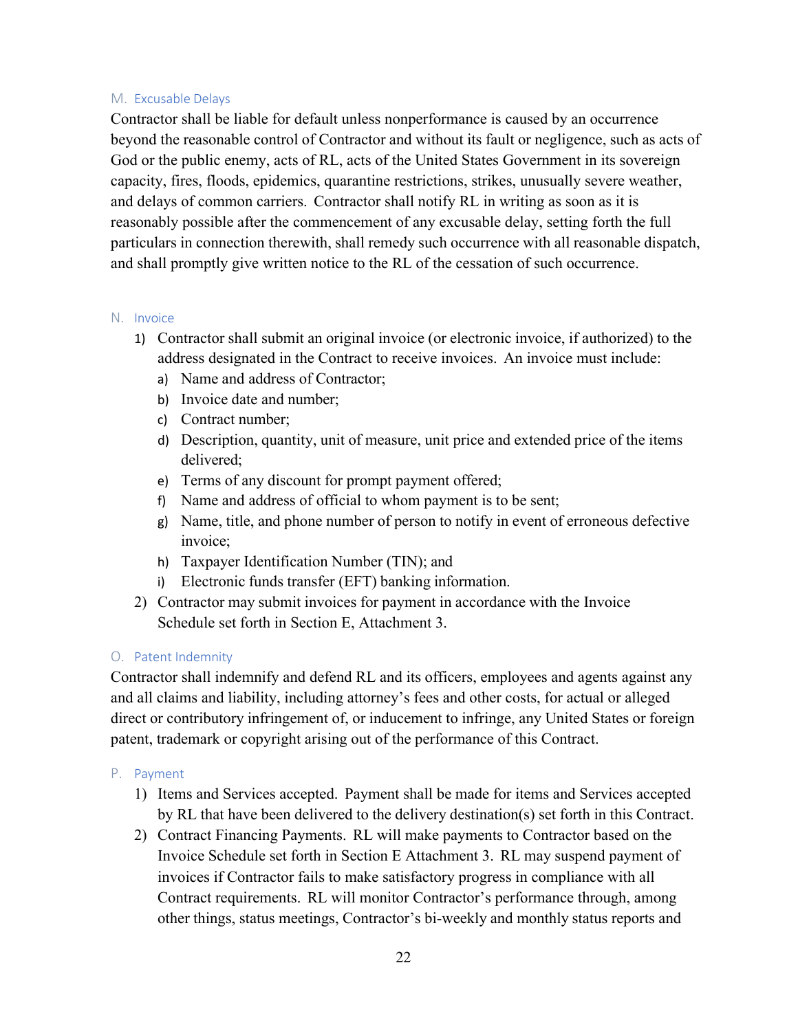#### M. Excusable Delays

Contractor shall be liable for default unless nonperformance is caused by an occurrence beyond the reasonable control of Contractor and without its fault or negligence, such as acts of God or the public enemy, acts of RL, acts of the United States Government in its sovereign capacity, fires, floods, epidemics, quarantine restrictions, strikes, unusually severe weather, and delays of common carriers. Contractor shall notify RL in writing as soon as it is reasonably possible after the commencement of any excusable delay, setting forth the full particulars in connection therewith, shall remedy such occurrence with all reasonable dispatch, and shall promptly give written notice to the RL of the cessation of such occurrence.

#### N. Invoice

- 1) Contractor shall submit an original invoice (or electronic invoice, if authorized) to the address designated in the Contract to receive invoices. An invoice must include:
	- a) Name and address of Contractor;
	- b) Invoice date and number;
	- c) Contract number;
	- d) Description, quantity, unit of measure, unit price and extended price of the items delivered;
	- e) Terms of any discount for prompt payment offered;
	- f) Name and address of official to whom payment is to be sent;
	- g) Name, title, and phone number of person to notify in event of erroneous defective invoice;
	- h) Taxpayer Identification Number (TIN); and
	- i) Electronic funds transfer (EFT) banking information.
- 2) Contractor may submit invoices for payment in accordance with the Invoice Schedule set forth in Section E, Attachment 3.

#### O. Patent Indemnity

Contractor shall indemnify and defend RL and its officers, employees and agents against any and all claims and liability, including attorney's fees and other costs, for actual or alleged direct or contributory infringement of, or inducement to infringe, any United States or foreign patent, trademark or copyright arising out of the performance of this Contract.

- P. Payment
	- 1) Items and Services accepted. Payment shall be made for items and Services accepted by RL that have been delivered to the delivery destination(s) set forth in this Contract.
	- 2) Contract Financing Payments. RL will make payments to Contractor based on the Invoice Schedule set forth in Section E Attachment 3. RL may suspend payment of invoices if Contractor fails to make satisfactory progress in compliance with all Contract requirements. RL will monitor Contractor's performance through, among other things, status meetings, Contractor's bi-weekly and monthly status reports and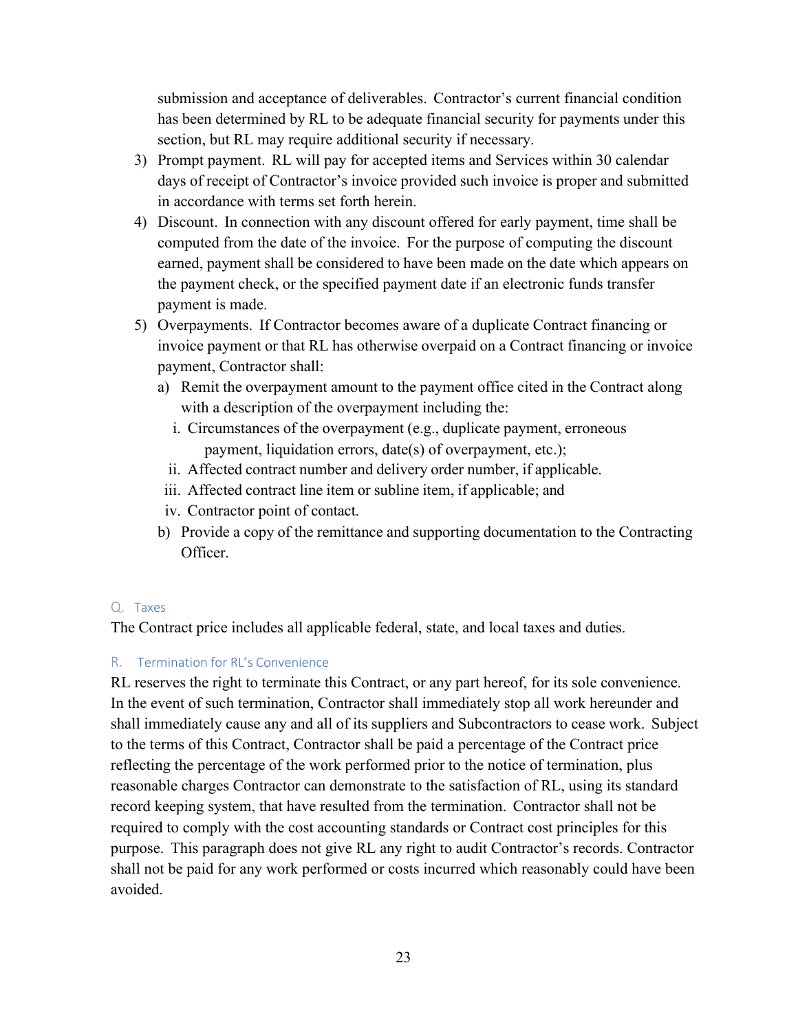submission and acceptance of deliverables. Contractor's current financial condition has been determined by RL to be adequate financial security for payments under this section, but RL may require additional security if necessary.

- 3) Prompt payment. RL will pay for accepted items and Services within 30 calendar days of receipt of Contractor's invoice provided such invoice is proper and submitted in accordance with terms set forth herein.
- 4) Discount. In connection with any discount offered for early payment, time shall be computed from the date of the invoice. For the purpose of computing the discount earned, payment shall be considered to have been made on the date which appears on the payment check, or the specified payment date if an electronic funds transfer payment is made.
- 5) Overpayments. If Contractor becomes aware of a duplicate Contract financing or invoice payment or that RL has otherwise overpaid on a Contract financing or invoice payment, Contractor shall:
	- a) Remit the overpayment amount to the payment office cited in the Contract along with a description of the overpayment including the:
		- i. Circumstances of the overpayment (e.g., duplicate payment, erroneous payment, liquidation errors, date(s) of overpayment, etc.);
		- ii. Affected contract number and delivery order number, if applicable.
	- iii. Affected contract line item or subline item, if applicable; and
	- iv. Contractor point of contact.
	- b) Provide a copy of the remittance and supporting documentation to the Contracting Officer.

#### Q. Taxes

The Contract price includes all applicable federal, state, and local taxes and duties.

#### R. Termination for RL's Convenience

RL reserves the right to terminate this Contract, or any part hereof, for its sole convenience. In the event of such termination, Contractor shall immediately stop all work hereunder and shall immediately cause any and all of its suppliers and Subcontractors to cease work. Subject to the terms of this Contract, Contractor shall be paid a percentage of the Contract price reflecting the percentage of the work performed prior to the notice of termination, plus reasonable charges Contractor can demonstrate to the satisfaction of RL, using its standard record keeping system, that have resulted from the termination. Contractor shall not be required to comply with the cost accounting standards or Contract cost principles for this purpose. This paragraph does not give RL any right to audit Contractor's records. Contractor shall not be paid for any work performed or costs incurred which reasonably could have been avoided.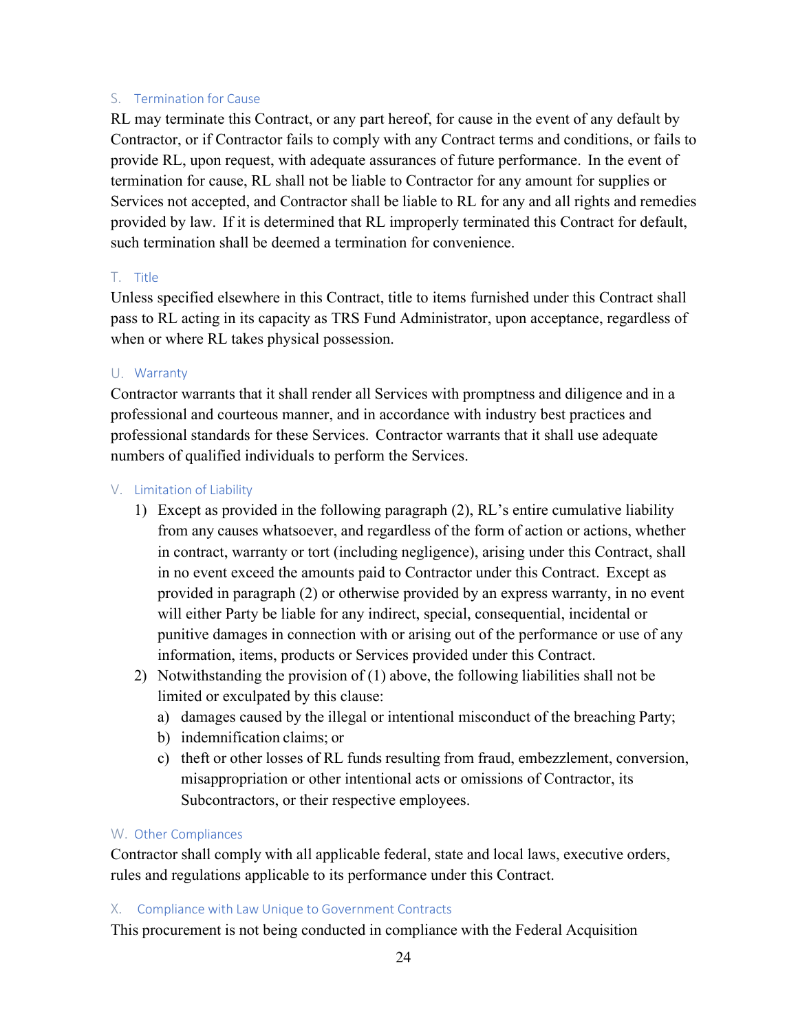#### S. Termination for Cause

RL may terminate this Contract, or any part hereof, for cause in the event of any default by Contractor, or if Contractor fails to comply with any Contract terms and conditions, or fails to provide RL, upon request, with adequate assurances of future performance. In the event of termination for cause, RL shall not be liable to Contractor for any amount for supplies or Services not accepted, and Contractor shall be liable to RL for any and all rights and remedies provided by law. If it is determined that RL improperly terminated this Contract for default, such termination shall be deemed a termination for convenience.

#### T. Title

Unless specified elsewhere in this Contract, title to items furnished under this Contract shall pass to RL acting in its capacity as TRS Fund Administrator, upon acceptance, regardless of when or where RL takes physical possession.

#### U. Warranty

Contractor warrants that it shall render all Services with promptness and diligence and in a professional and courteous manner, and in accordance with industry best practices and professional standards for these Services. Contractor warrants that it shall use adequate numbers of qualified individuals to perform the Services.

#### V. Limitation of Liability

- 1) Except as provided in the following paragraph (2), RL's entire cumulative liability from any causes whatsoever, and regardless of the form of action or actions, whether in contract, warranty or tort (including negligence), arising under this Contract, shall in no event exceed the amounts paid to Contractor under this Contract. Except as provided in paragraph (2) or otherwise provided by an express warranty, in no event will either Party be liable for any indirect, special, consequential, incidental or punitive damages in connection with or arising out of the performance or use of any information, items, products or Services provided under this Contract.
- 2) Notwithstanding the provision of (1) above, the following liabilities shall not be limited or exculpated by this clause:
	- a) damages caused by the illegal or intentional misconduct of the breaching Party;
	- b) indemnification claims; or
	- c) theft or other losses of RL funds resulting from fraud, embezzlement, conversion, misappropriation or other intentional acts or omissions of Contractor, its Subcontractors, or their respective employees.

#### W. Other Compliances

Contractor shall comply with all applicable federal, state and local laws, executive orders, rules and regulations applicable to its performance under this Contract.

#### X. Compliance with Law Unique to Government Contracts

This procurement is not being conducted in compliance with the Federal Acquisition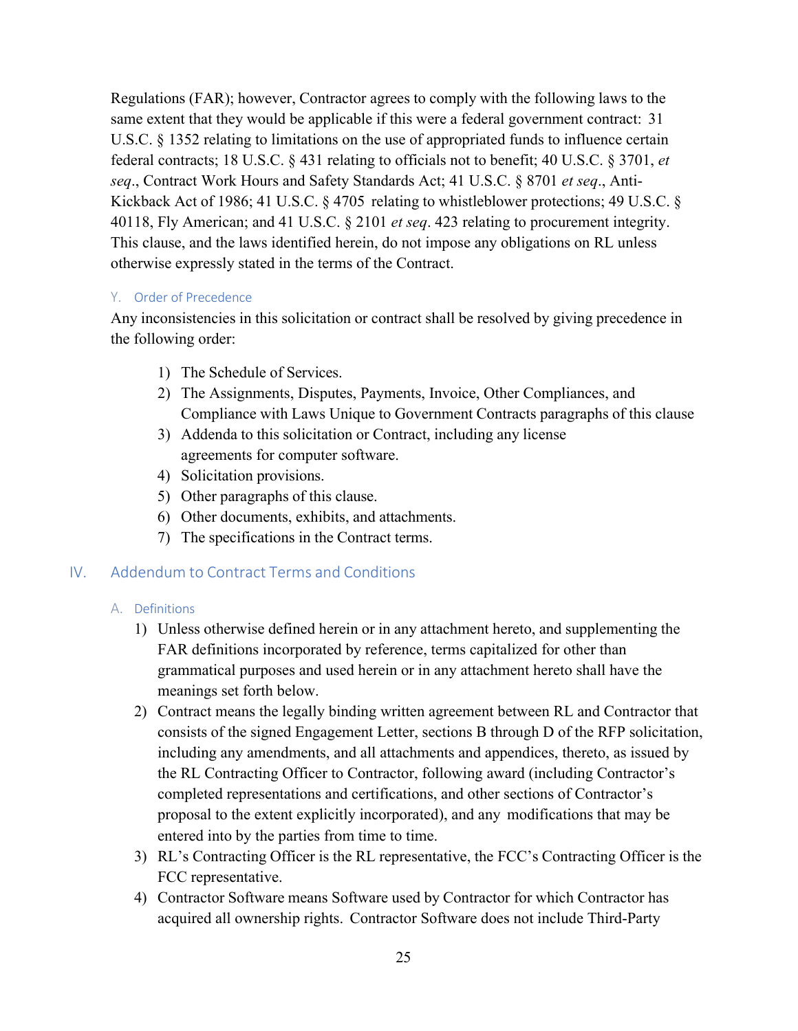Regulations (FAR); however, Contractor agrees to comply with the following laws to the same extent that they would be applicable if this were a federal government contract: [31](http://uscode.house.gov/uscode-cgi/fastweb.exe?getdoc%2Buscview%2Bt29t32%2B1665%2B30%2B%2B%2831%29%20%20AND%20%28%2831%29%20ADJ%20USC%29%3ACITE%20%20%20%20%20%20%20%20%20) [U.S.C. § 1352](http://uscode.house.gov/uscode-cgi/fastweb.exe?getdoc%2Buscview%2Bt29t32%2B1665%2B30%2B%2B%2831%29%20%20AND%20%28%2831%29%20ADJ%20USC%29%3ACITE%20%20%20%20%20%20%20%20%20) relating to limitations on the use of appropriated funds to influence certain federal contracts; [18 U.S.C. § 431](http://uscode.house.gov/uscode-cgi/fastweb.exe?getdoc%2Buscview%2Bt17t20%2B160%2B141%2B%2B%2818%29%20%25) relating to officials not to benefit; [40](http://uscode.house.gov/uscode-cgi/fastweb.exe?getdoc%2Buscview%2Bt37t40%2B1574%2B51%2B%2B%2840%29%20%20AND%20%28%2840%29%20ADJ%20USC%29%3ACITE%20%20%20%20%20%20%20%20%20) [U.S.C.](http://uscode.house.gov/uscode-cgi/fastweb.exe?getdoc%2Buscview%2Bt37t40%2B1574%2B51%2B%2B%2840%29%20%20AND%20%28%2840%29%20ADJ%20USC%29%3ACITE%20%20%20%20%20%20%20%20%20) § 3701, *et seq*., Contract Work Hours and Safety Standards Act; [41 U.S.C. § 8701](http://uscode.house.gov/uscode-cgi/fastweb.exe?getdoc%2Buscview%2Bt41t42%2B2%2B13%2B%2B%2841%29%20%20AND%20%28%2841%29%20ADJ%20USC%29%3ACITE%20%20%20%20%20%20%20%20%20) *et seq*., Anti-Kickback Act of 1986; 41 [U.S.C.](http://uscode.house.gov/uscode-cgi/fastweb.exe?getdoc%2Buscview%2Bt41t42%2B2%2B13%2B%2B%2841%29%20%20AND%20%28%2841%29%20ADJ%20USC%29%3ACITE%20%20%20%20%20%20%20%20%20) § 4705 relating to whistleblower protections; 49 [U.S.C.](http://uscode.house.gov/uscode-cgi/fastweb.exe?getdoc%2Buscview%2Bt49t50%2B2%2B224%2B%2B%2849%29%20%20AND%20%28%2849%29%20ADJ%20USC%29%3ACITE%20%20%20%20%20%20%20%20%20) § 40118, Fly Americ[an; and 41 U.S.C. § 2101](http://uscode.house.gov/uscode-cgi/fastweb.exe?getdoc%2Buscview%2Bt41t42%2B2%2B13%2B%2B%2841%29%20%20AND%20%28%2841%29%20ADJ%20USC%29%3ACITE%20%20%20%20%20%20%20%20%20) *et seq*. 423 relating to procurement integrity. This clause, and the laws identified herein, do not impose any obligations on RL unless otherwise expressly stated in the terms of the Contract.

#### Y. Order of Precedence

Any inconsistencies in this solicitation or contract shall be resolved by giving precedence in the following order:

- 1) The Schedule of Services.
- 2) The Assignments, Disputes, Payments, Invoice, Other Compliances, and Compliance with Laws Unique to Government Contracts paragraphs of this clause
- 3) Addenda to this solicitation or Contract, including any license agreements for computer software.
- 4) Solicitation provisions.
- 5) Other paragraphs of this clause.
- 6) Other documents, exhibits, and attachments.
- 7) The specifications in the Contract terms.

## IV. Addendum to Contract Terms and Conditions

#### A. Definitions

- 1) Unless otherwise defined herein or in any attachment hereto, and supplementing the FAR definitions incorporated by reference, terms capitalized for other than grammatical purposes and used herein or in any attachment hereto shall have the meanings set forth below.
- 2) Contract means the legally binding written agreement between RL and Contractor that consists of the signed Engagement Letter, sections B through D of the RFP solicitation, including any amendments, and all attachments and appendices, thereto, as issued by the RL Contracting Officer to Contractor, following award (including Contractor's completed representations and certifications, and other sections of Contractor's proposal to the extent explicitly incorporated), and any modifications that may be entered into by the parties from time to time.
- 3) RL's Contracting Officer is the RL representative, the FCC's Contracting Officer is the FCC representative.
- 4) Contractor Software means Software used by Contractor for which Contractor has acquired all ownership rights. Contractor Software does not include Third-Party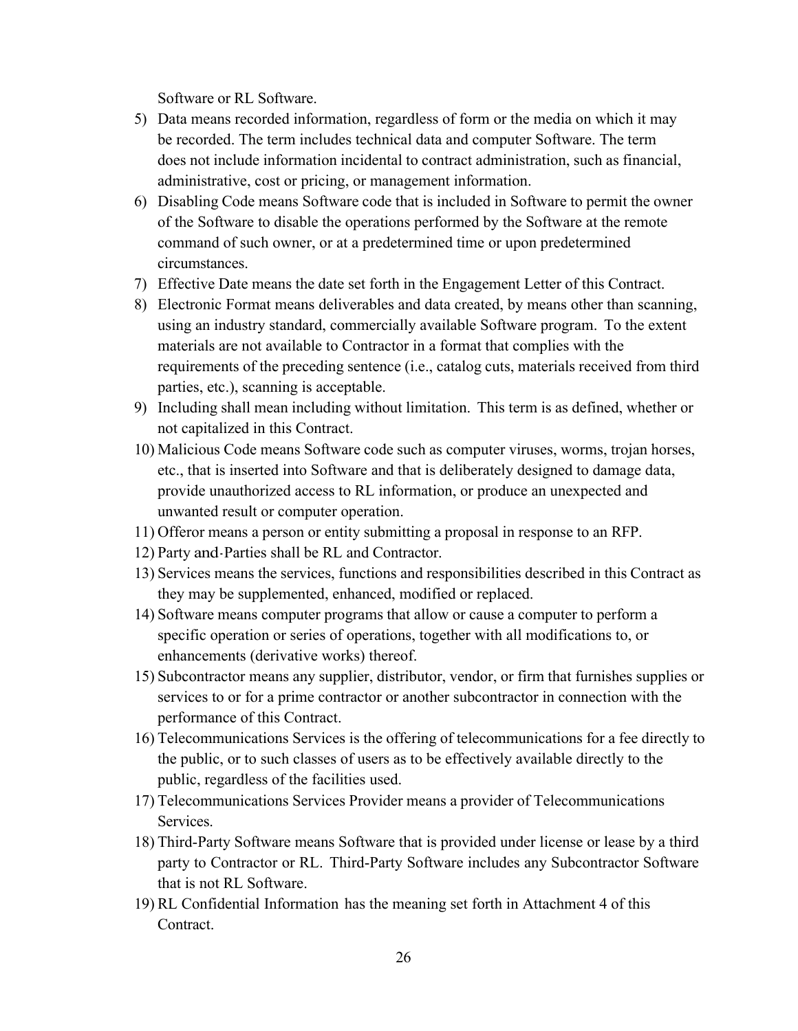Software or RL Software.

- 5) Data means recorded information, regardless of form or the media on which it may be recorded. The term includes technical data and computer Software. The term does not include information incidental to contract administration, such as financial, administrative, cost or pricing, or management information.
- 6) Disabling Code means Software code that is included in Software to permit the owner of the Software to disable the operations performed by the Software at the remote command of such owner, or at a predetermined time or upon predetermined circumstances.
- 7) Effective Date means the date set forth in the Engagement Letter of this Contract.
- 8) Electronic Format means deliverables and data created, by means other than scanning, using an industry standard, commercially available Software program. To the extent materials are not available to Contractor in a format that complies with the requirements of the preceding sentence (i.e., catalog cuts, materials received from third parties, etc.), scanning is acceptable.
- 9) Including shall mean including without limitation. This term is as defined, whether or not capitalized in this Contract.
- 10) Malicious Code means Software code such as computer viruses, worms, trojan horses, etc., that is inserted into Software and that is deliberately designed to damage data, provide unauthorized access to RL information, or produce an unexpected and unwanted result or computer operation.
- 11) Offeror means a person or entity submitting a proposal in response to an RFP.
- 12) Party and-Parties shall be RL and Contractor.
- 13) Services means the services, functions and responsibilities described in this Contract as they may be supplemented, enhanced, modified or replaced.
- 14) Software means computer programs that allow or cause a computer to perform a specific operation or series of operations, together with all modifications to, or enhancements (derivative works) thereof.
- 15) Subcontractor means any supplier, distributor, vendor, or firm that furnishes supplies or services to or for a prime contractor or another subcontractor in connection with the performance of this Contract.
- 16) Telecommunications Services is the offering of telecommunications for a fee directly to the public, or to such classes of users as to be effectively available directly to the public, regardless of the facilities used.
- 17) Telecommunications Services Provider means a provider of Telecommunications Services.
- 18) Third-Party Software means Software that is provided under license or lease by a third party to Contractor or RL. Third-Party Software includes any Subcontractor Software that is not RL Software.
- 19) RL Confidential Information has the meaning set forth in Attachment 4 of this Contract.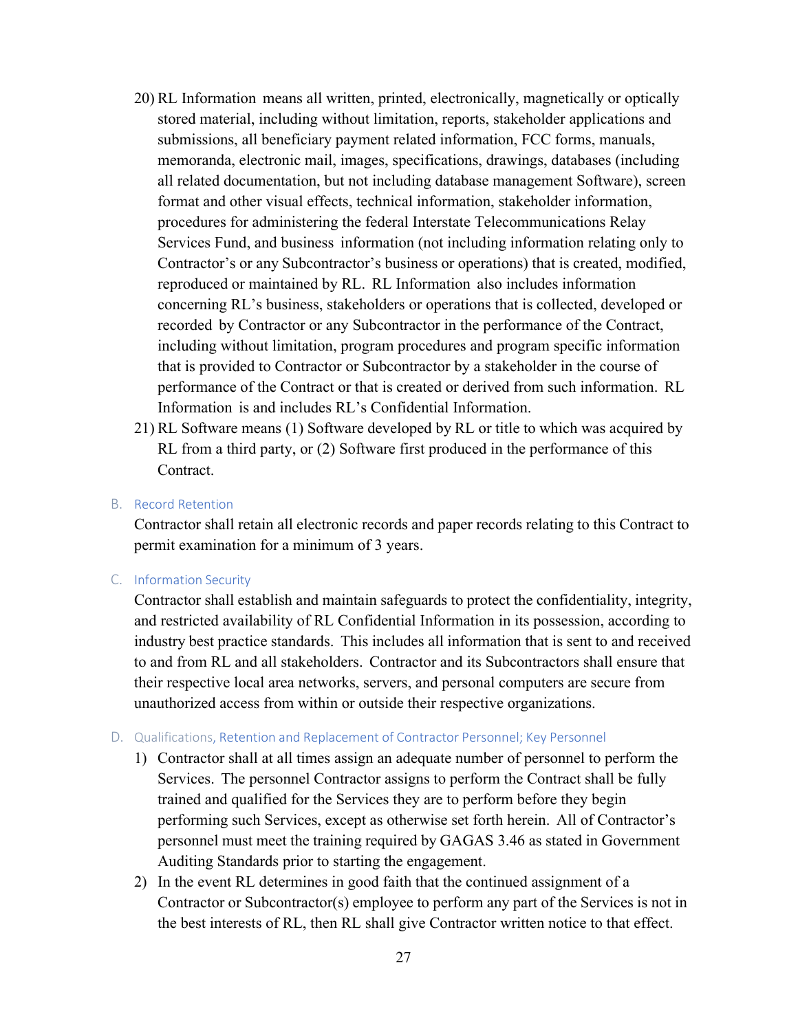- 20) RL Information means all written, printed, electronically, magnetically or optically stored material, including without limitation, reports, stakeholder applications and submissions, all beneficiary payment related information, FCC forms, manuals, memoranda, electronic mail, images, specifications, drawings, databases (including all related documentation, but not including database management Software), screen format and other visual effects, technical information, stakeholder information, procedures for administering the federal Interstate Telecommunications Relay Services Fund, and business information (not including information relating only to Contractor's or any Subcontractor's business or operations) that is created, modified, reproduced or maintained by RL. RL Information also includes information concerning RL's business, stakeholders or operations that is collected, developed or recorded by Contractor or any Subcontractor in the performance of the Contract, including without limitation, program procedures and program specific information that is provided to Contractor or Subcontractor by a stakeholder in the course of performance of the Contract or that is created or derived from such information. RL Information is and includes RL's Confidential Information.
- 21) RL Software means (1) Software developed by RL or title to which was acquired by RL from a third party, or (2) Software first produced in the performance of this Contract.

#### B. Record Retention

Contractor shall retain all electronic records and paper records relating to this Contract to permit examination for a minimum of 3 years.

C. Information Security

Contractor shall establish and maintain safeguards to protect the confidentiality, integrity, and restricted availability of RL Confidential Information in its possession, according to industry best practice standards. This includes all information that is sent to and received to and from RL and all stakeholders. Contractor and its Subcontractors shall ensure that their respective local area networks, servers, and personal computers are secure from unauthorized access from within or outside their respective organizations.

#### D. Qualifications, Retention and Replacement of Contractor Personnel; Key Personnel

- 1) Contractor shall at all times assign an adequate number of personnel to perform the Services. The personnel Contractor assigns to perform the Contract shall be fully trained and qualified for the Services they are to perform before they begin performing such Services, except as otherwise set forth herein. All of Contractor's personnel must meet the training required by GAGAS 3.46 as stated in Government Auditing Standards prior to starting the engagement.
- 2) In the event RL determines in good faith that the continued assignment of a Contractor or Subcontractor(s) employee to perform any part of the Services is not in the best interests of RL, then RL shall give Contractor written notice to that effect.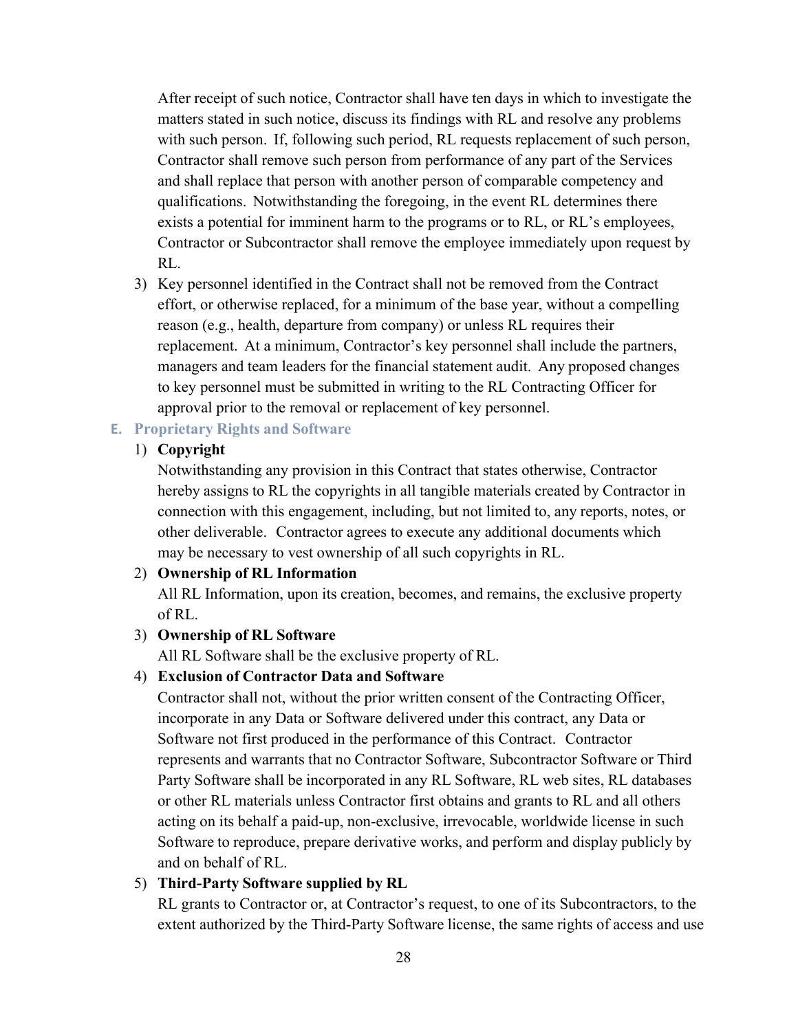After receipt of such notice, Contractor shall have ten days in which to investigate the matters stated in such notice, discuss its findings with RL and resolve any problems with such person. If, following such period, RL requests replacement of such person, Contractor shall remove such person from performance of any part of the Services and shall replace that person with another person of comparable competency and qualifications. Notwithstanding the foregoing, in the event RL determines there exists a potential for imminent harm to the programs or to RL, or RL's employees, Contractor or Subcontractor shall remove the employee immediately upon request by RL.

3) Key personnel identified in the Contract shall not be removed from the Contract effort, or otherwise replaced, for a minimum of the base year, without a compelling reason (e.g., health, departure from company) or unless RL requires their replacement. At a minimum, Contractor's key personnel shall include the partners, managers and team leaders for the financial statement audit. Any proposed changes to key personnel must be submitted in writing to the RL Contracting Officer for approval prior to the removal or replacement of key personnel.

#### **E. Proprietary Rights and Software**

### 1) **Copyright**

Notwithstanding any provision in this Contract that states otherwise, Contractor hereby assigns to RL the copyrights in all tangible materials created by Contractor in connection with this engagement, including, but not limited to, any reports, notes, or other deliverable. Contractor agrees to execute any additional documents which may be necessary to vest ownership of all such copyrights in RL.

#### 2) **Ownership of RL Information**

All RL Information, upon its creation, becomes, and remains, the exclusive property of RL.

#### 3) **Ownership of RL Software**

All RL Software shall be the exclusive property of RL.

#### 4) **Exclusion of Contractor Data and Software**

Contractor shall not, without the prior written consent of the Contracting Officer, incorporate in any Data or Software delivered under this contract, any Data or Software not first produced in the performance of this Contract. Contractor represents and warrants that no Contractor Software, Subcontractor Software or Third Party Software shall be incorporated in any RL Software, RL web sites, RL databases or other RL materials unless Contractor first obtains and grants to RL and all others acting on its behalf a paid-up, non-exclusive, irrevocable, worldwide license in such Software to reproduce, prepare derivative works, and perform and display publicly by and on behalf of RL.

#### 5) **Third-Party Software supplied by RL**

RL grants to Contractor or, at Contractor's request, to one of its Subcontractors, to the extent authorized by the Third-Party Software license, the same rights of access and use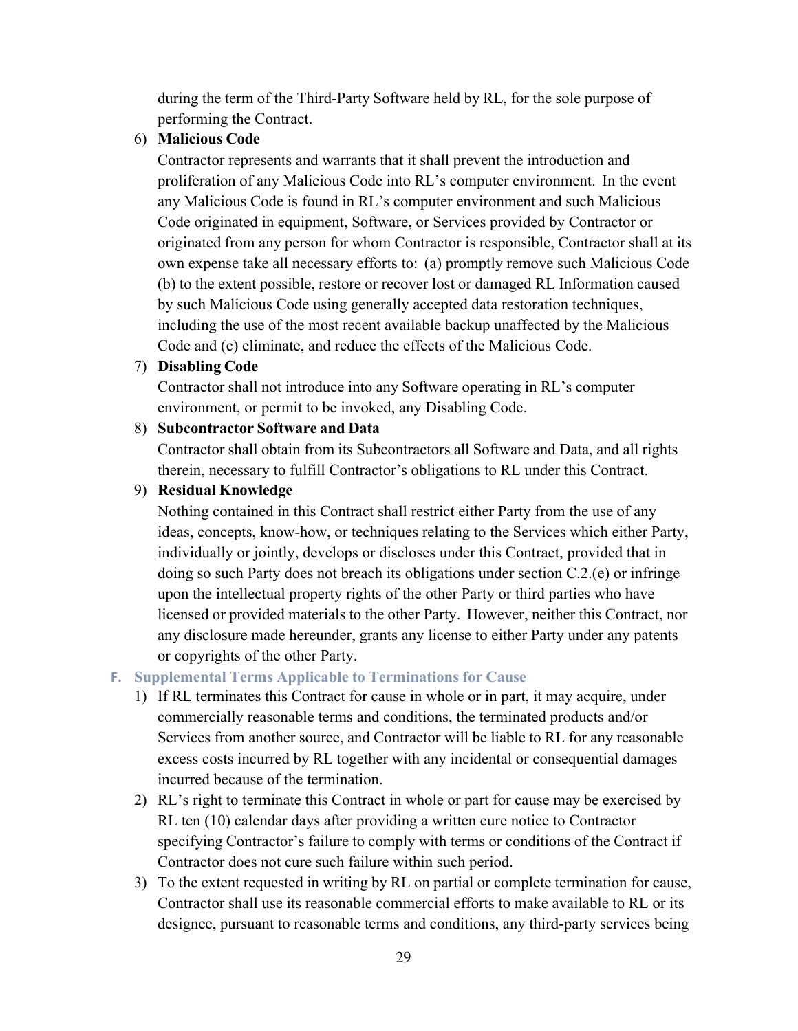during the term of the Third-Party Software held by RL, for the sole purpose of performing the Contract.

#### 6) **Malicious Code**

Contractor represents and warrants that it shall prevent the introduction and proliferation of any Malicious Code into RL's computer environment. In the event any Malicious Code is found in RL's computer environment and such Malicious Code originated in equipment, Software, or Services provided by Contractor or originated from any person for whom Contractor is responsible, Contractor shall at its own expense take all necessary efforts to: (a) promptly remove such Malicious Code (b) to the extent possible, restore or recover lost or damaged RL Information caused by such Malicious Code using generally accepted data restoration techniques, including the use of the most recent available backup unaffected by the Malicious Code and (c) eliminate, and reduce the effects of the Malicious Code.

#### 7) **Disabling Code**

Contractor shall not introduce into any Software operating in RL's computer environment, or permit to be invoked, any Disabling Code.

#### 8) **Subcontractor Software and Data**

Contractor shall obtain from its Subcontractors all Software and Data, and all rights therein, necessary to fulfill Contractor's obligations to RL under this Contract.

#### 9) **Residual Knowledge**

Nothing contained in this Contract shall restrict either Party from the use of any ideas, concepts, know-how, or techniques relating to the Services which either Party, individually or jointly, develops or discloses under this Contract, provided that in doing so such Party does not breach its obligations under section C.2.(e) or infringe upon the intellectual property rights of the other Party or third parties who have licensed or provided materials to the other Party. However, neither this Contract, nor any disclosure made hereunder, grants any license to either Party under any patents or copyrights of the other Party.

#### **F. Supplemental Terms Applicable to Terminations for Cause**

- 1) If RL terminates this Contract for cause in whole or in part, it may acquire, under commercially reasonable terms and conditions, the terminated products and/or Services from another source, and Contractor will be liable to RL for any reasonable excess costs incurred by RL together with any incidental or consequential damages incurred because of the termination.
- 2) RL's right to terminate this Contract in whole or part for cause may be exercised by RL ten (10) calendar days after providing a written cure notice to Contractor specifying Contractor's failure to comply with terms or conditions of the Contract if Contractor does not cure such failure within such period.
- 3) To the extent requested in writing by RL on partial or complete termination for cause, Contractor shall use its reasonable commercial efforts to make available to RL or its designee, pursuant to reasonable terms and conditions, any third-party services being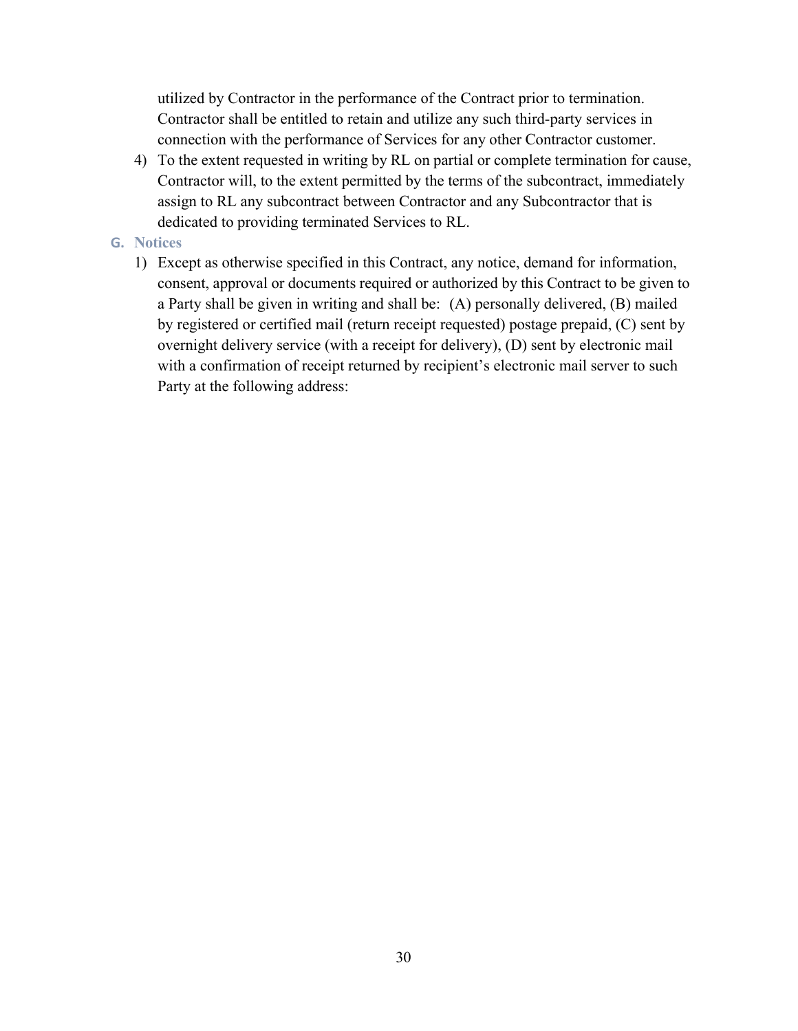utilized by Contractor in the performance of the Contract prior to termination. Contractor shall be entitled to retain and utilize any such third-party services in connection with the performance of Services for any other Contractor customer.

4) To the extent requested in writing by RL on partial or complete termination for cause, Contractor will, to the extent permitted by the terms of the subcontract, immediately assign to RL any subcontract between Contractor and any Subcontractor that is dedicated to providing terminated Services to RL.

#### **G. Notices**

1) Except as otherwise specified in this Contract, any notice, demand for information, consent, approval or documents required or authorized by this Contract to be given to a Party shall be given in writing and shall be: (A) personally delivered, (B) mailed by registered or certified mail (return receipt requested) postage prepaid, (C) sent by overnight delivery service (with a receipt for delivery), (D) sent by electronic mail with a confirmation of receipt returned by recipient's electronic mail server to such Party at the following address: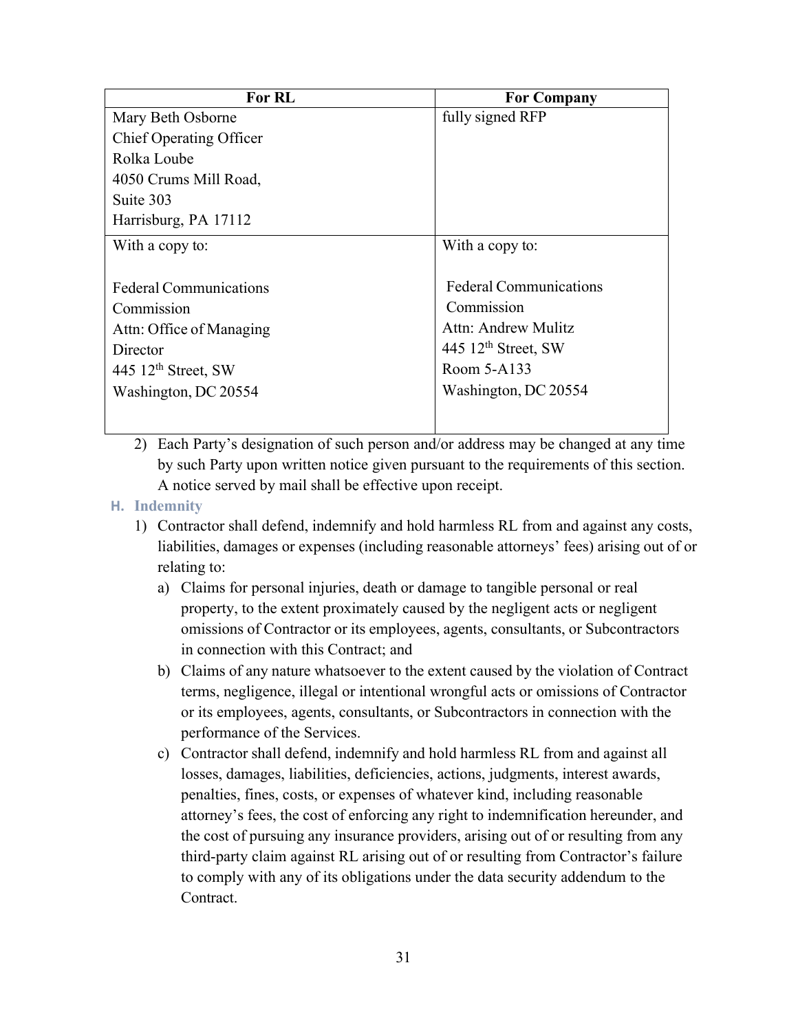| <b>For RL</b>                 | <b>For Company</b>            |
|-------------------------------|-------------------------------|
| Mary Beth Osborne             | fully signed RFP              |
| Chief Operating Officer       |                               |
| Rolka Loube                   |                               |
| 4050 Crums Mill Road,         |                               |
| Suite 303                     |                               |
| Harrisburg, PA 17112          |                               |
| With a copy to:               | With a copy to:               |
|                               |                               |
| <b>Federal Communications</b> | <b>Federal Communications</b> |
| Commission                    | Commission                    |
| Attn: Office of Managing      | Attn: Andrew Mulitz           |
| Director                      | 445 $12th$ Street, SW         |
| 445 $12th$ Street, SW         | Room 5-A133                   |
| Washington, DC 20554          | Washington, DC 20554          |
|                               |                               |

2) Each Party's designation of such person and/or address may be changed at any time by such Party upon written notice given pursuant to the requirements of this section. A notice served by mail shall be effective upon receipt.

#### **H. Indemnity**

- 1) Contractor shall defend, indemnify and hold harmless RL from and against any costs, liabilities, damages or expenses (including reasonable attorneys' fees) arising out of or relating to:
	- a) Claims for personal injuries, death or damage to tangible personal or real property, to the extent proximately caused by the negligent acts or negligent omissions of Contractor or its employees, agents, consultants, or Subcontractors in connection with this Contract; and
	- b) Claims of any nature whatsoever to the extent caused by the violation of Contract terms, negligence, illegal or intentional wrongful acts or omissions of Contractor or its employees, agents, consultants, or Subcontractors in connection with the performance of the Services.
	- c) Contractor shall defend, indemnify and hold harmless RL from and against all losses, damages, liabilities, deficiencies, actions, judgments, interest awards, penalties, fines, costs, or expenses of whatever kind, including reasonable attorney's fees, the cost of enforcing any right to indemnification hereunder, and the cost of pursuing any insurance providers, arising out of or resulting from any third-party claim against RL arising out of or resulting from Contractor's failure to comply with any of its obligations under the data security addendum to the Contract.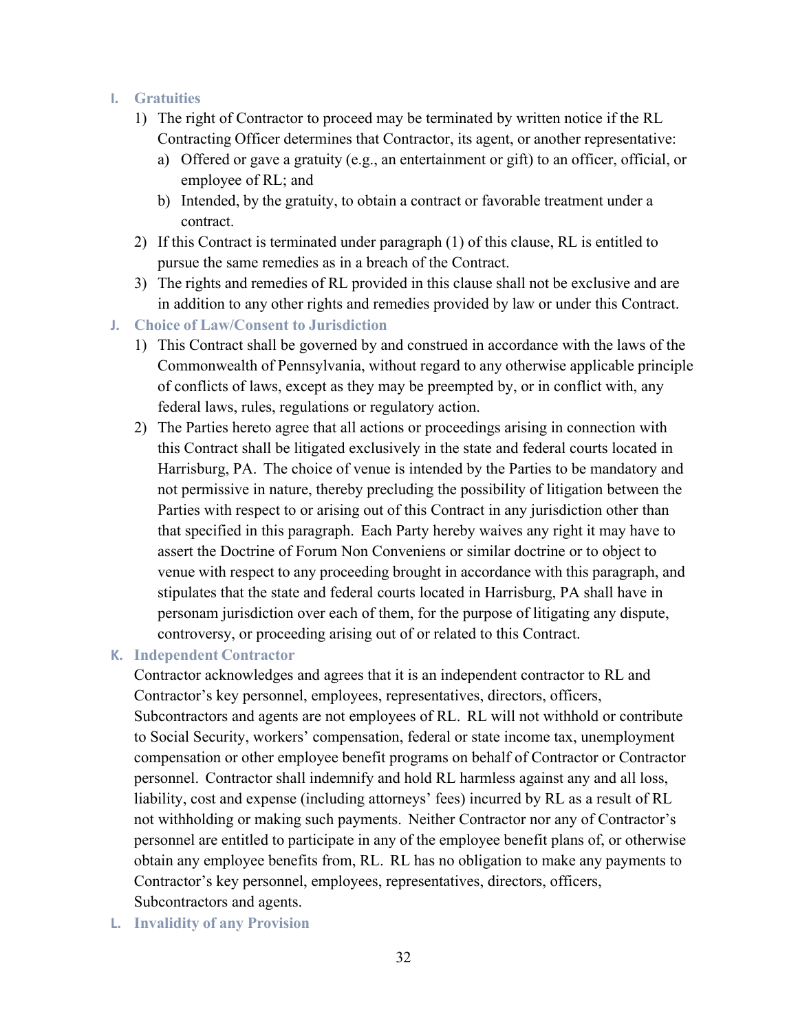#### **I. Gratuities**

- 1) The right of Contractor to proceed may be terminated by written notice if the RL Contracting Officer determines that Contractor, its agent, or another representative:
	- a) Offered or gave a gratuity (e.g., an entertainment or gift) to an officer, official, or employee of RL; and
	- b) Intended, by the gratuity, to obtain a contract or favorable treatment under a contract.
- 2) If this Contract is terminated under paragraph (1) of this clause, RL is entitled to pursue the same remedies as in a breach of the Contract.
- 3) The rights and remedies of RL provided in this clause shall not be exclusive and are in addition to any other rights and remedies provided by law or under this Contract.
- **J. Choice of Law/Consent to Jurisdiction**
	- 1) This Contract shall be governed by and construed in accordance with the laws of the Commonwealth of Pennsylvania, without regard to any otherwise applicable principle of conflicts of laws, except as they may be preempted by, or in conflict with, any federal laws, rules, regulations or regulatory action.
	- 2) The Parties hereto agree that all actions or proceedings arising in connection with this Contract shall be litigated exclusively in the state and federal courts located in Harrisburg, PA. The choice of venue is intended by the Parties to be mandatory and not permissive in nature, thereby precluding the possibility of litigation between the Parties with respect to or arising out of this Contract in any jurisdiction other than that specified in this paragraph. Each Party hereby waives any right it may have to assert the Doctrine of Forum Non Conveniens or similar doctrine or to object to venue with respect to any proceeding brought in accordance with this paragraph, and stipulates that the state and federal courts located in Harrisburg, PA shall have in personam jurisdiction over each of them, for the purpose of litigating any dispute, controversy, or proceeding arising out of or related to this Contract.

#### **K. Independent Contractor**

Contractor acknowledges and agrees that it is an independent contractor to RL and Contractor's key personnel, employees, representatives, directors, officers, Subcontractors and agents are not employees of RL. RL will not withhold or contribute to Social Security, workers' compensation, federal or state income tax, unemployment compensation or other employee benefit programs on behalf of Contractor or Contractor personnel. Contractor shall indemnify and hold RL harmless against any and all loss, liability, cost and expense (including attorneys' fees) incurred by RL as a result of RL not withholding or making such payments. Neither Contractor nor any of Contractor's personnel are entitled to participate in any of the employee benefit plans of, or otherwise obtain any employee benefits from, RL. RL has no obligation to make any payments to Contractor's key personnel, employees, representatives, directors, officers, Subcontractors and agents.

**L. Invalidity of any Provision**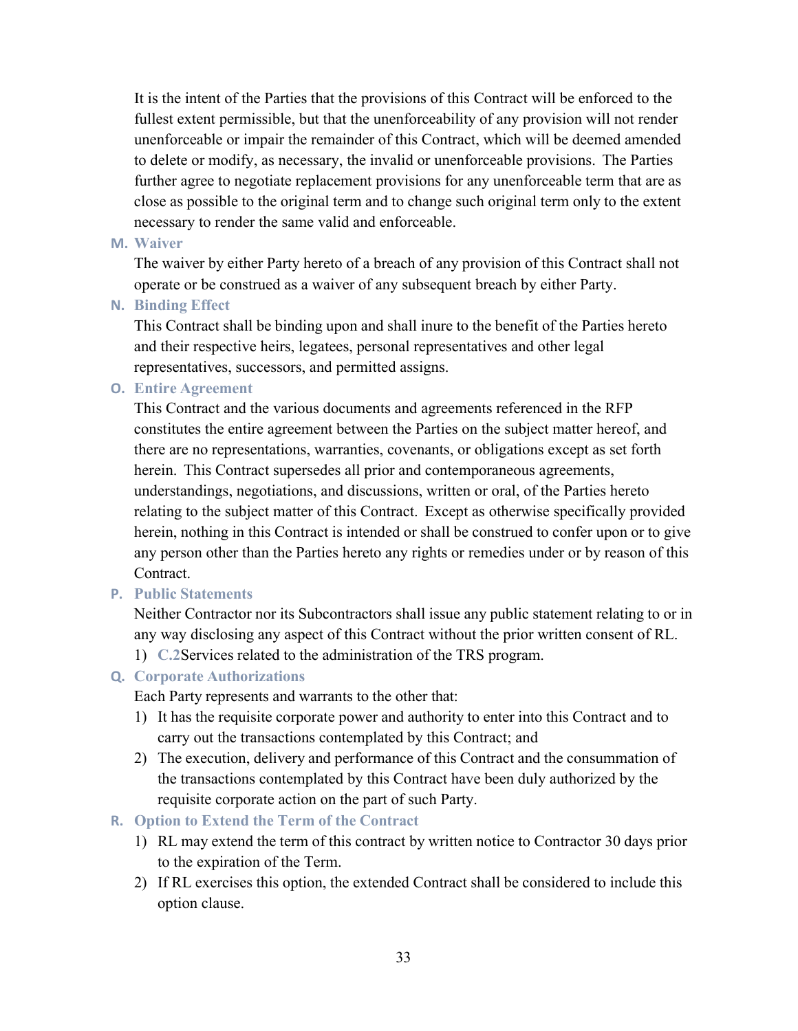It is the intent of the Parties that the provisions of this Contract will be enforced to the fullest extent permissible, but that the unenforceability of any provision will not render unenforceable or impair the remainder of this Contract, which will be deemed amended to delete or modify, as necessary, the invalid or unenforceable provisions. The Parties further agree to negotiate replacement provisions for any unenforceable term that are as close as possible to the original term and to change such original term only to the extent necessary to render the same valid and enforceable.

#### **M. Waiver**

The waiver by either Party hereto of a breach of any provision of this Contract shall not operate or be construed as a waiver of any subsequent breach by either Party.

#### **N. Binding Effect**

This Contract shall be binding upon and shall inure to the benefit of the Parties hereto and their respective heirs, legatees, personal representatives and other legal representatives, successors, and permitted assigns.

#### **O. Entire Agreement**

This Contract and the various documents and agreements referenced in the RFP constitutes the entire agreement between the Parties on the subject matter hereof, and there are no representations, warranties, covenants, or obligations except as set forth herein. This Contract supersedes all prior and contemporaneous agreements, understandings, negotiations, and discussions, written or oral, of the Parties hereto relating to the subject matter of this Contract. Except as otherwise specifically provided herein, nothing in this Contract is intended or shall be construed to confer upon or to give any person other than the Parties hereto any rights or remedies under or by reason of this Contract.

#### **P. Public Statements**

Neither Contractor nor its Subcontractors shall issue any public statement relating to or in any way disclosing any aspect of this Contract without the prior written consent of RL.

1) **C.2**Services related to the administration of the TRS program.

#### **Q. Corporate Authorizations**

Each Party represents and warrants to the other that:

- 1) It has the requisite corporate power and authority to enter into this Contract and to carry out the transactions contemplated by this Contract; and
- 2) The execution, delivery and performance of this Contract and the consummation of the transactions contemplated by this Contract have been duly authorized by the requisite corporate action on the part of such Party.

#### **R. Option to Extend the Term of the Contract**

- 1) RL may extend the term of this contract by written notice to Contractor 30 days prior to the expiration of the Term.
- 2) If RL exercises this option, the extended Contract shall be considered to include this option clause.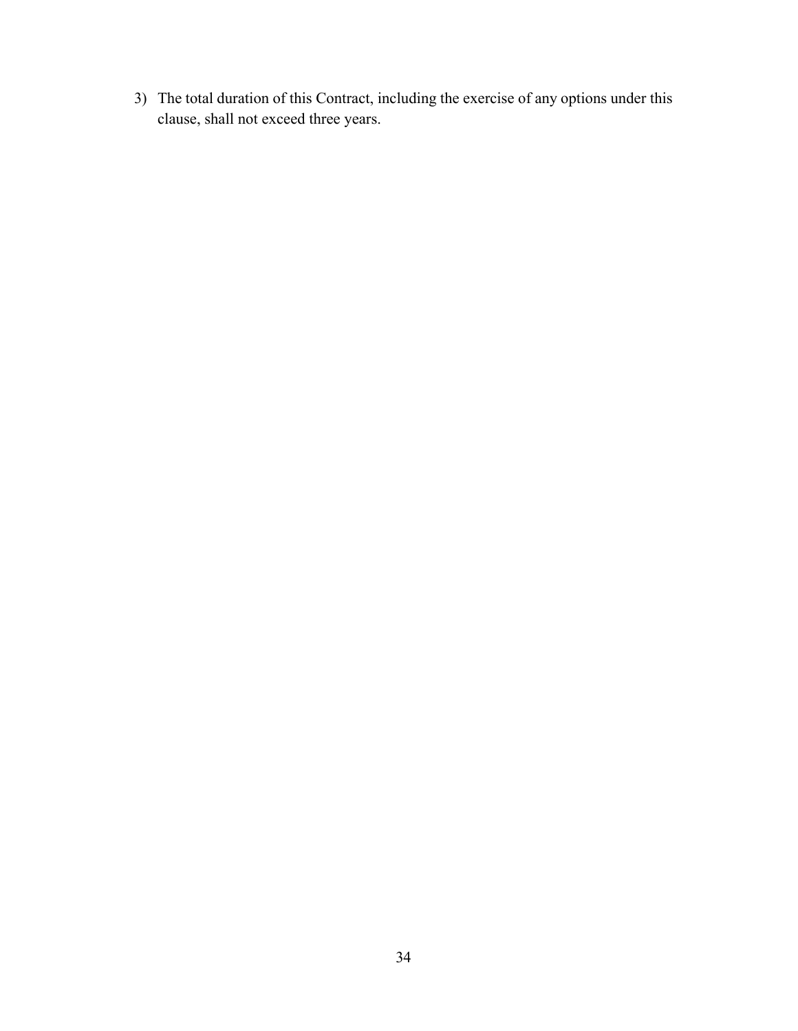3) The total duration of this Contract, including the exercise of any options under this clause, shall not exceed three years.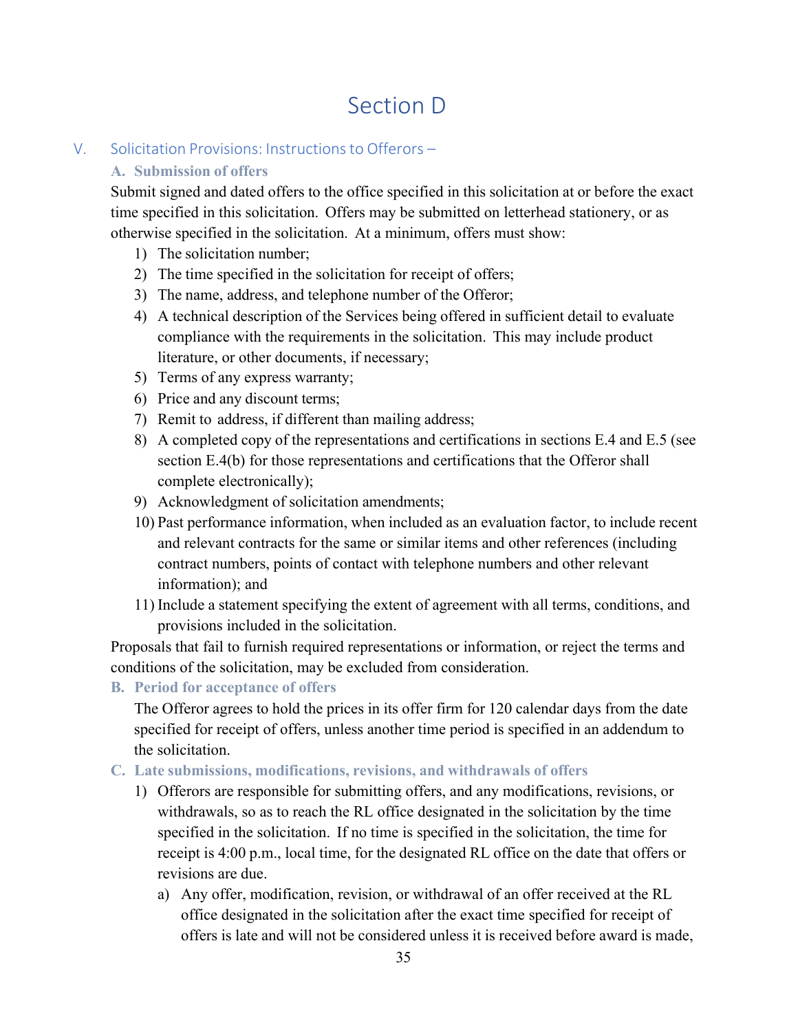# Section D

## V. Solicitation Provisions: Instructionsto Offerors –

## **A. Submission of offers**

Submit signed and dated offers to the office specified in this solicitation at or before the exact time specified in this solicitation. Offers may be submitted on letterhead stationery, or as otherwise specified in the solicitation. At a minimum, offers must show:

- 1) The solicitation number;
- 2) The time specified in the solicitation for receipt of offers;
- 3) The name, address, and telephone number of the Offeror;
- 4) A technical description of the Services being offered in sufficient detail to evaluate compliance with the requirements in the solicitation. This may include product literature, or other documents, if necessary;
- 5) Terms of any express warranty;
- 6) Price and any discount terms;
- 7) Remit to address, if different than mailing address;
- 8) A completed copy of the representations and certifications in sections E.4 and E.5 (see section E.4(b) for those representations and certifications that the Offeror shall complete electronically);
- 9) Acknowledgment of solicitation amendments;
- 10) Past performance information, when included as an evaluation factor, to include recent and relevant contracts for the same or similar items and other references (including contract numbers, points of contact with telephone numbers and other relevant information); and
- 11) Include a statement specifying the extent of agreement with all terms, conditions, and provisions included in the solicitation.

Proposals that fail to furnish required representations or information, or reject the terms and conditions of the solicitation, may be excluded from consideration.

**B. Period for acceptance of offers**

The Offeror agrees to hold the prices in its offer firm for 120 calendar days from the date specified for receipt of offers, unless another time period is specified in an addendum to the solicitation.

- **C. Late submissions, modifications, revisions, and withdrawals of offers**
	- 1) Offerors are responsible for submitting offers, and any modifications, revisions, or withdrawals, so as to reach the RL office designated in the solicitation by the time specified in the solicitation. If no time is specified in the solicitation, the time for receipt is 4:00 p.m., local time, for the designated RL office on the date that offers or revisions are due.
		- a) Any offer, modification, revision, or withdrawal of an offer received at the RL office designated in the solicitation after the exact time specified for receipt of offers is late and will not be considered unless it is received before award is made,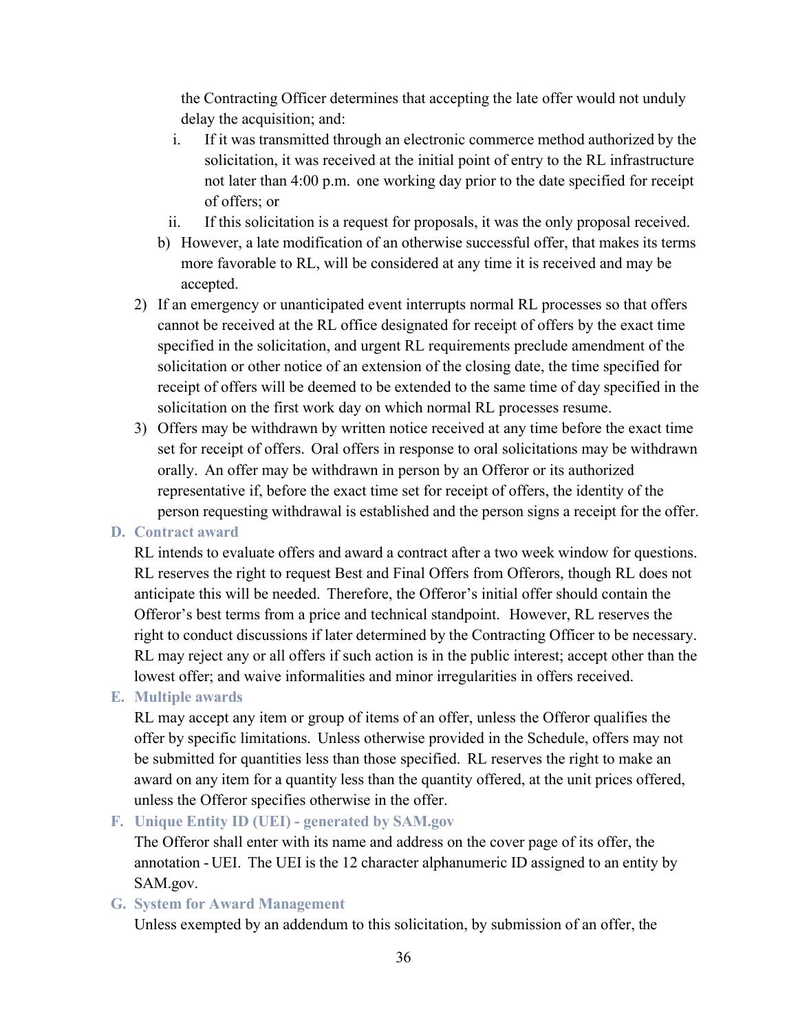the Contracting Officer determines that accepting the late offer would not unduly delay the acquisition; and:

- i. If it was transmitted through an electronic commerce method authorized by the solicitation, it was received at the initial point of entry to the RL infrastructure not later than 4:00 p.m. one working day prior to the date specified for receipt of offers; or
- ii. If this solicitation is a request for proposals, it was the only proposal received.
- b) However, a late modification of an otherwise successful offer, that makes its terms more favorable to RL, will be considered at any time it is received and may be accepted.
- 2) If an emergency or unanticipated event interrupts normal RL processes so that offers cannot be received at the RL office designated for receipt of offers by the exact time specified in the solicitation, and urgent RL requirements preclude amendment of the solicitation or other notice of an extension of the closing date, the time specified for receipt of offers will be deemed to be extended to the same time of day specified in the solicitation on the first work day on which normal RL processes resume.
- 3) Offers may be withdrawn by written notice received at any time before the exact time set for receipt of offers. Oral offers in response to oral solicitations may be withdrawn orally. An offer may be withdrawn in person by an Offeror or its authorized representative if, before the exact time set for receipt of offers, the identity of the person requesting withdrawal is established and the person signs a receipt for the offer.

#### **D. Contract award**

RL intends to evaluate offers and award a contract after a two week window for questions. RL reserves the right to request Best and Final Offers from Offerors, though RL does not anticipate this will be needed. Therefore, the Offeror's initial offer should contain the Offeror's best terms from a price and technical standpoint. However, RL reserves the right to conduct discussions if later determined by the Contracting Officer to be necessary. RL may reject any or all offers if such action is in the public interest; accept other than the lowest offer; and waive informalities and minor irregularities in offers received.

#### **E. Multiple awards**

RL may accept any item or group of items of an offer, unless the Offeror qualifies the offer by specific limitations. Unless otherwise provided in the Schedule, offers may not be submitted for quantities less than those specified. RL reserves the right to make an award on any item for a quantity less than the quantity offered, at the unit prices offered, unless the Offeror specifies otherwise in the offer.

#### **F. Unique Entity ID (UEI) - generated by SAM.gov**

The Offeror shall enter with its name and address on the cover page of its offer, the annotation - UEI. The UEI is the 12 character alphanumeric ID assigned to an entity by SAM.gov.

#### **G. System for Award Management**

Unless exempted by an addendum to this solicitation, by submission of an offer, the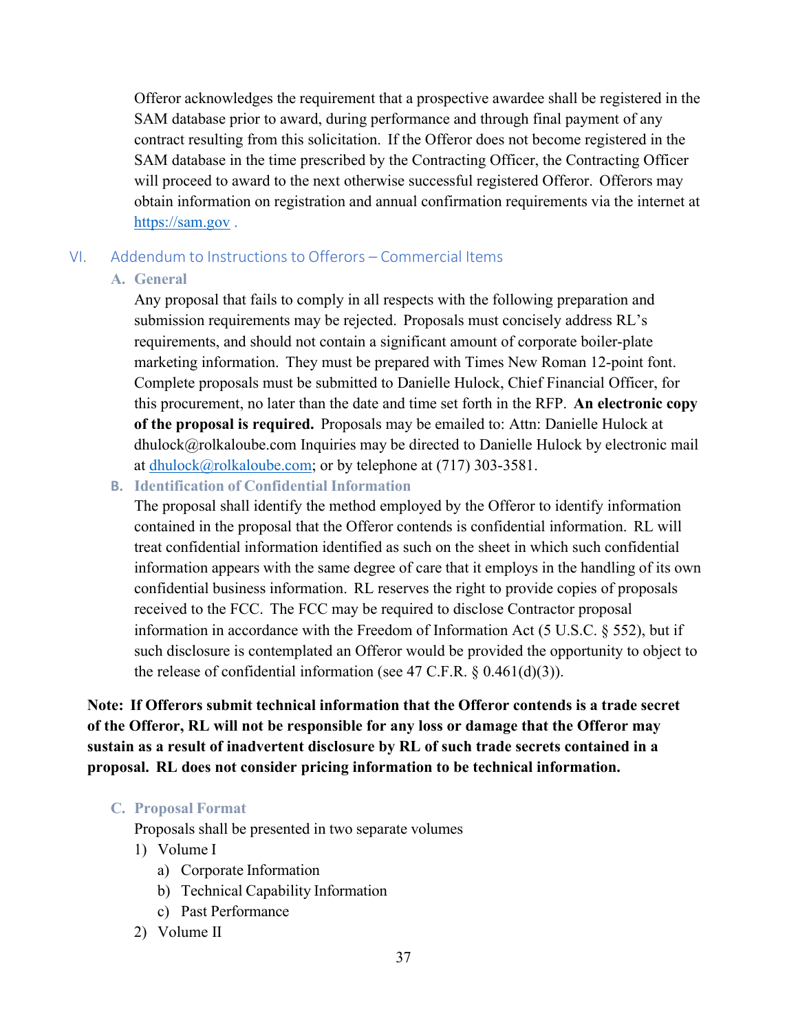Offeror acknowledges the requirement that a prospective awardee shall be registered in the SAM database prior to award, during performance and through final payment of any contract resulting from this solicitation. If the Offeror does not become registered in the SAM database in the time prescribed by the Contracting Officer, the Contracting Officer will proceed to award to the next otherwise successful registered Offeror. Offerors may obtain information on registration and annual confirmation requirements via the internet at [https://sam.gov .](https://sam.gov/)

## VI. Addendum to Instructions to Offerors – Commercial Items

## **A. General**

Any proposal that fails to comply in all respects with the following preparation and submission requirements may be rejected. Proposals must concisely address RL's requirements, and should not contain a significant amount of corporate boiler-plate marketing information. They must be prepared with Times New Roman 12-point font. Complete proposals must be submitted to Danielle Hulock, Chief Financial Officer, for this procurement, no later than the date and time set forth in the RFP. **An electronic copy of the proposal is required.** Proposals may be emailed to: Attn: Danielle Hulock at [dhulock@rolkaloube.com I](mailto:dhulock@rolkaloube.com)nquiries may be directed to Danielle Hulock by electronic mail at [dhulock@rolkaloube.com;](mailto:dhulock@rolkaloube.com) or by telephone at (717) 303-3581.

## **B. Identification of Confidential Information**

The proposal shall identify the method employed by the Offeror to identify information contained in the proposal that the Offeror contends is confidential information. RL will treat confidential information identified as such on the sheet in which such confidential information appears with the same degree of care that it employs in the handling of its own confidential business information. RL reserves the right to provide copies of proposals received to the FCC. The FCC may be required to disclose Contractor proposal information in accordance with the Freedom of Information Act (5 U.S.C. § 552), but if such disclosure is contemplated an Offeror would be provided the opportunity to object to the release of confidential information (see 47 C.F.R. § 0.461(d)(3)).

**Note: If Offerors submit technical information that the Offeror contends is a trade secret of the Offeror, RL will not be responsible for any loss or damage that the Offeror may sustain as a result of inadvertent disclosure by RL of such trade secrets contained in a proposal. RL does not consider pricing information to be technical information.**

## **C. Proposal Format**

Proposals shall be presented in two separate volumes

- 1) Volume I
	- a) Corporate Information
	- b) Technical Capability Information
	- c) Past Performance
- 2) Volume II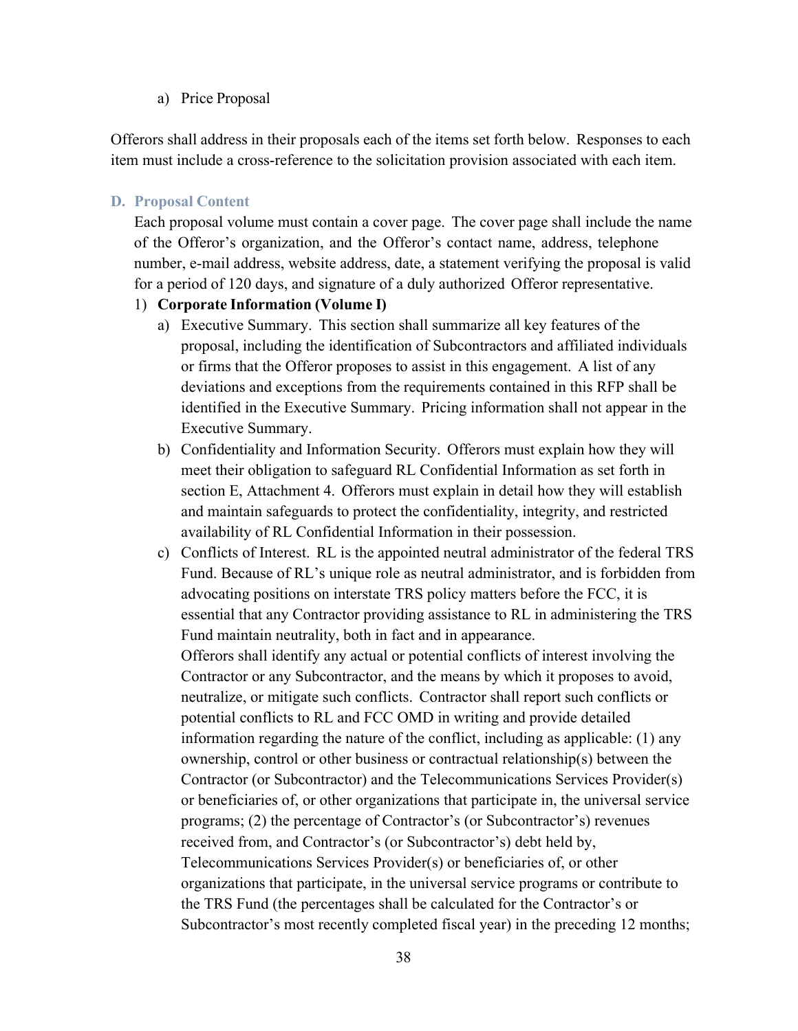#### a) Price Proposal

Offerors shall address in their proposals each of the items set forth below. Responses to each item must include a cross-reference to the solicitation provision associated with each item.

#### **D. Proposal Content**

Each proposal volume must contain a cover page. The cover page shall include the name of the Offeror's organization, and the Offeror's contact name, address, telephone number, e-mail address, website address, date, a statement verifying the proposal is valid for a period of 120 days, and signature of a duly authorized Offeror representative.

#### 1) **Corporate Information (Volume I)**

- a) Executive Summary. This section shall summarize all key features of the proposal, including the identification of Subcontractors and affiliated individuals or firms that the Offeror proposes to assist in this engagement. A list of any deviations and exceptions from the requirements contained in this RFP shall be identified in the Executive Summary. Pricing information shall not appear in the Executive Summary.
- b) Confidentiality and Information Security. Offerors must explain how they will meet their obligation to safeguard RL Confidential Information as set forth in section E, Attachment 4. Offerors must explain in detail how they will establish and maintain safeguards to protect the confidentiality, integrity, and restricted availability of RL Confidential Information in their possession.
- c) Conflicts of Interest. RL is the appointed neutral administrator of the federal TRS Fund. Because of RL's unique role as neutral administrator, and is forbidden from advocating positions on interstate TRS policy matters before the FCC, it is essential that any Contractor providing assistance to RL in administering the TRS Fund maintain neutrality, both in fact and in appearance. Offerors shall identify any actual or potential conflicts of interest involving the Contractor or any Subcontractor, and the means by which it proposes to avoid, neutralize, or mitigate such conflicts. Contractor shall report such conflicts or potential conflicts to RL and FCC OMD in writing and provide detailed information regarding the nature of the conflict, including as applicable: (1) any ownership, control or other business or contractual relationship(s) between the Contractor (or Subcontractor) and the Telecommunications Services Provider(s) or beneficiaries of, or other organizations that participate in, the universal service programs; (2) the percentage of Contractor's (or Subcontractor's) revenues received from, and Contractor's (or Subcontractor's) debt held by, Telecommunications Services Provider(s) or beneficiaries of, or other organizations that participate, in the universal service programs or contribute to the TRS Fund (the percentages shall be calculated for the Contractor's or Subcontractor's most recently completed fiscal year) in the preceding 12 months;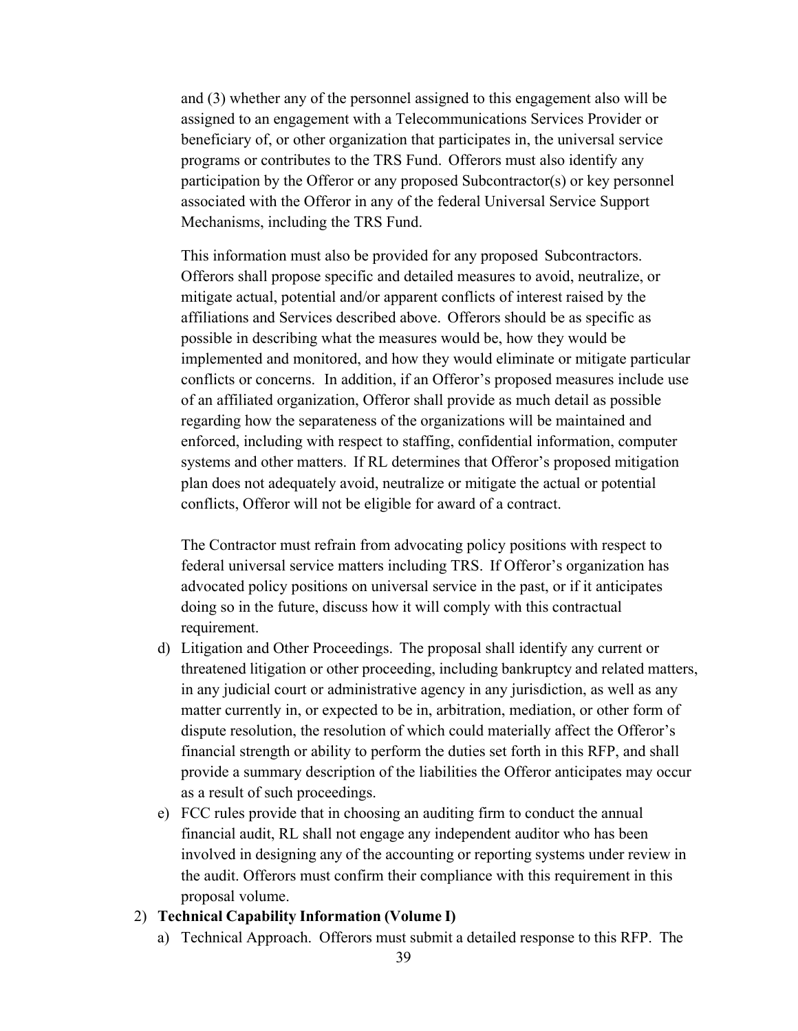and (3) whether any of the personnel assigned to this engagement also will be assigned to an engagement with a Telecommunications Services Provider or beneficiary of, or other organization that participates in, the universal service programs or contributes to the TRS Fund. Offerors must also identify any participation by the Offeror or any proposed Subcontractor(s) or key personnel associated with the Offeror in any of the federal Universal Service Support Mechanisms, including the TRS Fund.

This information must also be provided for any proposed Subcontractors. Offerors shall propose specific and detailed measures to avoid, neutralize, or mitigate actual, potential and/or apparent conflicts of interest raised by the affiliations and Services described above. Offerors should be as specific as possible in describing what the measures would be, how they would be implemented and monitored, and how they would eliminate or mitigate particular conflicts or concerns. In addition, if an Offeror's proposed measures include use of an affiliated organization, Offeror shall provide as much detail as possible regarding how the separateness of the organizations will be maintained and enforced, including with respect to staffing, confidential information, computer systems and other matters. If RL determines that Offeror's proposed mitigation plan does not adequately avoid, neutralize or mitigate the actual or potential conflicts, Offeror will not be eligible for award of a contract.

The Contractor must refrain from advocating policy positions with respect to federal universal service matters including TRS. If Offeror's organization has advocated policy positions on universal service in the past, or if it anticipates doing so in the future, discuss how it will comply with this contractual requirement.

- d) Litigation and Other Proceedings. The proposal shall identify any current or threatened litigation or other proceeding, including bankruptcy and related matters, in any judicial court or administrative agency in any jurisdiction, as well as any matter currently in, or expected to be in, arbitration, mediation, or other form of dispute resolution, the resolution of which could materially affect the Offeror's financial strength or ability to perform the duties set forth in this RFP, and shall provide a summary description of the liabilities the Offeror anticipates may occur as a result of such proceedings.
- e) FCC rules provide that in choosing an auditing firm to conduct the annual financial audit, RL shall not engage any independent auditor who has been involved in designing any of the accounting or reporting systems under review in the audit. Offerors must confirm their compliance with this requirement in this proposal volume.

#### 2) **Technical Capability Information (Volume I)**

a) Technical Approach. Offerors must submit a detailed response to this RFP. The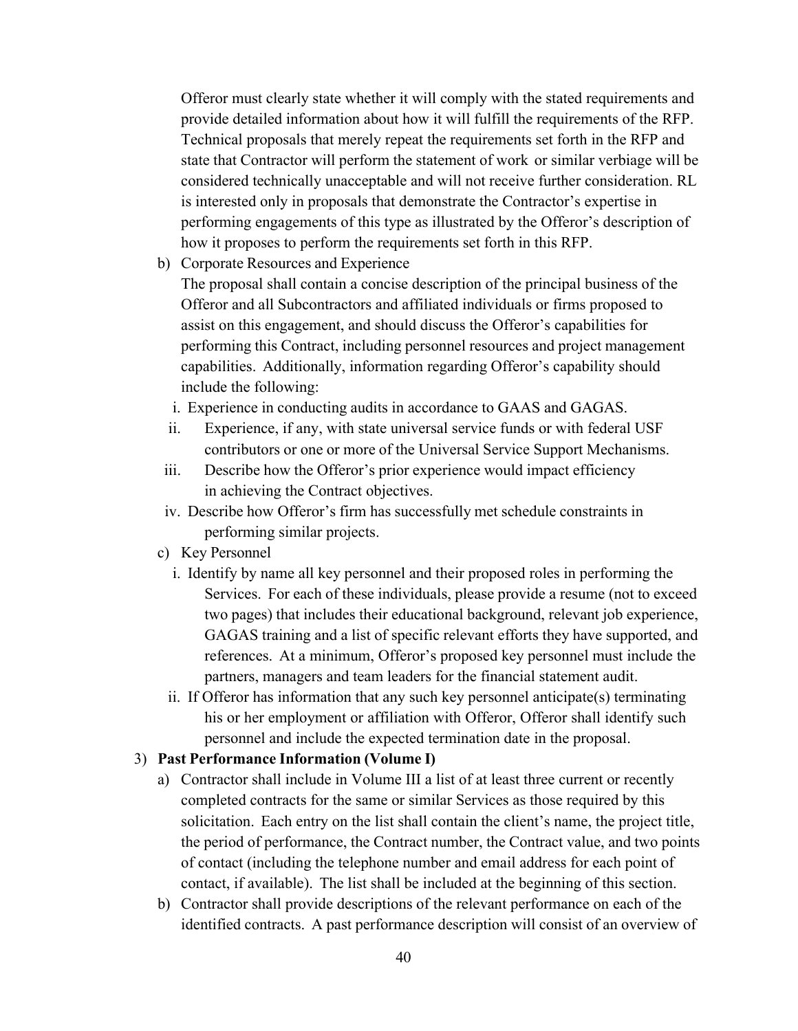Offeror must clearly state whether it will comply with the stated requirements and provide detailed information about how it will fulfill the requirements of the RFP. Technical proposals that merely repeat the requirements set forth in the RFP and state that Contractor will perform the statement of work or similar verbiage will be considered technically unacceptable and will not receive further consideration. RL is interested only in proposals that demonstrate the Contractor's expertise in performing engagements of this type as illustrated by the Offeror's description of how it proposes to perform the requirements set forth in this RFP.

b) Corporate Resources and Experience

The proposal shall contain a concise description of the principal business of the Offeror and all Subcontractors and affiliated individuals or firms proposed to assist on this engagement, and should discuss the Offeror's capabilities for performing this Contract, including personnel resources and project management capabilities. Additionally, information regarding Offeror's capability should include the following:

- i. Experience in conducting audits in accordance to GAAS and GAGAS.
- ii. Experience, if any, with state universal service funds or with federal USF contributors or one or more of the Universal Service Support Mechanisms.
- iii. Describe how the Offeror's prior experience would impact efficiency in achieving the Contract objectives.
- iv. Describe how Offeror's firm has successfully met schedule constraints in performing similar projects.
- c) Key Personnel
	- i. Identify by name all key personnel and their proposed roles in performing the Services. For each of these individuals, please provide a resume (not to exceed two pages) that includes their educational background, relevant job experience, GAGAS training and a list of specific relevant efforts they have supported, and references. At a minimum, Offeror's proposed key personnel must include the partners, managers and team leaders for the financial statement audit.
	- ii. If Offeror has information that any such key personnel anticipate(s) terminating his or her employment or affiliation with Offeror, Offeror shall identify such personnel and include the expected termination date in the proposal.

#### 3) **Past Performance Information (Volume I)**

- a) Contractor shall include in Volume III a list of at least three current or recently completed contracts for the same or similar Services as those required by this solicitation. Each entry on the list shall contain the client's name, the project title, the period of performance, the Contract number, the Contract value, and two points of contact (including the telephone number and email address for each point of contact, if available). The list shall be included at the beginning of this section.
- b) Contractor shall provide descriptions of the relevant performance on each of the identified contracts. A past performance description will consist of an overview of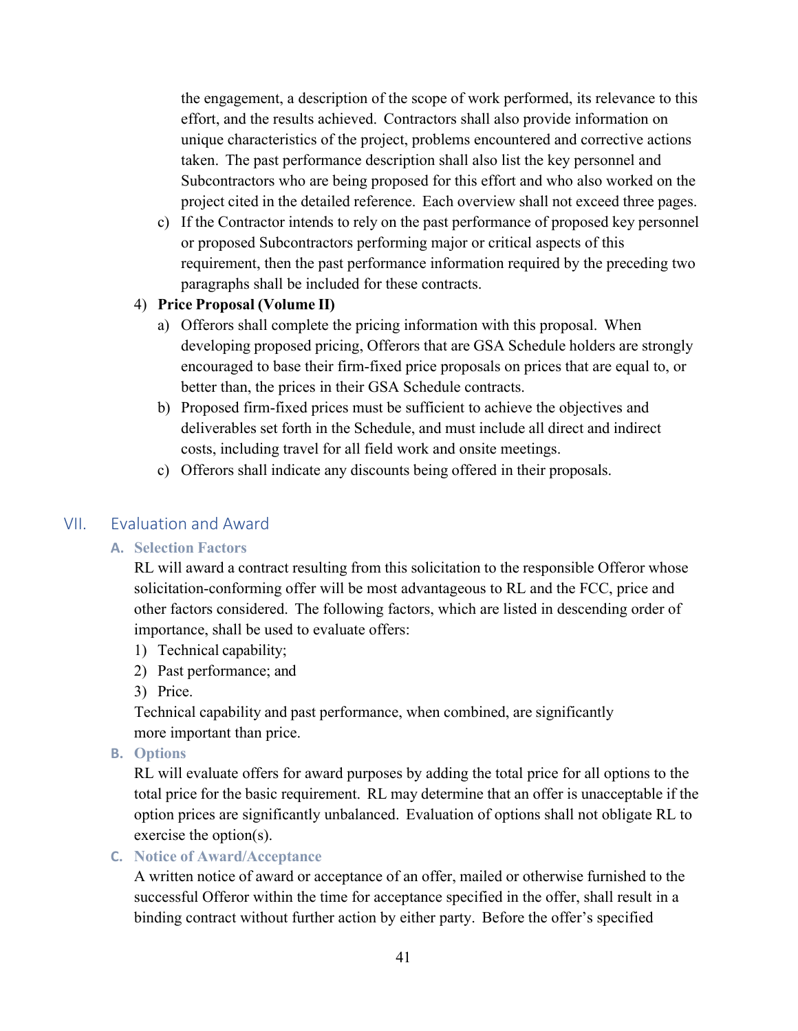the engagement, a description of the scope of work performed, its relevance to this effort, and the results achieved. Contractors shall also provide information on unique characteristics of the project, problems encountered and corrective actions taken. The past performance description shall also list the key personnel and Subcontractors who are being proposed for this effort and who also worked on the project cited in the detailed reference. Each overview shall not exceed three pages.

c) If the Contractor intends to rely on the past performance of proposed key personnel or proposed Subcontractors performing major or critical aspects of this requirement, then the past performance information required by the preceding two paragraphs shall be included for these contracts.

#### 4) **Price Proposal (Volume II)**

- a) Offerors shall complete the pricing information with this proposal. When developing proposed pricing, Offerors that are GSA Schedule holders are strongly encouraged to base their firm-fixed price proposals on prices that are equal to, or better than, the prices in their GSA Schedule contracts.
- b) Proposed firm-fixed prices must be sufficient to achieve the objectives and deliverables set forth in the Schedule, and must include all direct and indirect costs, including travel for all field work and onsite meetings.
- c) Offerors shall indicate any discounts being offered in their proposals.

#### VII. Evaluation and Award

#### **A. Selection Factors**

RL will award a contract resulting from this solicitation to the responsible Offeror whose solicitation-conforming offer will be most advantageous to RL and the FCC, price and other factors considered. The following factors, which are listed in descending order of importance, shall be used to evaluate offers:

- 1) Technical capability;
- 2) Past performance; and
- 3) Price.

Technical capability and past performance, when combined, are significantly more important than price.

**B. Options**

RL will evaluate offers for award purposes by adding the total price for all options to the total price for the basic requirement. RL may determine that an offer is unacceptable if the option prices are significantly unbalanced. Evaluation of options shall not obligate RL to exercise the option(s).

**C. Notice of Award/Acceptance**

A written notice of award or acceptance of an offer, mailed or otherwise furnished to the successful Offeror within the time for acceptance specified in the offer, shall result in a binding contract without further action by either party. Before the offer's specified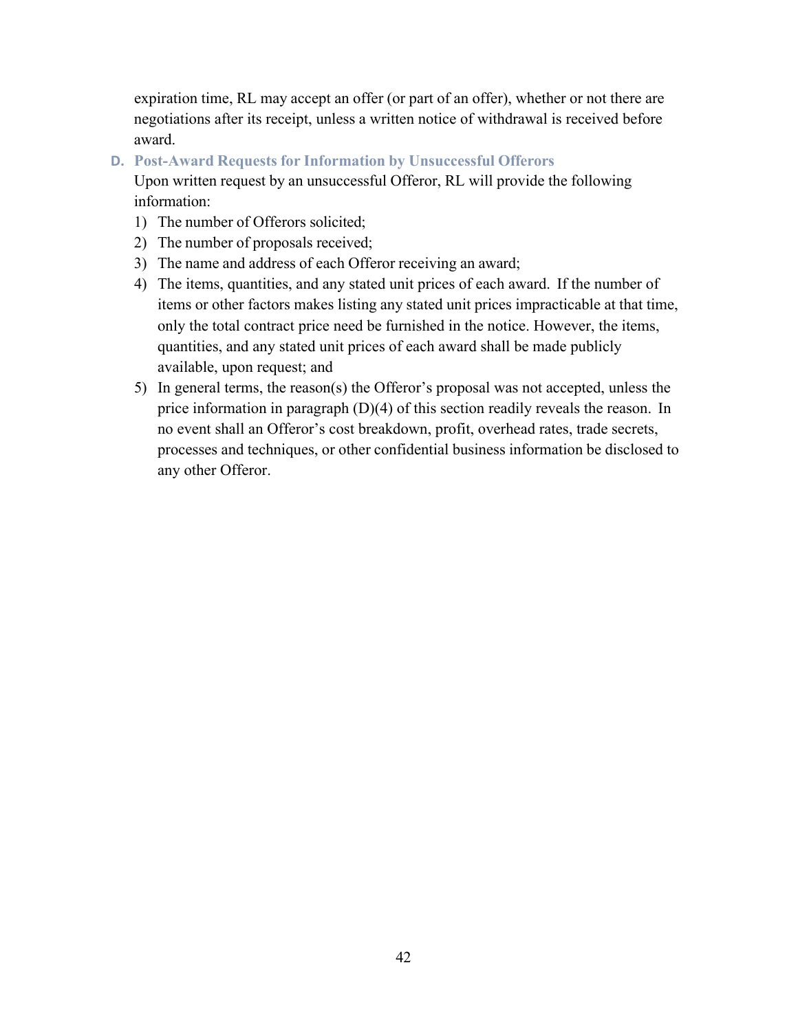expiration time, RL may accept an offer (or part of an offer), whether or not there are negotiations after its receipt, unless a written notice of withdrawal is received before award.

**D. Post-Award Requests for Information by Unsuccessful Offerors**

Upon written request by an unsuccessful Offeror, RL will provide the following information:

- 1) The number of Offerors solicited;
- 2) The number of proposals received;
- 3) The name and address of each Offeror receiving an award;
- 4) The items, quantities, and any stated unit prices of each award. If the number of items or other factors makes listing any stated unit prices impracticable at that time, only the total contract price need be furnished in the notice. However, the items, quantities, and any stated unit prices of each award shall be made publicly available, upon request; and
- 5) In general terms, the reason(s) the Offeror's proposal was not accepted, unless the price information in paragraph (D)(4) of this section readily reveals the reason. In no event shall an Offeror's cost breakdown, profit, overhead rates, trade secrets, processes and techniques, or other confidential business information be disclosed to any other Offeror.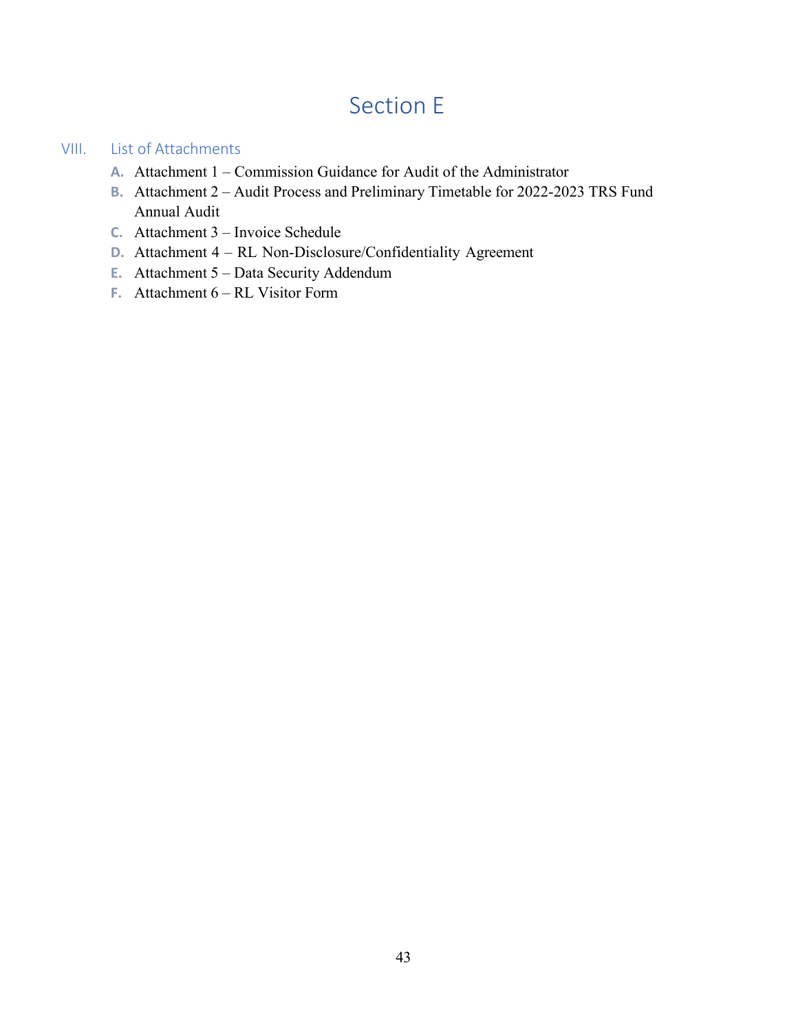# Section E

### VIII. List of Attachments

- **A.** Attachment 1 Commission Guidance for Audit of the Administrator
- **B.** Attachment 2 Audit Process and Preliminary Timetable for 2022-2023 TRS Fund Annual Audit
- **C.** Attachment 3 Invoice Schedule
- **D.** Attachment 4 RL Non-Disclosure/Confidentiality Agreement
- **E.** Attachment 5 Data Security Addendum
- **F.** Attachment 6 RL Visitor Form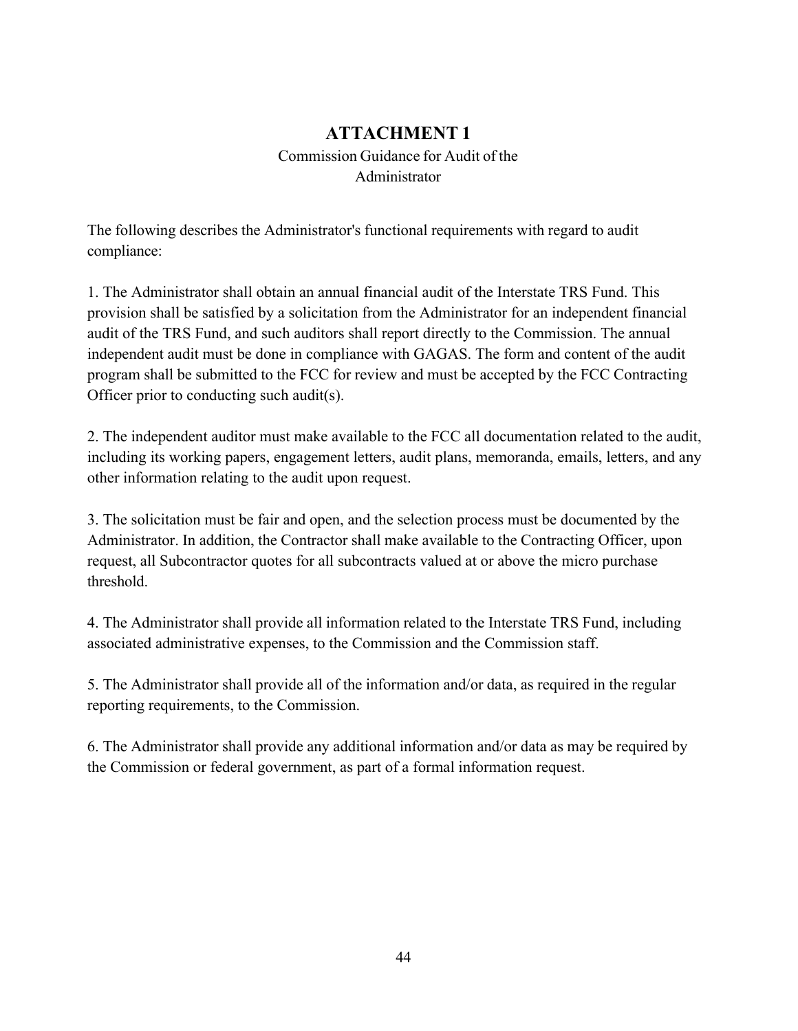## **ATTACHMENT 1** Commission Guidance for Audit of the Administrator

The following describes the Administrator's functional requirements with regard to audit compliance:

1. The Administrator shall obtain an annual financial audit of the Interstate TRS Fund. This provision shall be satisfied by a solicitation from the Administrator for an independent financial audit of the TRS Fund, and such auditors shall report directly to the Commission. The annual independent audit must be done in compliance with GAGAS. The form and content of the audit program shall be submitted to the FCC for review and must be accepted by the FCC Contracting Officer prior to conducting such audit(s).

2. The independent auditor must make available to the FCC all documentation related to the audit, including its working papers, engagement letters, audit plans, memoranda, emails, letters, and any other information relating to the audit upon request.

3. The solicitation must be fair and open, and the selection process must be documented by the Administrator. In addition, the Contractor shall make available to the Contracting Officer, upon request, all Subcontractor quotes for all subcontracts valued at or above the micro purchase threshold.

4. The Administrator shall provide all information related to the Interstate TRS Fund, including associated administrative expenses, to the Commission and the Commission staff.

5. The Administrator shall provide all of the information and/or data, as required in the regular reporting requirements, to the Commission.

6. The Administrator shall provide any additional information and/or data as may be required by the Commission or federal government, as part of a formal information request.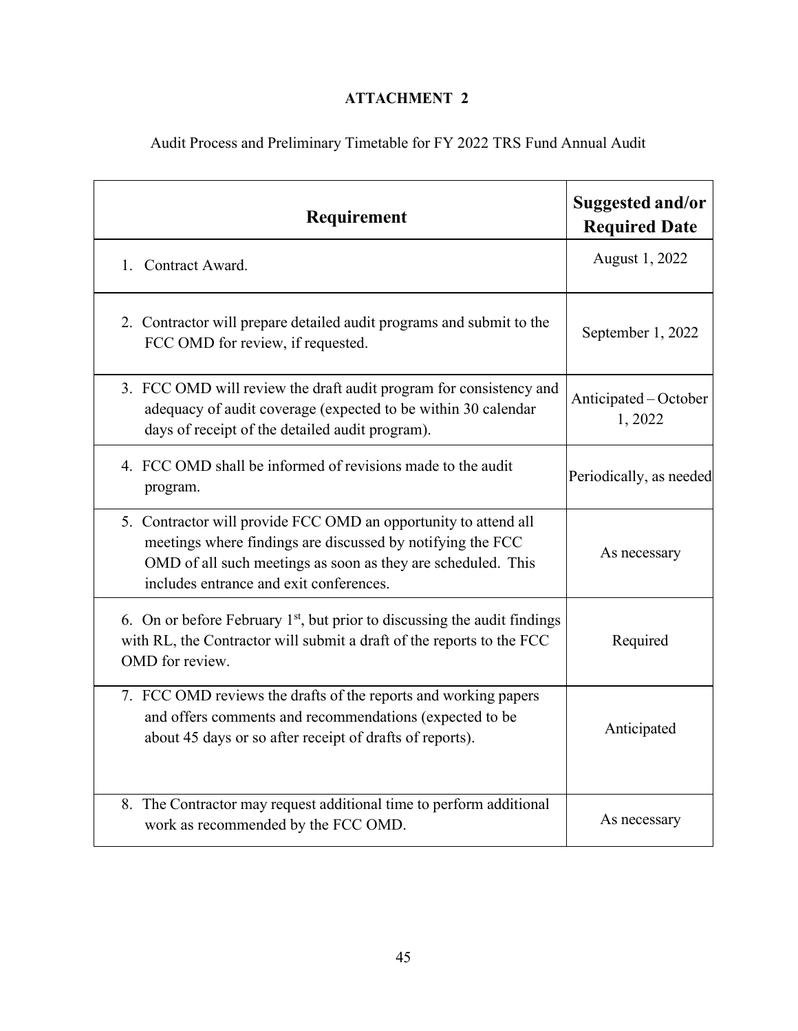## **ATTACHMENT 2**

Audit Process and Preliminary Timetable for FY 2022 TRS Fund Annual Audit

| Requirement                                                                                                                                                                                                                              | Suggested and/or<br><b>Required Date</b> |
|------------------------------------------------------------------------------------------------------------------------------------------------------------------------------------------------------------------------------------------|------------------------------------------|
| 1. Contract Award.                                                                                                                                                                                                                       | August 1, 2022                           |
| 2. Contractor will prepare detailed audit programs and submit to the<br>FCC OMD for review, if requested.                                                                                                                                | September 1, 2022                        |
| 3. FCC OMD will review the draft audit program for consistency and<br>adequacy of audit coverage (expected to be within 30 calendar<br>days of receipt of the detailed audit program).                                                   | Anticipated – October<br>1,2022          |
| 4. FCC OMD shall be informed of revisions made to the audit<br>program.                                                                                                                                                                  | Periodically, as needed                  |
| 5. Contractor will provide FCC OMD an opportunity to attend all<br>meetings where findings are discussed by notifying the FCC<br>OMD of all such meetings as soon as they are scheduled. This<br>includes entrance and exit conferences. | As necessary                             |
| 6. On or before February $1st$ , but prior to discussing the audit findings<br>with RL, the Contractor will submit a draft of the reports to the FCC<br>OMD for review.                                                                  | Required                                 |
| 7. FCC OMD reviews the drafts of the reports and working papers<br>and offers comments and recommendations (expected to be<br>about 45 days or so after receipt of drafts of reports).                                                   | Anticipated                              |
| 8. The Contractor may request additional time to perform additional<br>work as recommended by the FCC OMD.                                                                                                                               | As necessary                             |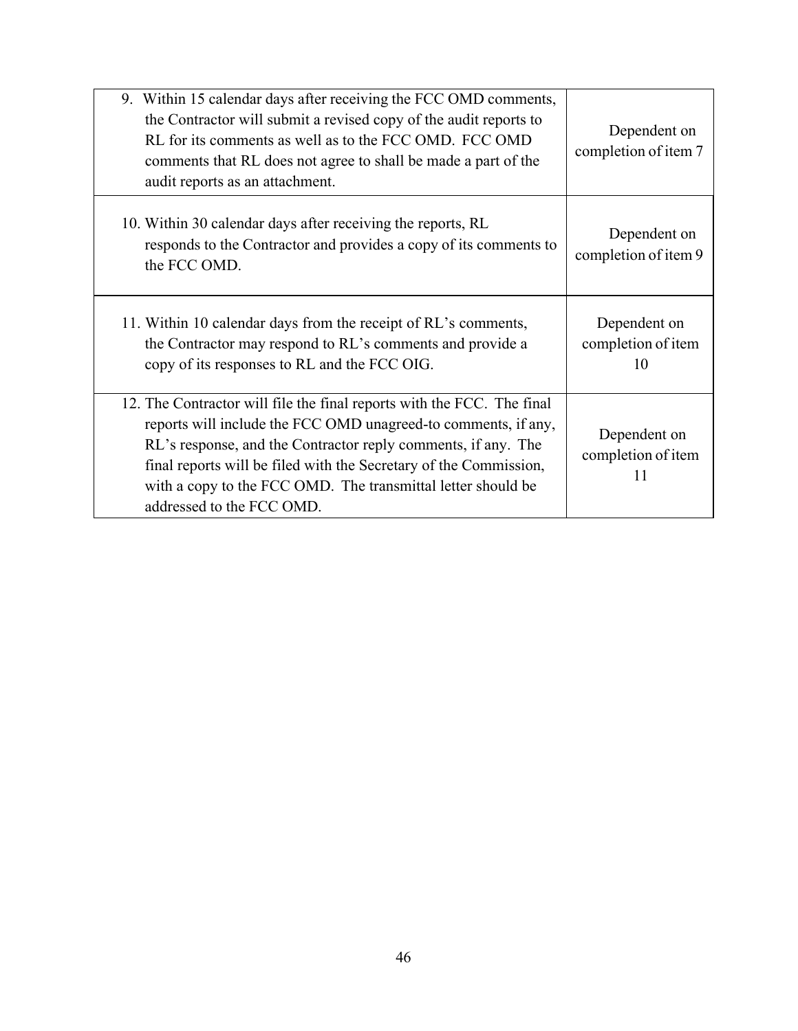| 9. Within 15 calendar days after receiving the FCC OMD comments,<br>the Contractor will submit a revised copy of the audit reports to<br>RL for its comments as well as to the FCC OMD. FCC OMD<br>comments that RL does not agree to shall be made a part of the<br>audit reports as an attachment.                                                                        | Dependent on<br>completion of item 7     |
|-----------------------------------------------------------------------------------------------------------------------------------------------------------------------------------------------------------------------------------------------------------------------------------------------------------------------------------------------------------------------------|------------------------------------------|
| 10. Within 30 calendar days after receiving the reports, RL<br>responds to the Contractor and provides a copy of its comments to<br>the FCC OMD.                                                                                                                                                                                                                            | Dependent on<br>completion of item 9     |
| 11. Within 10 calendar days from the receipt of RL's comments,<br>the Contractor may respond to RL's comments and provide a<br>copy of its responses to RL and the FCC OIG.                                                                                                                                                                                                 | Dependent on<br>completion of item<br>10 |
| 12. The Contractor will file the final reports with the FCC. The final<br>reports will include the FCC OMD unagreed-to comments, if any,<br>RL's response, and the Contractor reply comments, if any. The<br>final reports will be filed with the Secretary of the Commission,<br>with a copy to the FCC OMD. The transmittal letter should be<br>addressed to the FCC OMD. | Dependent on<br>completion of item<br>11 |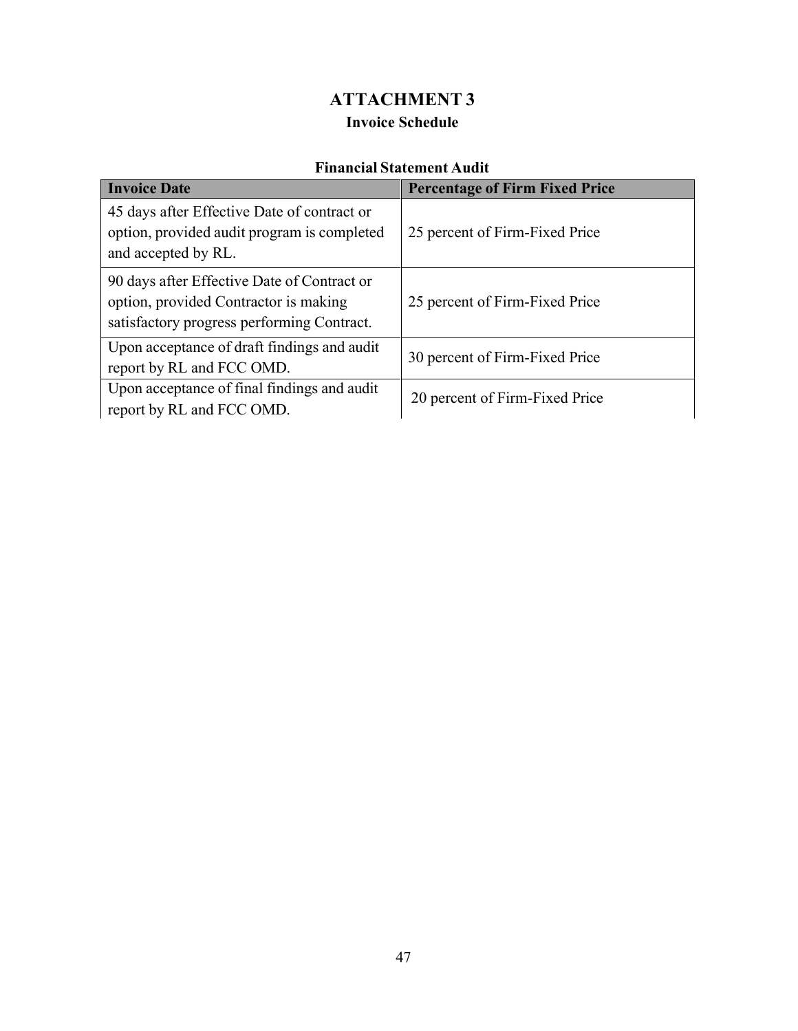## **ATTACHMENT 3 Invoice Schedule**

## **Financial Statement Audit**

| <b>Invoice Date</b>                                                                                                                | <b>Percentage of Firm Fixed Price</b> |
|------------------------------------------------------------------------------------------------------------------------------------|---------------------------------------|
| 45 days after Effective Date of contract or<br>option, provided audit program is completed<br>and accepted by RL.                  | 25 percent of Firm-Fixed Price        |
| 90 days after Effective Date of Contract or<br>option, provided Contractor is making<br>satisfactory progress performing Contract. | 25 percent of Firm-Fixed Price        |
| Upon acceptance of draft findings and audit<br>report by RL and FCC OMD.                                                           | 30 percent of Firm-Fixed Price        |
| Upon acceptance of final findings and audit<br>report by RL and FCC OMD.                                                           | 20 percent of Firm-Fixed Price        |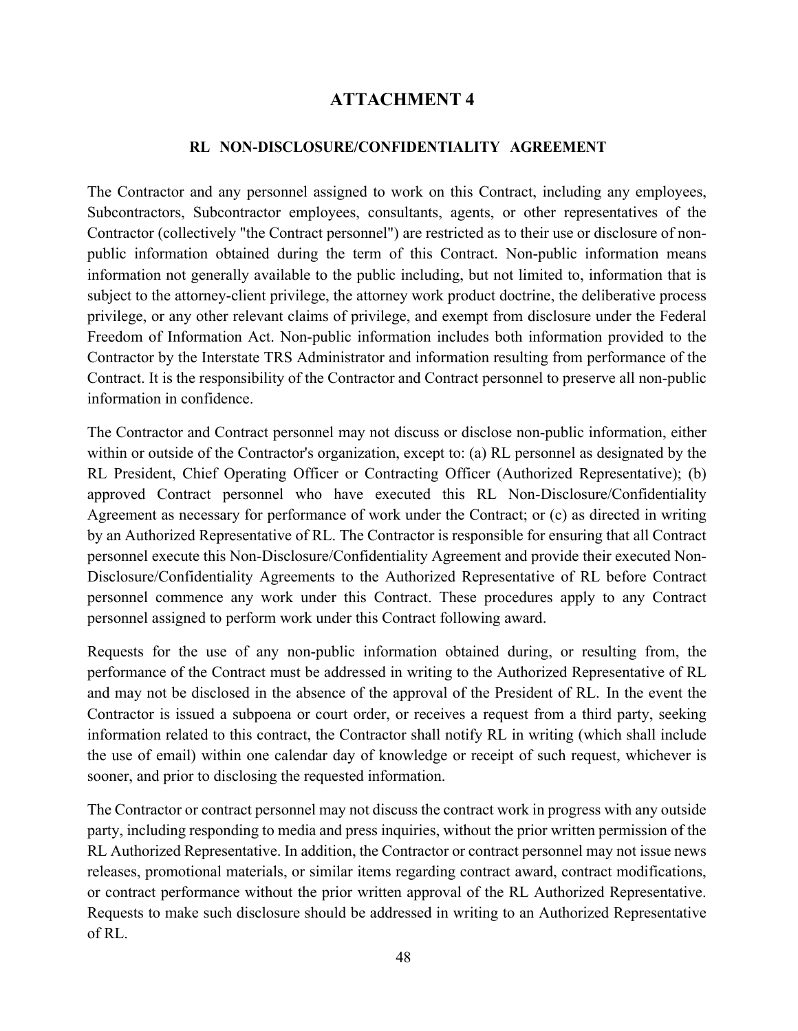## **ATTACHMENT 4**

### **RL NON-DISCLOSURE/CONFIDENTIALITY AGREEMENT**

The Contractor and any personnel assigned to work on this Contract, including any employees, Subcontractors, Subcontractor employees, consultants, agents, or other representatives of the Contractor (collectively "the Contract personnel") are restricted as to their use or disclosure of nonpublic information obtained during the term of this Contract. Non-public information means information not generally available to the public including, but not limited to, information that is subject to the attorney-client privilege, the attorney work product doctrine, the deliberative process privilege, or any other relevant claims of privilege, and exempt from disclosure under the Federal Freedom of Information Act. Non-public information includes both information provided to the Contractor by the Interstate TRS Administrator and information resulting from performance of the Contract. It is the responsibility of the Contractor and Contract personnel to preserve all non-public information in confidence.

The Contractor and Contract personnel may not discuss or disclose non-public information, either within or outside of the Contractor's organization, except to: (a) RL personnel as designated by the RL President, Chief Operating Officer or Contracting Officer (Authorized Representative); (b) approved Contract personnel who have executed this RL Non-Disclosure/Confidentiality Agreement as necessary for performance of work under the Contract; or (c) as directed in writing by an Authorized Representative of RL. The Contractor is responsible for ensuring that all Contract personnel execute this Non-Disclosure/Confidentiality Agreement and provide their executed Non-Disclosure/Confidentiality Agreements to the Authorized Representative of RL before Contract personnel commence any work under this Contract. These procedures apply to any Contract personnel assigned to perform work under this Contract following award.

Requests for the use of any non-public information obtained during, or resulting from, the performance of the Contract must be addressed in writing to the Authorized Representative of RL and may not be disclosed in the absence of the approval of the President of RL. In the event the Contractor is issued a subpoena or court order, or receives a request from a third party, seeking information related to this contract, the Contractor shall notify RL in writing (which shall include the use of email) within one calendar day of knowledge or receipt of such request, whichever is sooner, and prior to disclosing the requested information.

The Contractor or contract personnel may not discuss the contract work in progress with any outside party, including responding to media and press inquiries, without the prior written permission of the RL Authorized Representative. In addition, the Contractor or contract personnel may not issue news releases, promotional materials, or similar items regarding contract award, contract modifications, or contract performance without the prior written approval of the RL Authorized Representative. Requests to make such disclosure should be addressed in writing to an Authorized Representative of RL.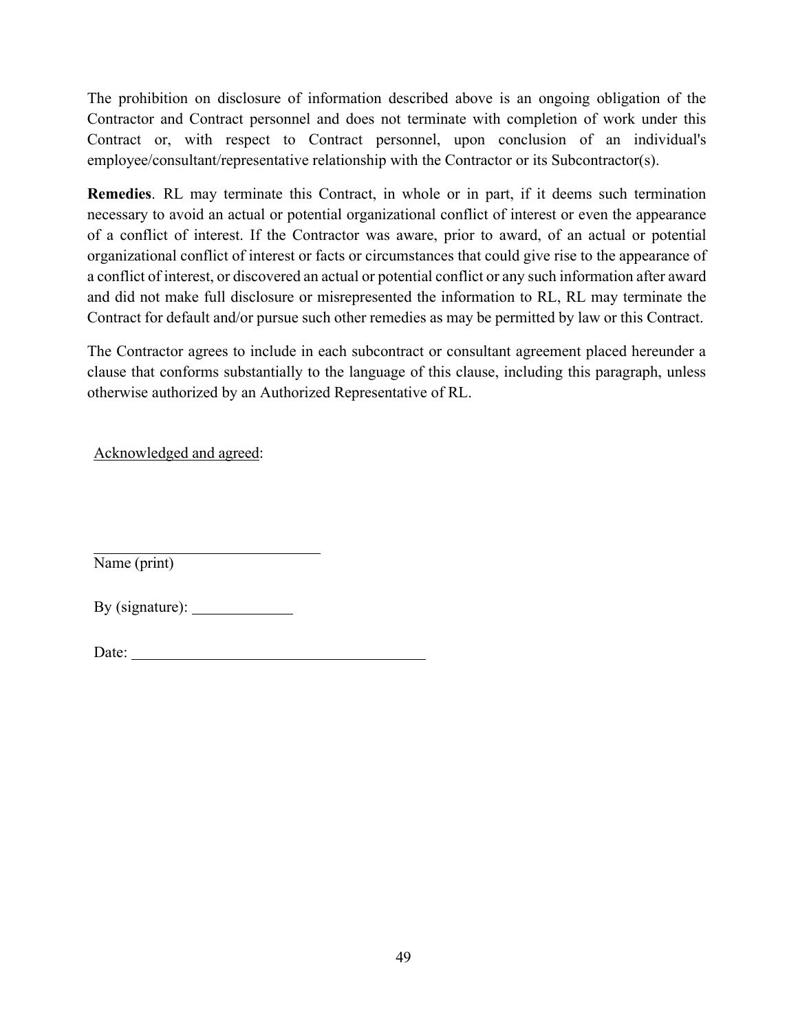The prohibition on disclosure of information described above is an ongoing obligation of the Contractor and Contract personnel and does not terminate with completion of work under this Contract or, with respect to Contract personnel, upon conclusion of an individual's employee/consultant/representative relationship with the Contractor or its Subcontractor(s).

**Remedies**. RL may terminate this Contract, in whole or in part, if it deems such termination necessary to avoid an actual or potential organizational conflict of interest or even the appearance of a conflict of interest. If the Contractor was aware, prior to award, of an actual or potential organizational conflict of interest or facts or circumstances that could give rise to the appearance of a conflict of interest, or discovered an actual or potential conflict or any such information after award and did not make full disclosure or misrepresented the information to RL, RL may terminate the Contract for default and/or pursue such other remedies as may be permitted by law or this Contract.

The Contractor agrees to include in each subcontract or consultant agreement placed hereunder a clause that conforms substantially to the language of this clause, including this paragraph, unless otherwise authorized by an Authorized Representative of RL.

Acknowledged and agreed:

Name (print)

By (signature):

Date: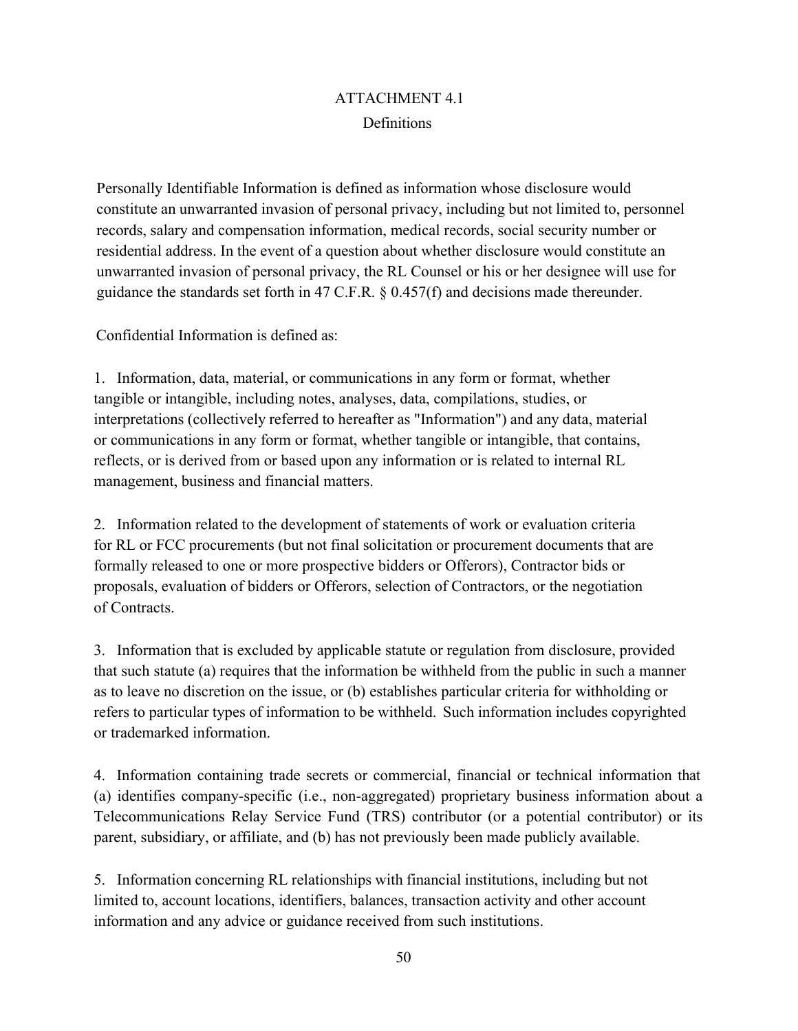## ATTACHMENT 4.1 **Definitions**

Personally Identifiable Information is defined as information whose disclosure would constitute an unwarranted invasion of personal privacy, including but not limited to, personnel records, salary and compensation information, medical records, social security number or residential address. In the event of a question about whether disclosure would constitute an unwarranted invasion of personal privacy, the RL Counsel or his or her designee will use for guidance the standards set forth in 47 C.F.R. § 0.457(f) and decisions made thereunder.

Confidential Information is defined as:

1. Information, data, material, or communications in any form or format, whether tangible or intangible, including notes, analyses, data, compilations, studies, or interpretations (collectively referred to hereafter as "Information") and any data, material or communications in any form or format, whether tangible or intangible, that contains, reflects, or is derived from or based upon any information or is related to internal RL management, business and financial matters.

2. Information related to the development of statements of work or evaluation criteria for RL or FCC procurements (but not final solicitation or procurement documents that are formally released to one or more prospective bidders or Offerors), Contractor bids or proposals, evaluation of bidders or Offerors, selection of Contractors, or the negotiation of Contracts.

3. Information that is excluded by applicable statute or regulation from disclosure, provided that such statute (a) requires that the information be withheld from the public in such a manner as to leave no discretion on the issue, or (b) establishes particular criteria for withholding or refers to particular types of information to be withheld. Such information includes copyrighted or trademarked information.

4. Information containing trade secrets or commercial, financial or technical information that (a) identifies company-specific (i.e., non-aggregated) proprietary business information about a Telecommunications Relay Service Fund (TRS) contributor (or a potential contributor) or its parent, subsidiary, or affiliate, and (b) has not previously been made publicly available.

5. Information concerning RL relationships with financial institutions, including but not limited to, account locations, identifiers, balances, transaction activity and other account information and any advice or guidance received from such institutions.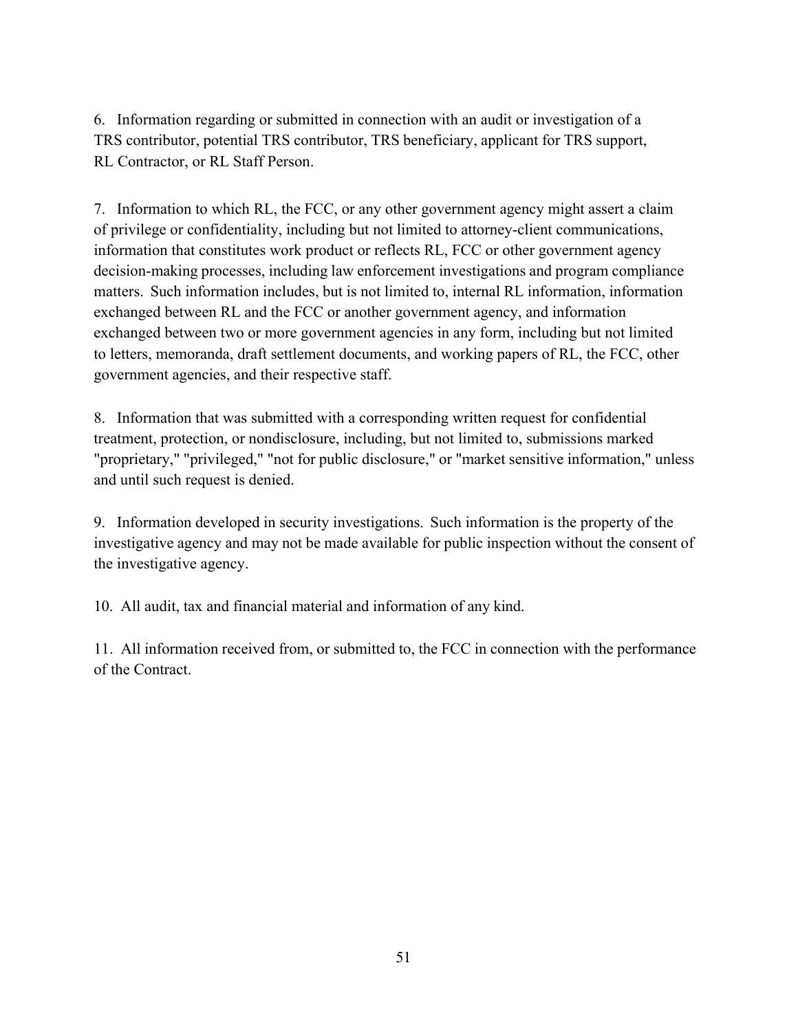6. Information regarding or submitted in connection with an audit or investigation of a TRS contributor, potential TRS contributor, TRS beneficiary, applicant for TRS support, RL Contractor, or RL Staff Person.

7. Information to which RL, the FCC, or any other government agency might assert a claim of privilege or confidentiality, including but not limited to attorney-client communications, information that constitutes work product or reflects RL, FCC or other government agency decision-making processes, including law enforcement investigations and program compliance matters. Such information includes, but is not limited to, internal RL information, information exchanged between RL and the FCC or another government agency, and information exchanged between two or more government agencies in any form, including but not limited to letters, memoranda, draft settlement documents, and working papers of RL, the FCC, other government agencies, and their respective staff.

8. Information that was submitted with a corresponding written request for confidential treatment, protection, or nondisclosure, including, but not limited to, submissions marked "proprietary," "privileged," "not for public disclosure," or "market sensitive information," unless and until such request is denied.

9. Information developed in security investigations. Such information is the property of the investigative agency and may not be made available for public inspection without the consent of the investigative agency.

10. All audit, tax and financial material and information of any kind.

11. All information received from, or submitted to, the FCC in connection with the performance of the Contract.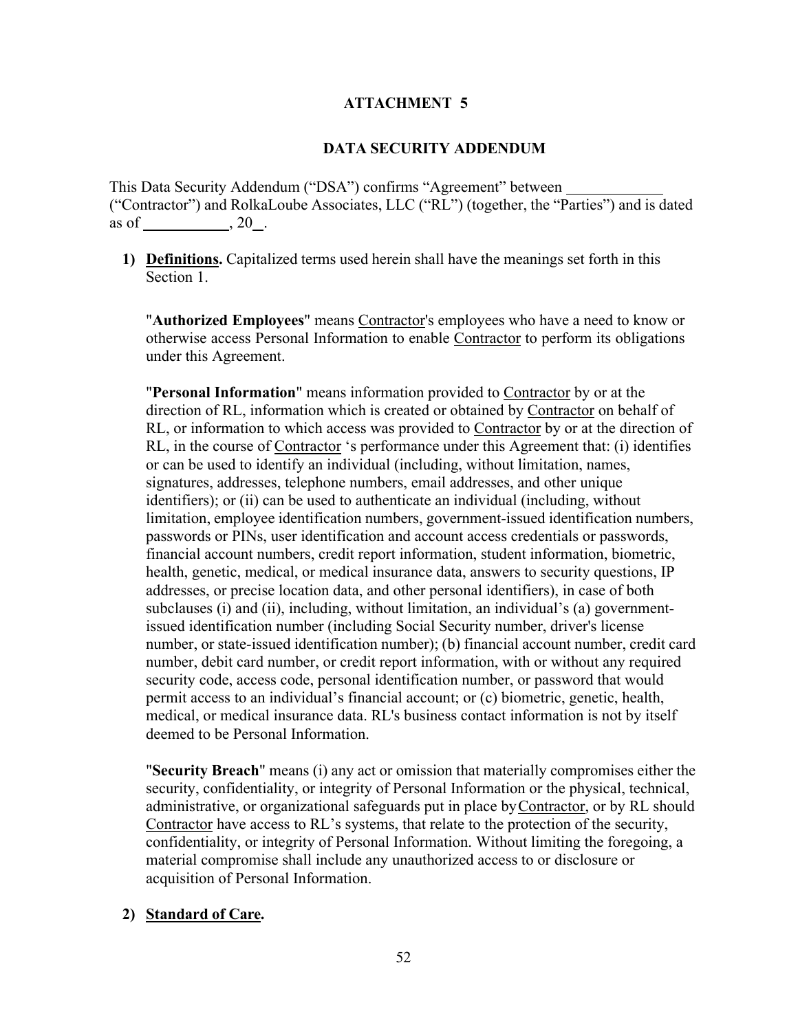### **ATTACHMENT 5**

#### **DATA SECURITY ADDENDUM**

This Data Security Addendum ("DSA") confirms "Agreement" between ("Contractor") and RolkaLoube Associates, LLC ("RL") (together, the "Parties") and is dated as of  $, 20$ .

**1) Definitions.** Capitalized terms used herein shall have the meanings set forth in this Section 1.

"**Authorized Employees**" means Contractor's employees who have a need to know or otherwise access Personal Information to enable Contractor to perform its obligations under this Agreement.

"**Personal Information**" means information provided to Contractor by or at the direction of RL, information which is created or obtained by Contractor on behalf of RL, or information to which access was provided to Contractor by or at the direction of RL, in the course of Contractor 's performance under this Agreement that: (i) identifies or can be used to identify an individual (including, without limitation, names, signatures, addresses, telephone numbers, email addresses, and other unique identifiers); or (ii) can be used to authenticate an individual (including, without limitation, employee identification numbers, government-issued identification numbers, passwords or PINs, user identification and account access credentials or passwords, financial account numbers, credit report information, student information, biometric, health, genetic, medical, or medical insurance data, answers to security questions, IP addresses, or precise location data, and other personal identifiers), in case of both subclauses (i) and (ii), including, without limitation, an individual's (a) governmentissued identification number (including Social Security number, driver's license number, or state-issued identification number); (b) financial account number, credit card number, debit card number, or credit report information, with or without any required security code, access code, personal identification number, or password that would permit access to an individual's financial account; or (c) biometric, genetic, health, medical, or medical insurance data. RL's business contact information is not by itself deemed to be Personal Information.

"**Security Breach**" means (i) any act or omission that materially compromises either the security, confidentiality, or integrity of Personal Information or the physical, technical, administrative, or organizational safeguards put in place by Contractor, or by RL should Contractor have access to RL's systems, that relate to the protection of the security, confidentiality, or integrity of Personal Information. Without limiting the foregoing, a material compromise shall include any unauthorized access to or disclosure or acquisition of Personal Information.

#### **2) Standard of Care.**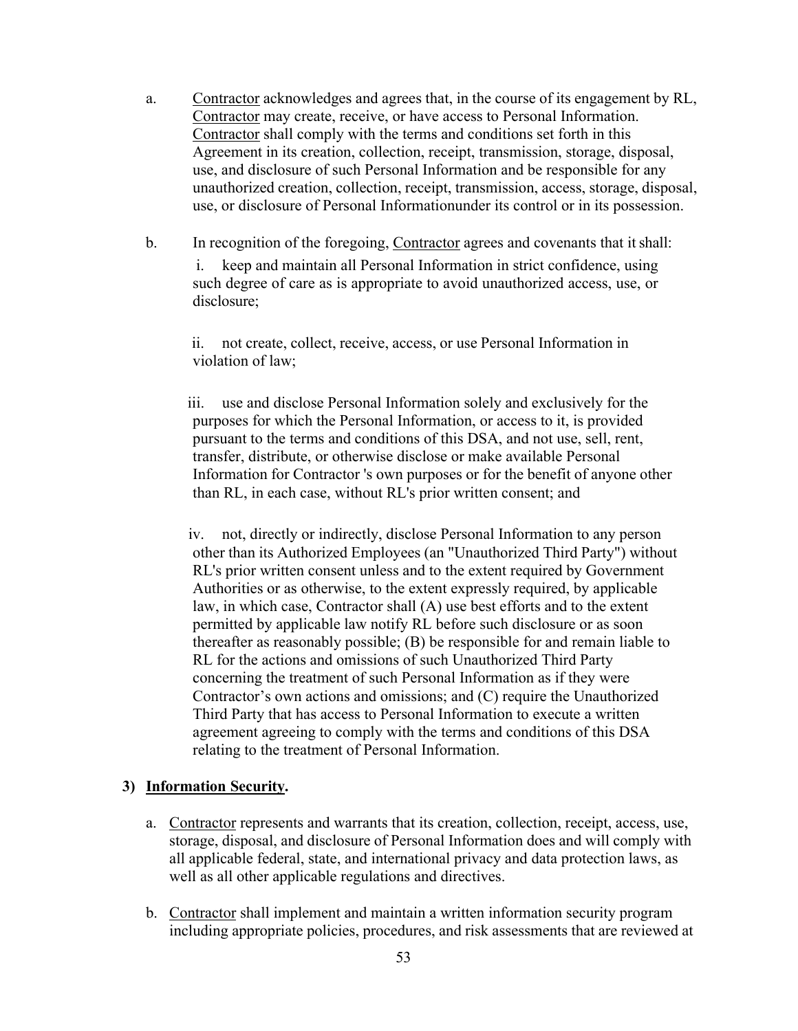- a. Contractor acknowledges and agrees that, in the course of its engagement by RL, Contractor may create, receive, or have access to Personal Information. Contractor shall comply with the terms and conditions set forth in this Agreement in its creation, collection, receipt, transmission, storage, disposal, use, and disclosure of such Personal Information and be responsible for any unauthorized creation, collection, receipt, transmission, access, storage, disposal, use, or disclosure of Personal Informationunder its control or in its possession.
- b. In recognition of the foregoing, Contractor agrees and covenants that itshall:

i. keep and maintain all Personal Information in strict confidence, using such degree of care as is appropriate to avoid unauthorized access, use, or disclosure;

ii. not create, collect, receive, access, or use Personal Information in violation of law;

iii. use and disclose Personal Information solely and exclusively for the purposes for which the Personal Information, or access to it, is provided pursuant to the terms and conditions of this DSA, and not use, sell, rent, transfer, distribute, or otherwise disclose or make available Personal Information for Contractor 's own purposes or for the benefit of anyone other than RL, in each case, without RL's prior written consent; and

iv. not, directly or indirectly, disclose Personal Information to any person other than its Authorized Employees (an "Unauthorized Third Party") without RL's prior written consent unless and to the extent required by Government Authorities or as otherwise, to the extent expressly required, by applicable law, in which case, Contractor shall (A) use best efforts and to the extent permitted by applicable law notify RL before such disclosure or as soon thereafter as reasonably possible; (B) be responsible for and remain liable to RL for the actions and omissions of such Unauthorized Third Party concerning the treatment of such Personal Information as if they were Contractor's own actions and omissions; and (C) require the Unauthorized Third Party that has access to Personal Information to execute a written agreement agreeing to comply with the terms and conditions of this DSA relating to the treatment of Personal Information.

#### **3) Information Security.**

- a. Contractor represents and warrants that its creation, collection, receipt, access, use, storage, disposal, and disclosure of Personal Information does and will comply with all applicable federal, state, and international privacy and data protection laws, as well as all other applicable regulations and directives.
- b. Contractor shall implement and maintain a written information security program including appropriate policies, procedures, and risk assessments that are reviewed at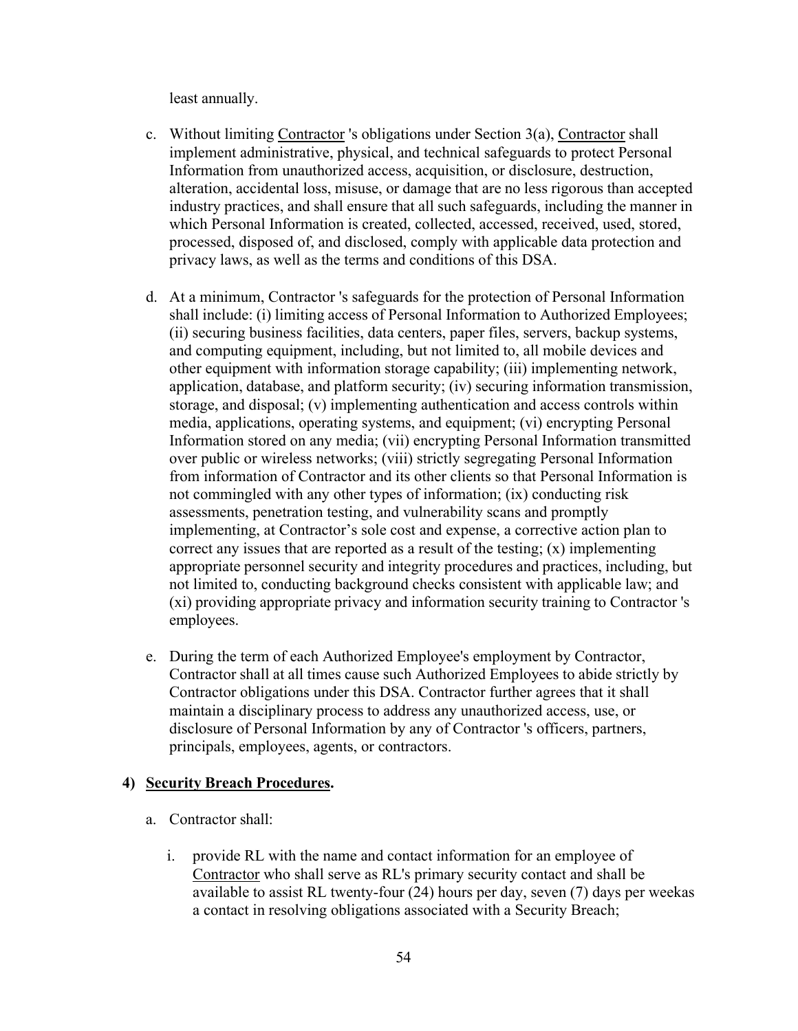least annually.

- c. Without limiting Contractor 's obligations under Section 3(a), Contractor shall implement administrative, physical, and technical safeguards to protect Personal Information from unauthorized access, acquisition, or disclosure, destruction, alteration, accidental loss, misuse, or damage that are no less rigorous than accepted industry practices, and shall ensure that all such safeguards, including the manner in which Personal Information is created, collected, accessed, received, used, stored, processed, disposed of, and disclosed, comply with applicable data protection and privacy laws, as well as the terms and conditions of this DSA.
- d. At a minimum, Contractor 's safeguards for the protection of Personal Information shall include: (i) limiting access of Personal Information to Authorized Employees; (ii) securing business facilities, data centers, paper files, servers, backup systems, and computing equipment, including, but not limited to, all mobile devices and other equipment with information storage capability; (iii) implementing network, application, database, and platform security; (iv) securing information transmission, storage, and disposal; (v) implementing authentication and access controls within media, applications, operating systems, and equipment; (vi) encrypting Personal Information stored on any media; (vii) encrypting Personal Information transmitted over public or wireless networks; (viii) strictly segregating Personal Information from information of Contractor and its other clients so that Personal Information is not commingled with any other types of information; (ix) conducting risk assessments, penetration testing, and vulnerability scans and promptly implementing, at Contractor's sole cost and expense, a corrective action plan to correct any issues that are reported as a result of the testing;  $(x)$  implementing appropriate personnel security and integrity procedures and practices, including, but not limited to, conducting background checks consistent with applicable law; and (xi) providing appropriate privacy and information security training to Contractor 's employees.
- e. During the term of each Authorized Employee's employment by Contractor, Contractor shall at all times cause such Authorized Employees to abide strictly by Contractor obligations under this DSA. Contractor further agrees that it shall maintain a disciplinary process to address any unauthorized access, use, or disclosure of Personal Information by any of Contractor 's officers, partners, principals, employees, agents, or contractors.

#### **4) Security Breach Procedures.**

- a. Contractor shall:
	- i. provide RL with the name and contact information for an employee of Contractor who shall serve as RL's primary security contact and shall be available to assist RL twenty-four (24) hours per day, seven (7) days per weekas a contact in resolving obligations associated with a Security Breach;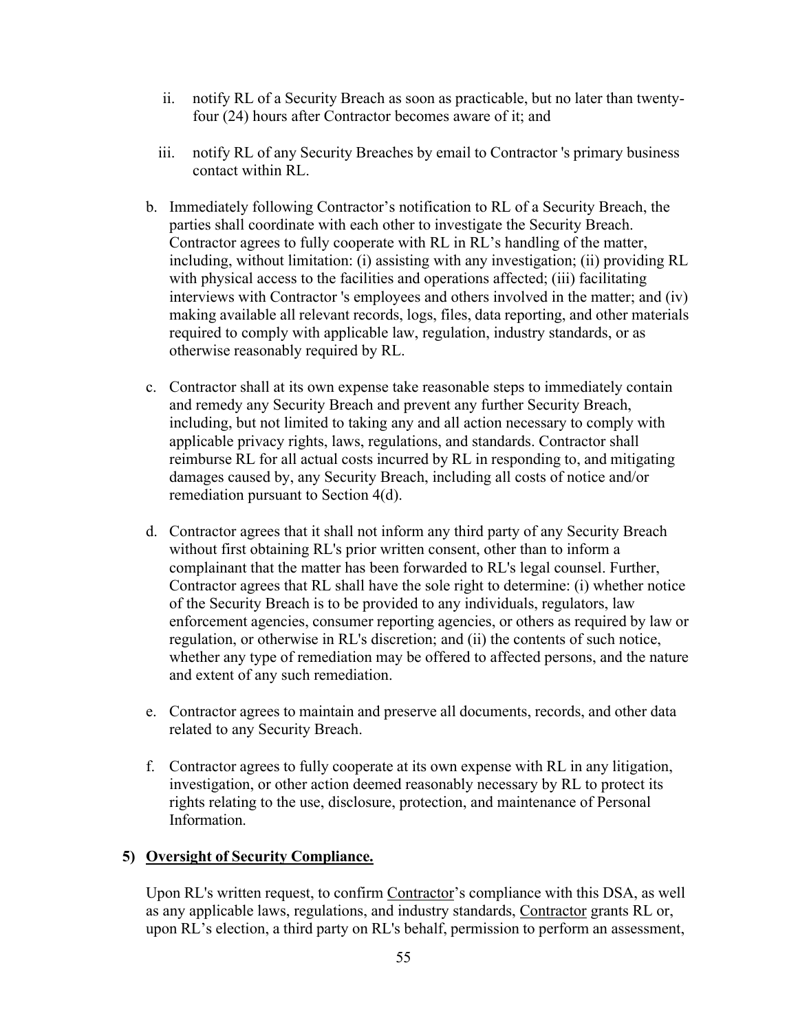- ii. notify RL of a Security Breach as soon as practicable, but no later than twentyfour (24) hours after Contractor becomes aware of it; and
- iii. notify RL of any Security Breaches by email to Contractor 's primary business contact within RL.
- b. Immediately following Contractor's notification to RL of a Security Breach, the parties shall coordinate with each other to investigate the Security Breach. Contractor agrees to fully cooperate with RL in RL's handling of the matter, including, without limitation: (i) assisting with any investigation; (ii) providing RL with physical access to the facilities and operations affected; (iii) facilitating interviews with Contractor 's employees and others involved in the matter; and (iv) making available all relevant records, logs, files, data reporting, and other materials required to comply with applicable law, regulation, industry standards, or as otherwise reasonably required by RL.
- c. Contractor shall at its own expense take reasonable steps to immediately contain and remedy any Security Breach and prevent any further Security Breach, including, but not limited to taking any and all action necessary to comply with applicable privacy rights, laws, regulations, and standards. Contractor shall reimburse RL for all actual costs incurred by RL in responding to, and mitigating damages caused by, any Security Breach, including all costs of notice and/or remediation pursuant to Section 4(d).
- d. Contractor agrees that it shall not inform any third party of any Security Breach without first obtaining RL's prior written consent, other than to inform a complainant that the matter has been forwarded to RL's legal counsel. Further, Contractor agrees that RL shall have the sole right to determine: (i) whether notice of the Security Breach is to be provided to any individuals, regulators, law enforcement agencies, consumer reporting agencies, or others as required by law or regulation, or otherwise in RL's discretion; and (ii) the contents of such notice, whether any type of remediation may be offered to affected persons, and the nature and extent of any such remediation.
- e. Contractor agrees to maintain and preserve all documents, records, and other data related to any Security Breach.
- f. Contractor agrees to fully cooperate at its own expense with RL in any litigation, investigation, or other action deemed reasonably necessary by RL to protect its rights relating to the use, disclosure, protection, and maintenance of Personal Information.

## **5) Oversight of Security Compliance.**

Upon RL's written request, to confirm Contractor's compliance with this DSA, as well as any applicable laws, regulations, and industry standards, Contractor grants RL or, upon RL's election, a third party on RL's behalf, permission to perform an assessment,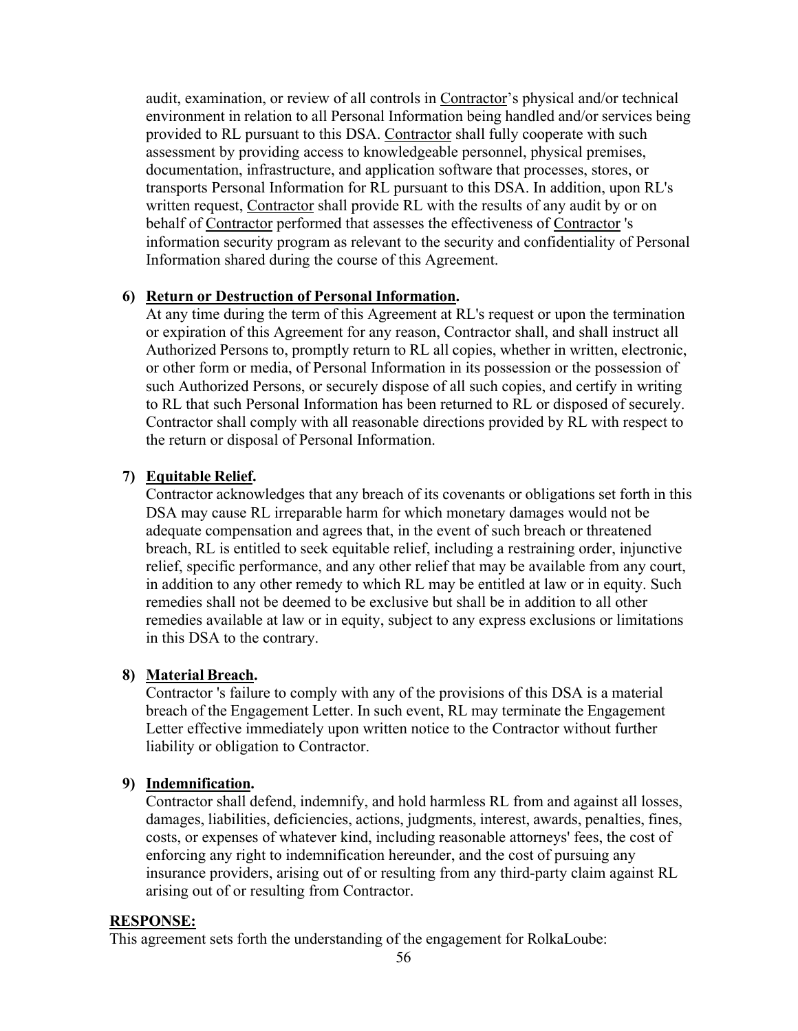audit, examination, or review of all controls in Contractor's physical and/or technical environment in relation to all Personal Information being handled and/or services being provided to RL pursuant to this DSA. Contractor shall fully cooperate with such assessment by providing access to knowledgeable personnel, physical premises, documentation, infrastructure, and application software that processes, stores, or transports Personal Information for RL pursuant to this DSA. In addition, upon RL's written request, Contractor shall provide RL with the results of any audit by or on behalf of Contractor performed that assesses the effectiveness of Contractor 's information security program as relevant to the security and confidentiality of Personal Information shared during the course of this Agreement.

#### **6) Return or Destruction of Personal Information.**

At any time during the term of this Agreement at RL's request or upon the termination or expiration of this Agreement for any reason, Contractor shall, and shall instruct all Authorized Persons to, promptly return to RL all copies, whether in written, electronic, or other form or media, of Personal Information in its possession or the possession of such Authorized Persons, or securely dispose of all such copies, and certify in writing to RL that such Personal Information has been returned to RL or disposed of securely. Contractor shall comply with all reasonable directions provided by RL with respect to the return or disposal of Personal Information.

#### **7) Equitable Relief.**

Contractor acknowledges that any breach of its covenants or obligations set forth in this DSA may cause RL irreparable harm for which monetary damages would not be adequate compensation and agrees that, in the event of such breach or threatened breach, RL is entitled to seek equitable relief, including a restraining order, injunctive relief, specific performance, and any other relief that may be available from any court, in addition to any other remedy to which RL may be entitled at law or in equity. Such remedies shall not be deemed to be exclusive but shall be in addition to all other remedies available at law or in equity, subject to any express exclusions or limitations in this DSA to the contrary.

#### **8) Material Breach.**

Contractor 's failure to comply with any of the provisions of this DSA is a material breach of the Engagement Letter. In such event, RL may terminate the Engagement Letter effective immediately upon written notice to the Contractor without further liability or obligation to Contractor.

#### **9) Indemnification.**

Contractor shall defend, indemnify, and hold harmless RL from and against all losses, damages, liabilities, deficiencies, actions, judgments, interest, awards, penalties, fines, costs, or expenses of whatever kind, including reasonable attorneys' fees, the cost of enforcing any right to indemnification hereunder, and the cost of pursuing any insurance providers, arising out of or resulting from any third-party claim against RL arising out of or resulting from Contractor.

#### **RESPONSE:**

This agreement sets forth the understanding of the engagement for RolkaLoube: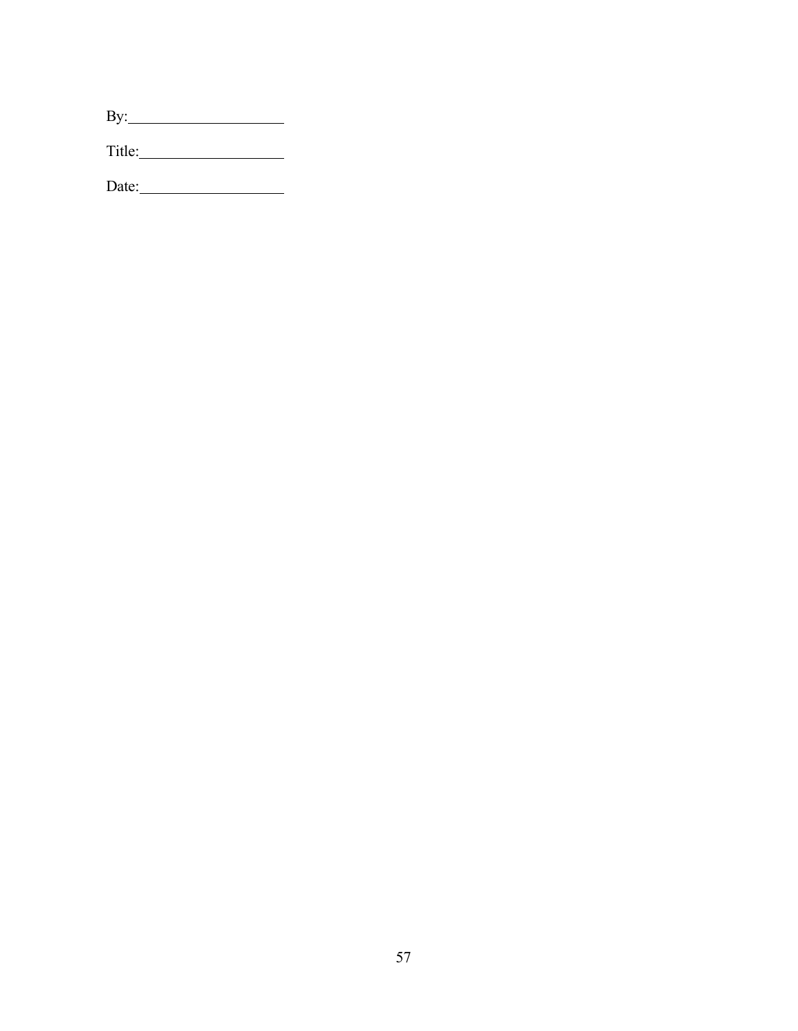| $\mathbf{I}$<br>R, |  |  |
|--------------------|--|--|
|                    |  |  |

Title: 2000 11

Date: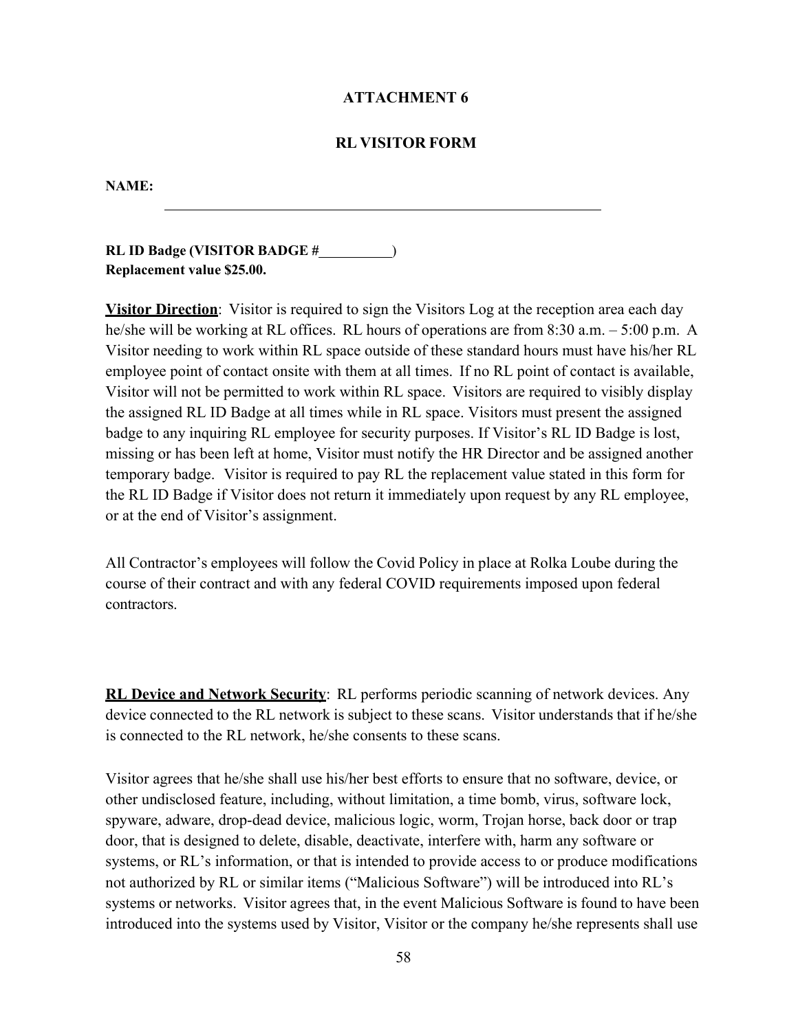#### **ATTACHMENT 6**

#### **RL VISITOR FORM**

#### **NAME:**

**RL ID Badge (VISITOR BADGE #** ) **Replacement value \$25.00.**

**Visitor Direction**: Visitor is required to sign the Visitors Log at the reception area each day he/she will be working at RL offices. RL hours of operations are from 8:30 a.m. – 5:00 p.m. A Visitor needing to work within RL space outside of these standard hours must have his/her RL employee point of contact onsite with them at all times. If no RL point of contact is available, Visitor will not be permitted to work within RL space. Visitors are required to visibly display the assigned RL ID Badge at all times while in RL space. Visitors must present the assigned badge to any inquiring RL employee for security purposes. If Visitor's RL ID Badge is lost, missing or has been left at home, Visitor must notify the HR Director and be assigned another temporary badge. Visitor is required to pay RL the replacement value stated in this form for the RL ID Badge if Visitor does not return it immediately upon request by any RL employee, or at the end of Visitor's assignment.

All Contractor's employees will follow the Covid Policy in place at Rolka Loube during the course of their contract and with any federal COVID requirements imposed upon federal contractors.

**RL Device and Network Security**: RL performs periodic scanning of network devices. Any device connected to the RL network is subject to these scans. Visitor understands that if he/she is connected to the RL network, he/she consents to these scans.

Visitor agrees that he/she shall use his/her best efforts to ensure that no software, device, or other undisclosed feature, including, without limitation, a time bomb, virus, software lock, spyware, adware, drop-dead device, malicious logic, worm, Trojan horse, back door or trap door, that is designed to delete, disable, deactivate, interfere with, harm any software or systems, or RL's information, or that is intended to provide access to or produce modifications not authorized by RL or similar items ("Malicious Software") will be introduced into RL's systems or networks. Visitor agrees that, in the event Malicious Software is found to have been introduced into the systems used by Visitor, Visitor or the company he/she represents shall use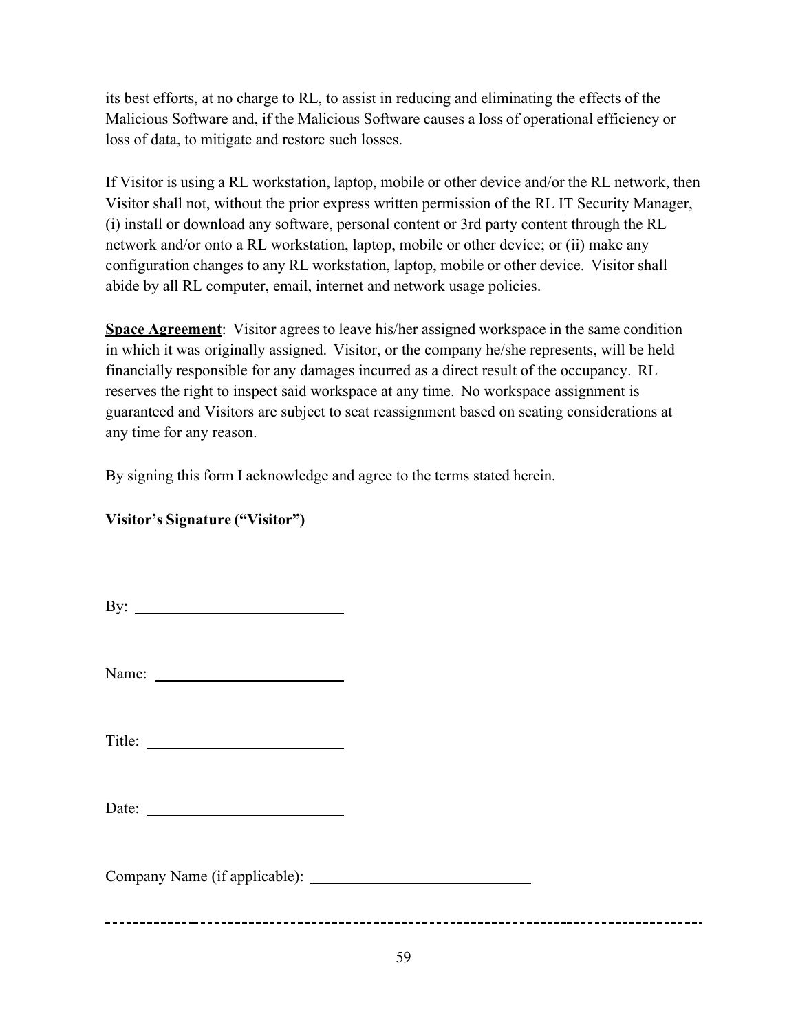its best efforts, at no charge to RL, to assist in reducing and eliminating the effects of the Malicious Software and, if the Malicious Software causes a loss of operational efficiency or loss of data, to mitigate and restore such losses.

If Visitor is using a RL workstation, laptop, mobile or other device and/or the RL network, then Visitor shall not, without the prior express written permission of the RL IT Security Manager, (i) install or download any software, personal content or 3rd party content through the RL network and/or onto a RL workstation, laptop, mobile or other device; or (ii) make any configuration changes to any RL workstation, laptop, mobile or other device. Visitor shall abide by all RL computer, email, internet and network usage policies.

**Space Agreement**: Visitor agrees to leave his/her assigned workspace in the same condition in which it was originally assigned. Visitor, or the company he/she represents, will be held financially responsible for any damages incurred as a direct result of the occupancy. RL reserves the right to inspect said workspace at any time. No workspace assignment is guaranteed and Visitors are subject to seat reassignment based on seating considerations at any time for any reason.

By signing this form I acknowledge and agree to the terms stated herein.

## **Visitor's Signature ("Visitor")**

| By: $\qquad \qquad$           |  |
|-------------------------------|--|
|                               |  |
|                               |  |
|                               |  |
| Company Name (if applicable): |  |
|                               |  |